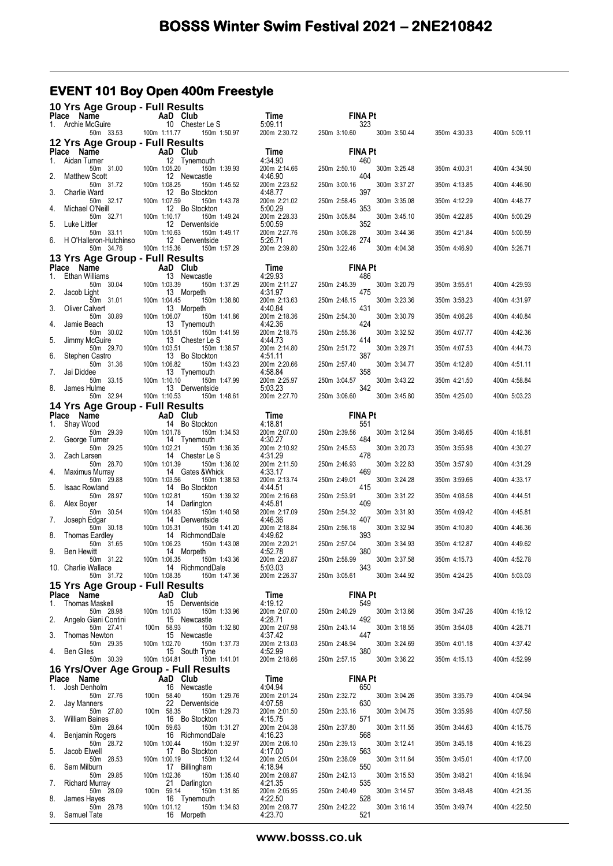## **EVENT 101 Boy Open 400m Freestyle**

| 10 Yrs Age Group - Full Results                    |                                                  |                         |                                     |              |              |
|----------------------------------------------------|--------------------------------------------------|-------------------------|-------------------------------------|--------------|--------------|
| Place Name<br>Archie McGuire<br>1.                 | AaD Club<br>10 Chester Le S                      | Time<br>5:09.11         | <b>FINA Pt</b><br>323               |              |              |
| 50m 33.53                                          | 100m 1:11.77<br>150m 1:50.97                     | 200m 2:30.72            | 250m 3:10.60<br>300m 3:50.44        | 350m 4:30.33 | 400m 5:09.11 |
| 12 Yrs Age Group - Full Results                    |                                                  |                         |                                     |              |              |
| Place Name<br>Aidan Turner<br>1.                   | AaD Club<br>12 Tynemouth                         | Time<br>4:34.90         | <b>FINA Pt</b><br>460               |              |              |
| 50m 31.00<br>2.<br><b>Matthew Scott</b>            | 100m 1:05.20<br>150m 1:39.93<br>12 Newcastle     | 200m 2:14.66<br>4:46.90 | 250m 2:50.10<br>300m 3:25.48<br>404 | 350m 4:00.31 | 400m 4:34.90 |
| 50m 31.72                                          | 100m 1:08.25<br>150m 1:45.52                     | 200m 2:23.52            | 250m 3:00.16<br>300m 3:37.27        | 350m 4:13.85 | 400m 4:46.90 |
| Charlie Ward<br>3.<br>50m 32.17                    | 12 Bo Stockton<br>100m 1:07.59<br>150m 1:43.78   | 4:48.77<br>200m 2:21.02 | 397<br>250m 2:58.45<br>300m 3:35.08 | 350m 4:12.29 | 400m 4:48.77 |
| Michael O'Neill<br>4.                              | 12 Bo Stockton<br>100m 1:10.17                   | 5:00.29                 | 353                                 |              |              |
| 50m 32.71<br>5.<br>Luke Littler                    | 150m 1:49.24<br>12 Derwentside                   | 200m 2:28.33<br>5:00.59 | 250m 3:05.84<br>300m 3:45.10<br>352 | 350m 4:22.85 | 400m 5:00.29 |
| 50m 33.11<br>H O'Halleron-Hutchinso<br>6.          | 100m 1:10.63<br>150m 1:49.17<br>12 Derwentside   | 200m 2:27.76<br>5:26.71 | 250m 3:06.28<br>300m 3:44.36<br>274 | 350m 4:21.84 | 400m 5:00.59 |
| 50m 34.76                                          | 100m 1:15.36<br>150m 1:57.29                     | 200m 2:39.80            | 250m 3:22.46<br>300m 4:04.38        | 350m 4:46.90 | 400m 5:26.71 |
| 13 Yrs Age Group - Full Results<br>Place Name      | AaD Club                                         | Time                    | <b>FINA Pt</b>                      |              |              |
| Ethan Williams<br>1.                               | 13 Newcastle                                     | 4:29.93                 | 486                                 |              |              |
| 50m 30.04<br>2.<br>Jacob Light                     | 100m 1:03.39<br>150m 1:37.29<br>13 Morpeth       | 200m 2:11.27<br>4:31.97 | 250m 2:45.39<br>300m 3:20.79<br>475 | 350m 3:55.51 | 400m 4:29.93 |
| 50m 31.01<br>3.<br><b>Oliver Calvert</b>           | 150m 1:38.80<br>100m 1:04.45<br>13 Morpeth       | 200m 2:13.63<br>4:40.84 | 300m 3:23.36<br>250m 2:48.15<br>431 | 350m 3:58.23 | 400m 4:31.97 |
| 50m 30.89                                          | 100m 1:06.07<br>150m 1:41.86                     | 200m 2:18.36            | 250m 2:54.30<br>300m 3:30.79        | 350m 4:06.26 | 400m 4:40.84 |
| Jamie Beach<br>4.<br>50m 30.02                     | 13 Tynemouth<br>100m 1:05.51<br>150m 1:41.59     | 4:42.36<br>200m 2:18.75 | 424<br>250m 2:55.36<br>300m 3:32.52 | 350m 4:07.77 | 400m 4:42.36 |
| 5.<br>Jimmy McGuire<br>50m 29.70                   | 13 Chester Le S<br>100m 1:03.51<br>150m 1:38.57  | 4:44.73<br>200m 2:14.80 | 414<br>250m 2:51.72<br>300m 3:29.71 | 350m 4:07.53 | 400m 4:44.73 |
| 6.<br>Stephen Castro                               | 13 Bo Stockton                                   | 4:51.11                 | 387                                 |              |              |
| 50m 31.36<br>Jai Diddee<br>7.                      | 100m 1:06.82<br>150m 1:43.23<br>13 Tynemouth     | 200m 2:20.66<br>4:58.84 | 300m 3:34.77<br>250m 2:57.40<br>358 | 350m 4:12.80 | 400m 4:51.11 |
| 50m 33.15<br>8.<br>James Hulme                     | 100m 1:10.10<br>150m 1:47.99<br>13 Derwentside   | 200m 2:25.97<br>5:03.23 | 300m 3:43.22<br>250m 3:04.57<br>342 | 350m 4:21.50 | 400m 4:58.84 |
| 50m 32.94                                          | 100m 1:10.53<br>150m 1:48.61                     | 200m 2:27.70            | 250m 3:06.60<br>300m 3:45.80        | 350m 4:25.00 | 400m 5:03.23 |
| 14 Yrs Age Group - Full Results                    |                                                  |                         |                                     |              |              |
| Place Name<br>Shay Wood<br>1.                      | AaD Club<br>14 Bo Stockton                       | Time<br>4:18.81         | <b>FINA Pt</b><br>551               |              |              |
| 50m 29.39<br>2.<br>George Turner                   | 100m 1:01.78<br>150m 1:34.53<br>14 Tynemouth     | 200m 2:07.00<br>4:30.27 | 250m 2:39.56<br>300m 3:12.64<br>484 | 350m 3:46.65 | 400m 4:18.81 |
| 50m 29.25                                          | 100m 1:02.21<br>150m 1:36.35                     | 200m 2:10.92            | 300m 3:20.73<br>250m 2:45.53        | 350m 3:55.98 | 400m 4:30.27 |
| 3.<br>Zach Larsen<br>50m 28.70                     | 14 Chester Le S<br>100m 1:01.39<br>150m 1:36.02  | 4:31.29<br>200m 2:11.50 | 478<br>250m 2:46.93<br>300m 3:22.83 | 350m 3:57.90 | 400m 4:31.29 |
| Maximus Murray<br>4.<br>50m 29.88                  | 14 Gates & Whick<br>100m 1:03.56<br>150m 1:38.53 | 4:33.17<br>200m 2:13.74 | 469<br>250m 2:49.01<br>300m 3:24.28 | 350m 3:59.66 | 400m 4:33.17 |
| <b>Isaac Rowland</b><br>5.                         | 14 Bo Stockton                                   | 4:44.51                 | 415                                 |              |              |
| 50m 28.97<br>6.<br>Alex Boyer                      | 100m 1:02.81<br>150m 1:39.32<br>14 Darlington    | 200m 2:16.68<br>4:45.81 | 250m 2:53.91<br>300m 3:31.22<br>409 | 350m 4:08.58 | 400m 4:44.51 |
| 50m 30.54<br>7.<br>Joseph Edgar                    | 100m 1:04.83<br>150m 1:40.58<br>14 Derwentside   | 200m 2:17.09<br>4:46.36 | 250m 2:54.32<br>300m 3:31.93<br>407 | 350m 4:09.42 | 400m 4:45.81 |
| 50m 30.18                                          | 100m 1:05.31<br>150m 1:41.20                     | 200m 2:18.84            | 250m 2:56.18<br>300m 3:32.94        | 350m 4:10.80 | 400m 4:46.36 |
| 8.<br><b>Thomas Eardley</b><br>50m 31.65           | 14 RichmondDale<br>100m 1:06.23<br>150m 1:43.08  | 4:49.62<br>200m 2:20.21 | 393<br>250m 2:57.04<br>300m 3:34.93 | 350m 4:12.87 | 400m 4:49.62 |
| 9.<br>Ben Hewitt<br>50m 31.22                      | 14 Morpeth<br>150m 1:43.36                       | 4:52.78<br>200m 2:20.87 | 380<br>250m 2:58.99<br>300m 3:37.58 | 350m 4:15.73 | 400m 4:52.78 |
| 10. Charlie Wallace                                | 100m 1:06.35<br>1 14<br>14 RichmondDale          | 5:03.03                 | 343                                 |              |              |
| 50m 31.72<br>15 Yrs Age Group - Full Results       | 100m 1:08.35<br>150m 1:47.36                     | 200m 2:26.37            | 250m 3:05.61<br>300m 3:44.92        | 350m 4:24.25 | 400m 5:03.03 |
| Place Name                                         | AaD Club                                         | Time                    | <b>FINA Pt</b>                      |              |              |
| Thomas Maskell<br>1.<br>50m 28.98                  | 15 Derwentside<br>100m 1:01.03<br>150m 1:33.96   | 4:19.12<br>200m 2:07.00 | 549<br>250m 2:40.29<br>300m 3:13.66 | 350m 3:47.26 | 400m 4:19.12 |
| 2.<br>Angelo Giani Contini<br>50m 27.41            | 15 Newcastle<br>100m 58.93                       | 4:28.71<br>200m 2:07.98 | 492<br>300m 3:18.55                 |              |              |
| 3.<br><b>Thomas Newton</b>                         | 150m 1:32.80<br>15 Newcastle                     | 4:37.42                 | 250m 2:43.14<br>447                 | 350m 3:54.08 | 400m 4:28.71 |
| 50m 29.35<br><b>Ben Giles</b><br>4.                | 100m 1:02.70<br>150m 1:37.73<br>15 South Tyne    | 200m 2:13.03<br>4:52.99 | 250m 2:48.94<br>300m 3:24.69<br>380 | 350m 4:01.18 | 400m 4:37.42 |
| 50m 30.39                                          | 100m 1:04.81<br>150m 1:41.01                     | 200m 2:18.66            | 250m 2:57.15<br>300m 3:36.22        | 350m 4:15.13 | 400m 4:52.99 |
| 16 Yrs/Over Age Group - Full Results<br>Place Name | AaD Club                                         | Time                    | <b>FINA Pt</b>                      |              |              |
| Josh Denholm<br>1.                                 | 16 Newcastle                                     | 4:04.94                 | 650                                 |              |              |
| 50m 27.76<br>2.<br>Jay Manners                     | 100m 58.40<br>150m 1:29.76<br>22 Derwentside     | 200m 2:01.24<br>4:07.58 | 250m 2:32.72<br>300m 3:04.26<br>630 | 350m 3:35.79 | 400m 4:04.94 |
| 50m 27.80<br>3.<br><b>William Baines</b>           | 100m 58.35<br>150m 1:29.73<br>16 Bo Stockton     | 200m 2:01.50<br>4:15.75 | 250m 2:33.16<br>300m 3:04.75<br>571 | 350m 3:35.96 | 400m 4:07.58 |
| 50m 28.64                                          | 100m 59.63<br>150m 1:31.27                       | 200m 2:04.38            | 250m 2:37.80<br>300m 3:11.55        | 350m 3:44.63 | 400m 4:15.75 |
| Benjamin Rogers<br>4.<br>50m 28.72                 | 16 RichmondDale<br>100m 1:00.44<br>150m 1:32.97  | 4:16.23<br>200m 2:06.10 | 568<br>300m 3:12.41<br>250m 2:39.13 | 350m 3:45.18 | 400m 4:16.23 |
| 5.<br>Jacob Elwell<br>50m 28.53                    | 17 Bo Stockton<br>100m 1:00.19<br>150m 1:32.44   | 4:17.00<br>200m 2:05.04 | 563<br>250m 2:38.09<br>300m 3:11.64 | 350m 3:45.01 | 400m 4:17.00 |
| 6.<br>Sam Milburn                                  | 17 Billingham                                    | 4:18.94                 | 550                                 |              |              |
| 50m 29.85<br><b>Richard Murray</b><br>7.           | 100m 1:02.36<br>150m 1:35.40<br>21 Darlington    | 200m 2:08.87<br>4:21.35 | 250m 2:42.13<br>300m 3:15.53<br>535 | 350m 3:48.21 | 400m 4:18.94 |
| 50m 28.09<br>8.<br>James Hayes                     | 100m 59.14<br>150m 1:31.85<br>16 Tynemouth       | 200m 2:05.95<br>4:22.50 | 300m 3:14.57<br>250m 2:40.49<br>528 | 350m 3:48.48 | 400m 4:21.35 |
| 50m 28.78                                          | 100m 1:01.12<br>150m 1:34.63                     | 200m 2:08.77            | 250m 2:42.22<br>300m 3:16.14        | 350m 3:49.74 | 400m 4:22.50 |
| 9.<br>Samuel Tate                                  | 16 Morpeth                                       | 4:23.70                 | 521                                 |              |              |

**www.bosss.co.uk**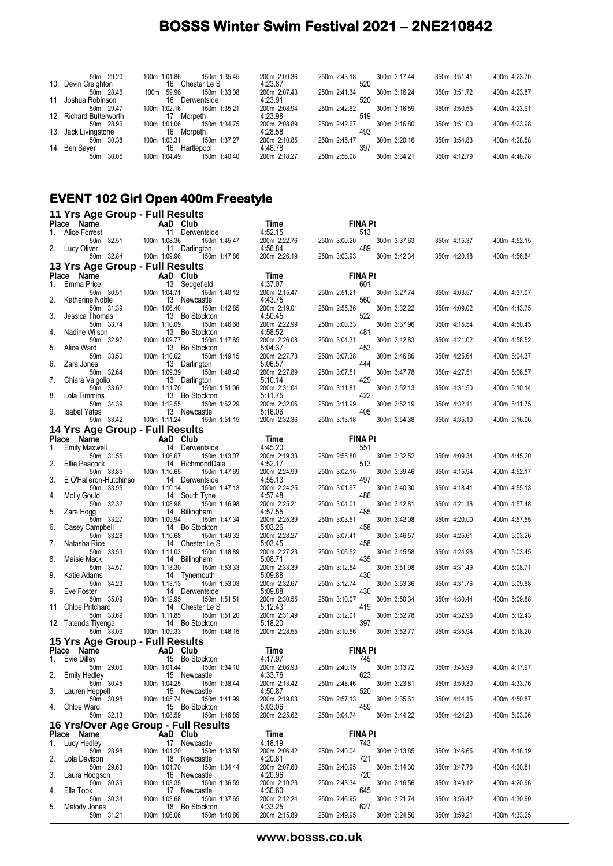| 50m 29.20                | 150m 1:35.45<br>100m 1:01.86  | 200m 2:09.36 | 250m 2:43.18 | 300m 3:17.44 | 350m 3:51.41 | 400m 4:23.70 |
|--------------------------|-------------------------------|--------------|--------------|--------------|--------------|--------------|
| 10. Devin Creighton      | 16<br>Chester Le S            | 4:23.87      | 520          |              |              |              |
| 50m 28.46                | 150m 1:33.08<br>59.96<br>100m | 200m 2:07.43 | 250m 2:41.34 | 300m 3:16.24 | 350m 3:51.72 | 400m 4:23.87 |
| 11. Joshua Robinson      | 16<br>Derwentside             | 4:23.91      | 520          |              |              |              |
| 50m 29.47                | 150m 1:35.21<br>100m 1:02.16  | 200m 2:08.94 | 250m 2:42.62 | 300m 3:16.59 | 350m 3:50.55 | 400m 4:23.91 |
| 12. Richard Butterworth  | 17<br>Morpeth                 | 4:23.98      | 519          |              |              |              |
| 50m 28.96                | 150m 1:34.75<br>100m 1:01.06  | 200m 2:08.89 | 250m 2:42.67 | 300m 3:16.80 | 350m 3:51.00 | 400m 4:23.98 |
| 13. Jack Livingstone     | 16<br>Morpeth                 | 4:28.58      | 493          |              |              |              |
| 30.38<br>50 <sub>m</sub> | 150m 1:37.27<br>100m 1:03.31  | 200m 2:10.85 | 250m 2:45.47 | 300m 3:20.16 | 350m 3:54.83 | 400m 4:28.58 |
| 14. Ben Saver            | 16<br>Hartlepool              | 4:48.78      | 397          |              |              |              |
| 30.05<br>50m             | 150m 1:40.40<br>100m 1:04.49  | 200m 2:18.27 | 250m 2:56.08 | 300m 3:34.21 | 350m 4:12.79 | 400m 4:48.78 |
|                          |                               |              |              |              |              |              |

#### **EVENT 102 Girl Open 400m Freestyle**

| AaD Club<br>Place Name<br>Time<br><b>FINA Pt</b><br>11 Derwentside<br>4:52.15<br>Alice Forrest<br>513<br>1.<br>100m 1:08.36<br>200m 2:22.76<br>50m 32.51<br>150m 1:45.47<br>250m 3:00.20<br>300m 3:37.63<br>489<br>2.<br>Lucy Oliver<br>4:56.84<br>11 Darlington | 400m 4:52.15<br>350m 4:15.37 |
|------------------------------------------------------------------------------------------------------------------------------------------------------------------------------------------------------------------------------------------------------------------|------------------------------|
|                                                                                                                                                                                                                                                                  |                              |
|                                                                                                                                                                                                                                                                  |                              |
| 50m 32.84<br>100m 1:09.96<br>150m 1:47.86<br>200m 2:26.19<br>250m 3:03.93<br>300m 3:42.34                                                                                                                                                                        | 350m 4:20.18<br>400m 4:56.84 |
| 13 Yrs Age Group - Full Results                                                                                                                                                                                                                                  |                              |
| Place Name<br>AaD Club<br>Time<br><b>FINA Pt</b><br>13 Sedgefield<br>Emma Price<br>4:37.07<br>601<br>1.                                                                                                                                                          |                              |
| 100m 1:04.71<br>50m 30.51<br>150m 1:40.12<br>200m 2:15.47<br>250m 2:51.21<br>300m 3:27.74                                                                                                                                                                        | 350m 4:03.57<br>400m 4:37.07 |
| 4:43.75<br>2.<br>13 Newcastle<br>560<br>Katherine Noble                                                                                                                                                                                                          |                              |
| 100m 1:06.40<br>200m 2:19.01<br>250m 2:55.36<br>300m 3:32.22<br>50m 31.39<br>150m 1:42.85<br>522<br>3.<br>13 Bo Stockton<br>4:50.45<br>Jessica Thomas                                                                                                            | 350m 4:09.02<br>400m 4:43.75 |
| 50m 33.74<br>100m 1:10.09<br>150m 1:46.68<br>200m 2:22.99<br>250m 3:00.33<br>300m 3:37.96<br>481<br>13 Bo Stockton<br>4:58.52<br>Nadine Wilson<br>4.                                                                                                             | 350m 4:15.54<br>400m 4:50.45 |
| 50m 32.97<br>100m 1:09.77<br>200m 2:26.08<br>250m 3:04.31<br>300m 3:42.83<br>150m 1:47.85                                                                                                                                                                        | 350m 4:21.02<br>400m 4:58.52 |
| 5:04.37<br>453<br>5.<br>Alice Ward<br>13 Bo Stockton<br>50m 33.50<br>100m 1:10.62<br>150m 1:49.15<br>200m 2:27.73<br>250m 3:07.38<br>300m 3:46.86                                                                                                                | 350m 4:25.64<br>400m 5:04.37 |
| 6.<br>444<br>13 Darlington<br>5:06.57<br>Zara Jones                                                                                                                                                                                                              |                              |
| 50m 32.64<br>100m 1:09.39<br>150m 1:48.40<br>200m 2:27.89<br>250m 3:07.51<br>300m 3:47.78<br>429<br>13 Darlington<br>5:10.14<br>7.<br>Chiara Valgolio                                                                                                            | 350m 4:27.51<br>400m 5:06.57 |
| 100m 1:11.70<br>50m 33.62<br>150m 1:51.06<br>200m 2:31.04<br>250m 3:11.81<br>300m 3:52.13                                                                                                                                                                        | 350m 4:31.50<br>400m 5:10.14 |
| 422<br>13 Bo Stockton<br>5:11.75<br>8.<br>Lola Timmins                                                                                                                                                                                                           |                              |
| 50m 34.39<br>100m 1:12.55<br>150m 1:52.29<br>200m 2:32.06<br>250m 3:11.99<br>300m 3:52.19<br>5:16.06<br>405<br>9.<br>13 Newcastle<br><b>Isabel Yates</b>                                                                                                         | 350m 4:32.11<br>400m 5:11.75 |
| 200m 2:32.36<br>50m 33.42<br>100m 1:11.24<br>250m 3:13.18<br>300m 3:54.38<br>150m 1:51.15                                                                                                                                                                        | 350m 4:35.10<br>400m 5:16.06 |
| 14 Yrs Age Group - Full Results                                                                                                                                                                                                                                  |                              |
| <b>FINA Pt</b><br>Place Name<br>AaD Club<br>Time<br>4:45.20<br>14 Derwentside<br>551                                                                                                                                                                             |                              |
| Emily Maxwell<br>1.<br>200m 2:19.33<br>50m 31.55<br>100m 1:06.67<br>150m 1:43.07<br>300m 3:32.52<br>250m 2:55.80                                                                                                                                                 | 350m 4:09.34<br>400m 4:45.20 |
| 4:52.17<br>2.<br><b>Ellie Peacock</b><br>14 RichmondDale<br>513                                                                                                                                                                                                  |                              |
| 100m 1:10.65<br>150m 1:47.69<br>200m 2:24.99<br>250m 3:02.15<br>300m 3:39.46<br>50m 33.85<br>E O'Halleron-Hutchinso<br>4:55.13<br>3.<br>14 Derwentside<br>497                                                                                                    | 350m 4:15.94<br>400m 4:52.17 |
| 100m 1:10.14<br>150m 1:47.13<br>200m 2:24.25<br>250m 3:01.97<br>50m 33.95<br>300m 3:40.30                                                                                                                                                                        | 350m 4:18.41<br>400m 4:55.13 |
| 486<br><b>Molly Gould</b><br>14 South Tyne<br>4:57.48<br>4.<br>50m 32.32<br>100m 1:08.98<br>150m 1:46.98<br>200m 2:25.21<br>250m 3:04.01<br>300m 3:42.81                                                                                                         | 350m 4:21.18<br>400m 4:57.48 |
| 485<br>5.<br>14 Billingham<br>4:57.55<br>Zara Hogg                                                                                                                                                                                                               |                              |
| 50m 33.27<br>100m 1:09.94<br>150m 1:47.34<br>200m 2:25.39<br>250m 3:03.51<br>300m 3:42.08                                                                                                                                                                        | 350m 4:20.00<br>400m 4:57.55 |
| 6.<br>5:03.26<br>458<br>Casey Campbell<br>14 Bo Stockton<br>50m 33.28<br>100m 1:10.68<br>150m 1:49.32<br>200m 2:28.27<br>250m 3:07.41<br>300m 3:46.57                                                                                                            | 350m 4:25.61<br>400m 5:03.26 |
| 458<br>7.<br>Natasha Rice<br>14 Chester Le S<br>5:03.45                                                                                                                                                                                                          |                              |
| 200m 2:27.23<br>50m 33.53<br>100m 1:11.03<br>150m 1:48.89<br>250m 3:06.52<br>300m 3:45.58<br>5:08.71<br>8.<br>14 Billingham<br>435<br>Maisie Mack                                                                                                                | 350m 4:24.98<br>400m 5:03.45 |
| 100m 1:13.30<br>200m 2:33.39<br>250m 3:12.54<br>300m 3:51.98<br>50m 34.57<br>150m 1:53.33                                                                                                                                                                        | 350m 4:31.49<br>400m 5:08.71 |
| 430<br>9.<br>5:09.88<br>Katie Adams<br>14 Tynemouth<br>50m 34.23<br>100m 1:13.13<br>150m 1:53.03<br>200m 2:32.67<br>300m 3:53.36<br>250m 3:12.74                                                                                                                 | 350m 4:31.76<br>400m 5:09.88 |
| 430<br>Eve Foster<br>14 Derwentside<br>5:09.88<br>9.                                                                                                                                                                                                             |                              |
| 50m 35.09<br>100m 1:12.95<br>200m 2:30.55<br>250m 3:10.07<br>300m 3:50.34<br>150m 1:51.51<br>5:12.43<br>419<br>11. Chloe Pritchard<br>14 Chester Le S                                                                                                            | 350m 4:30.44<br>400m 5:09.88 |
| 200m 2:31.49<br>50m 33.69<br>100m 1:11.85<br>150m 1:51.20<br>250m 3:12.01<br>300m 3:52.78                                                                                                                                                                        | 350m 4:32.96<br>400m 5:12.43 |
| 5:18.20<br>397<br>14 Bo Stockton<br>12. Tatenda Tiyenga                                                                                                                                                                                                          |                              |
| 50m 33.09<br>100m 1:09.33<br>150m 1:48.15<br>200m 2:28.55<br>250m 3:10.56<br>300m 3:52.77<br>15 Yrs Age Group - Full Results                                                                                                                                     | 350m 4:35.94<br>400m 5:18.20 |
| <b>Example 2</b> AaD Club<br><b>FINA Pt</b><br>Place Name<br>Time                                                                                                                                                                                                |                              |
| 745<br>1. Evie Dilley<br>15 Bo Stockton<br>4:17.97                                                                                                                                                                                                               |                              |
| 100m 1:01.44<br>50m 29.06<br>150m 1:34.10<br>200m 2:06.93<br>250m 2:40.19<br>300m 3:13.72<br>2.<br>Emily Hedley<br>4:33.76<br>623<br>15 Newcastle                                                                                                                | 350m 3:45.99<br>400m 4:17.97 |
| 50m 30.45<br>150m 1:38.44<br>200m 2:13.42<br>300m 3:23.81<br>100m 1:04.25<br>250m 2:48.46                                                                                                                                                                        | 350m 3:59.30<br>400m 4:33.76 |
| 3.<br>15 Newcastle<br>520<br>Lauren Heppell<br>4:50.87<br>50m 30.98<br>100m 1:05.74<br>150m 1:41.99<br>200m 2:19.03<br>300m 3:35.61<br>250m 2:57.13                                                                                                              | 350m 4:14.15<br>400m 4:50.87 |
| 459<br>Chloe Ward<br>15 Bo Stockton<br>5:03.06<br>4.                                                                                                                                                                                                             |                              |
| 50m 32.13<br>100m 1:08.59<br>200m 2:25.62<br>250m 3:04.74<br>150m 1:46.85<br>300m 3:44.22                                                                                                                                                                        | 350m 4:24.23<br>400m 5:03.06 |
| 16 Yrs/Over Age Group - Full Results<br>Place Name<br>Time<br><b>FINA Pt</b><br>AaD Club                                                                                                                                                                         |                              |
| 4:18.19<br>1. Lucy Hedley<br>17 Newcastle<br>743                                                                                                                                                                                                                 |                              |
| 150m 1:33.58<br>200m 2:06.42<br>50m 28.98<br>100m 1:01.20<br>250m 2:40.04<br>300m 3:13.85                                                                                                                                                                        | 350m 3:46.65<br>400m 4:18.19 |
| 2.<br>721<br>Lola Davison<br>18 Newcastle<br>4:20.81<br>50m 29.63<br>100m 1:01.70<br>150m 1:34.44<br>200m 2:07.60<br>250m 2:40.95<br>300m 3:14.30                                                                                                                | 400m 4:20.81<br>350m 3:47.76 |
| 3.<br>4:20.96<br>720<br>Laura Hodgson<br>16 Newcastle                                                                                                                                                                                                            |                              |
| 100m 1:03.35<br>200m 2:10.23<br>250m 2:43.34<br>50m 30.39<br>150m 1:36.59<br>300m 3:16.56<br>645<br>Ella Took<br>4.<br>17 Newcastle<br>4:30.60                                                                                                                   | 350m 3:49.12<br>400m 4:20.96 |
| 50m 30.34<br>250m 2:46.95<br>300m 3:21.74<br>100m 1:03.68<br>150m 1:37.65<br>200m 2:12.24<br>627<br>5.<br>Melody Jones<br>18 Bo Stockton<br>4:33.25                                                                                                              | 350m 3:56.42<br>400m 4:30.60 |
| 100m 1:06.06<br>250m 2:49.95<br>50m 31.21<br>150m 1:40.86<br>200m 2:15.89<br>300m 3:24.56                                                                                                                                                                        | 350m 3:59.21<br>400m 4:33.25 |

**www.bosss.co.uk**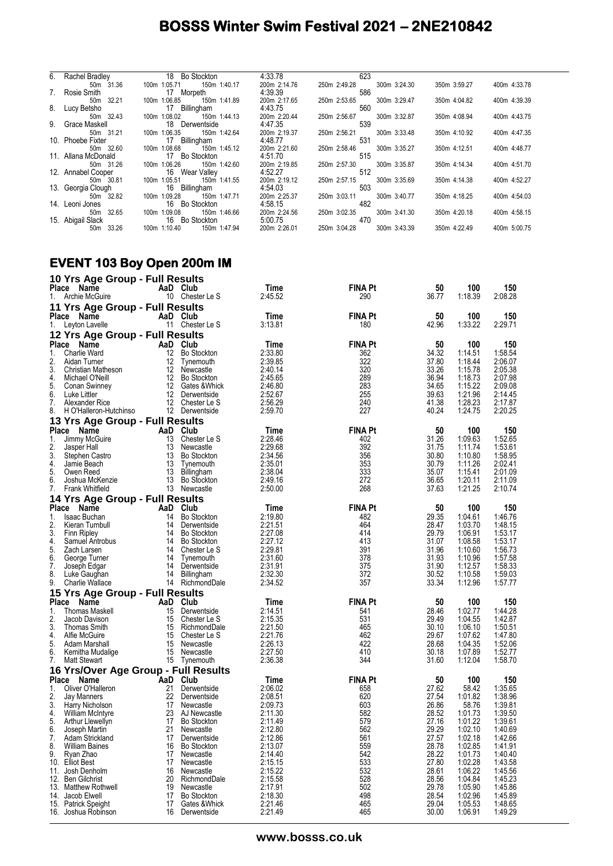| 6. Rachel Bradley   | 18 Bo Stockton               | 4:33.78      | 623          |              |              |              |
|---------------------|------------------------------|--------------|--------------|--------------|--------------|--------------|
| 50m 31.36           | 150m 1:40.17<br>100m 1:05.71 | 200m 2:14.76 | 250m 2:49.28 | 300m 3:24.30 | 350m 3:59.27 | 400m 4:33.78 |
| 7. Rosie Smith      | 17 Morpeth                   | 4:39.39      | 586          |              |              |              |
| 50m 32.21           | 150m 1:41.89<br>100m 1:06.85 | 200m 2:17.65 | 250m 2:53.65 | 300m 3:29.47 | 350m 4:04.82 | 400m 4:39.39 |
| 8. Lucy Betsho      | 17 Billingham                | 4:43.75      | 560          |              |              |              |
| 50m 32.43           | 100m 1:08.02 150m 1:44.13    | 200m 2:20.44 | 250m 2:56.67 | 300m 3:32.87 | 350m 4:08.94 | 400m 4:43.75 |
| 9. Grace Maskell    | 18 Derwentside               | 4:47.35      | 539          |              |              |              |
| 50m 31.21           | 150m 1:42.64<br>100m 1:06.35 | 200m 2:19.37 | 250m 2:56.21 | 300m 3:33.48 | 350m 4:10.92 | 400m 4:47.35 |
| 10. Phoebe Fixter   | 17 Billingham                | 4:48.77      | 531          |              |              |              |
| 50m 32.60           | 100m 1:08.68<br>150m 1:45.12 | 200m 2:21.60 | 250m 2:58.46 | 300m 3:35.27 | 350m 4:12.51 | 400m 4:48.77 |
| 11. Allana McDonald | 17 Bo Stockton               | 4:51.70      | 515          |              |              |              |
| 50m 31.26           | 100m 1:06.26<br>150m 1:42.60 | 200m 2:19.85 | 250m 2:57.30 | 300m 3:35.87 | 350m 4:14.34 | 400m 4:51.70 |
| 12. Annabel Cooper  | 16 Wear Valley               | 4:52.27      | 512          |              |              |              |
| 50m 30.81           | 150m 1:41.55<br>100m 1:05.51 | 200m 2:19.12 | 250m 2:57.15 | 300m 3:35.69 | 350m 4:14.38 | 400m 4:52.27 |
| 13. Georgia Clough  | 16 Billingham                | 4:54.03      | 503          |              |              |              |
| 50m 32.82           | 150m 1:47.71<br>100m 1:09.28 | 200m 2:25.37 | 250m 3:03.11 | 300m 3:40.77 | 350m 4:18.25 | 400m 4:54.03 |
| 14. Leoni Jones     | 16 Bo Stockton               | 4:58.15      | 482          |              |              |              |
| 50m 32.65           | 100m 1:09.08<br>150m 1:46.66 | 200m 2:24.56 | 250m 3:02.35 | 300m 3:41.30 | 350m 4:20.18 | 400m 4:58.15 |
| 15. Abigail Slack   | 16 Bo Stockton               | 5:00.75      | 470          |              |              |              |
| 33.26<br>50m        | 150m 1:47.94<br>100m 1:10.40 | 200m 2:26.01 | 250m 3:04.28 | 300m 3:43.39 | 350m 4:22.49 | 400m 5:00.75 |

#### **EVENT 103 Boy Open 200m IM**

|          | 10 Yrs Age Group - Full Results       |          |                                    |                    |                       |                |                    |                    |
|----------|---------------------------------------|----------|------------------------------------|--------------------|-----------------------|----------------|--------------------|--------------------|
| 1.       | Place Name<br>Archie McGuire          |          | AaD Club<br>10 Chester Le S        | Time<br>2:45.52    | <b>FINA Pt</b><br>290 | 50<br>36.77    | 100<br>1:18.39     | 150<br>2:08.28     |
|          | 11 Yrs Age Group - Full Results       |          |                                    |                    |                       |                |                    |                    |
| Place    | Name                                  |          | AaD Club                           | Time               | FINA Pt               | 50             | 100                | 150                |
| 1.       | Leyton Lavelle                        |          | 11 Chester Le S                    | 3:13.81            | 180                   | 42.96          | 1:33.22            | 2:29.71            |
|          | 12 Yrs Age Group - Full Results       |          |                                    |                    |                       |                |                    |                    |
|          | Place Name                            |          | AaD Club                           | Time               | <b>FINA Pt</b>        | 50             | 100                | 150                |
| 1.       | Charlie Ward                          | 12       | <b>Bo Stockton</b>                 | 2:33.80            | 362                   | 34.32          | 1:14.51            | 1:58.54            |
| 2.       | Aidan Turner                          | 12       | Tynemouth                          | 2:39.85            | 322                   | 37.80          | 1:18.44            | 2:06.07            |
| 3.       | Christian Matheson                    | 12       | Newcastle                          | 2:40.14            | 320                   | 33.26          | 1:15.78            | 2:05.38            |
| 4.<br>5. | Michael O'Neill                       | 12<br>12 | <b>Bo Stockton</b>                 | 2:45.65<br>2:46.80 | 289<br>283            | 36.94<br>34.65 | 1:18.73<br>1:15.22 | 2:07.98            |
| 6.       | Conan Swinney<br>Luke Littler         |          | Gates & Whick<br>12 Derwentside    | 2:52.67            | 255                   | 39.63          | 1:21.96            | 2:09.08<br>2:14.45 |
| 7.       | Alexander Rice                        |          | 12 Chester Le S                    | 2:56.29            | 240                   | 41.38          | 1:28.23            | 2:17.87            |
| 8.       | H O'Halleron-Hutchinso                |          | 12 Derwentside                     | 2:59.70            | 227                   | 40.24          | 1:24.75            | 2:20.25            |
|          | 13 Yrs Age Group - Full Results       |          |                                    |                    |                       |                |                    |                    |
|          | Place Name                            |          | AaD Club                           | Time               | <b>FINA Pt</b>        | 50             | 100                | 150                |
| 1.       | Jimmy McGuire                         | 13       | Chester Le S                       | 2:28.46            | 402                   | 31.26          | 1:09.63            | 1:52.65            |
| 2.       | Jasper Hall                           | 13       | Newcastle                          | 2:29.68            | 392                   | 31.75          | 1:11.74            | 1:53.61            |
| 3.       | Stephen Castro                        | 13       | <b>Bo Stockton</b>                 | 2:34.56            | 356                   | 30.80          | 1:10.80            | 1:58.95            |
| 4.<br>5. | Jamie Beach                           | 13       | 13 Tynemouth                       | 2:35.01<br>2:38.04 | 353<br>333            | 30.79          | 1:11.26<br>1:15.41 | 2:02.41            |
| 6.       | Owen Reed<br>Joshua McKenzie          | 13       | Billingham<br><b>Bo Stockton</b>   | 2:49.16            | 272                   | 35.07<br>36.65 | 1:20.11            | 2:01.09<br>2:11.09 |
| 7.       | <b>Frank Whitfield</b>                |          | 13 Newcastle                       | 2:50.00            | 268                   | 37.63          | 1:21.25            | 2:10.74            |
|          | 14 Yrs Age Group - Full Results       |          |                                    |                    |                       |                |                    |                    |
|          | Place Name                            | AaD      | Club                               | Time               | <b>FINA Pt</b>        | 50             | 100                | 150                |
| 1.       | Isaac Buchan                          | 14       | <b>Bo Stockton</b>                 | 2:19.80            | 482                   | 29.35          | 1:04.61            | 1:46.76            |
| 2.       | Kieran Turnbull                       | 14       | Derwentside                        | 2:21.51            | 464                   | 28.47          | 1:03.70            | 1:48.15            |
| 3.       | Finn Ripley                           | 14       | <b>Bo Stockton</b>                 | 2:27.08            | 414                   | 29.79          | 1:06.91            | 1:53.17            |
| 4.<br>5. | Samuel Antrobus                       | 14       | <b>Bo Stockton</b>                 | 2:27.12<br>2:29.81 | 413                   | 31.07          | 1:08.58            | 1:53.17            |
| 6.       | Zach Larsen<br>George Turner          | 14<br>14 | Chester Le S<br>Tynemouth          | 2:31.60            | 391<br>378            | 31.96<br>31.93 | 1:10.60<br>1:10.96 | 1:56.73<br>1:57.58 |
| 7.       | Joseph Edgar                          | 14       | Derwentside                        | 2:31.91            | 375                   | 31.90          | 1:12.57            | 1:58.33            |
| 8.       | Luke Gaughan                          | 14       | Billingham                         | 2:32.30            | 372                   | 30.52          | 1:10.58            | 1:59.03            |
| 9.       | <b>Charlie Wallace</b>                |          | 14 RichmondDale                    | 2:34.52            | 357                   | 33.34          | 1:12.96            | 1:57.77            |
|          | 15 Yrs Age Group - Full Results       |          |                                    |                    |                       |                |                    |                    |
| Place    | Name                                  | AaD      | Club                               | Time               | <b>FINA Pt</b>        | 50             | 100                | 150                |
| 1.       | <b>Thomas Maskell</b>                 | 15       | Derwentside                        | 2:14.51            | 541                   | 28.46          | 1:02.77            | 1:44.28            |
| 2.       | Jacob Davison                         | 15       | Chester Le S                       | 2:15.35            | 531                   | 29.49          | 1:04.55            | 1:42.87            |
| 3.<br>4. | Thomas Smith<br>Alfie McGuire         | 15<br>15 | RichmondDale<br>Chester Le S       | 2:21.50<br>2:21.76 | 465<br>462            | 30.10<br>29.67 | 1:06.10<br>1:07.62 | 1:50.51<br>1:47.80 |
| 5.       | Adam Marshall                         | 15       | Newcastle                          | 2:26.13            | 422                   | 28.68          | 1:04.35            | 1:52.06            |
| 6.       | Kemitha Mudalige                      |          | 15 Newcastle                       | 2:27.50            | 410                   | 30.18          | 1:07.89            | 1:52.77            |
| 7.       | Matt Stewart                          |          | 15 Tynemouth                       | 2:36.38            | 344                   | 31.60          | 1:12.04            | 1:58.70            |
|          | 16 Yrs/Over Age Group - Full Results  |          |                                    |                    |                       |                |                    |                    |
|          | Place Name                            |          | AaD Club                           | Time               | <b>FINA Pt</b>        | 50             | 100                | 150                |
| 1.       | Oliver O'Halleron                     | 21       | Derwentside                        | 2:06.02            | 658                   | 27.62          | 58.42              | 1:35.65            |
| 2.       | Jay Manners                           | 22       | Derwentside                        | 2:08.51            | 620                   | 27.54          | 1:01.82            | 1:38.96            |
| 3.<br>4. | Harry Nicholson                       | 17<br>23 | Newcastle                          | 2:09.73<br>2:11.30 | 603<br>582            | 26.86<br>28.52 | 58.76<br>1:01.73   | 1:39.81<br>1:39.50 |
| 5.       | William McIntyre<br>Arthur Llewellyn  | 17       | AJ Newcastle<br><b>Bo Stockton</b> | 2:11.49            | 579                   | 27.16          | 1:01.22            | 1:39.61            |
| 6.       | Joseph Martin                         | 21       | Newcastle                          | 2:12.80            | 562                   | 29.29          | 1:02.10            | 1:40.69            |
| 7.       | Adam Strickland                       | 17       | Derwentside                        | 2:12.86            | 561                   | 21.51          | 1:02.18            | 1:42.66            |
| 8.       | <b>William Baines</b>                 | 16       | <b>Bo Stockton</b>                 | 2:13.07            | 559                   | 28.78          | 1:02.85            | 1:41.91            |
| 9.       | Ryan Zhao                             | 17       | Newcastle                          | 2:14.40            | 542                   | 28.22          | 1:01.73            | 1:40.40            |
|          | 10. Elliot Best                       | 17       | Newcastle<br>Newcastle             | 2:15.15            | 533                   | 27.80          | 1:02.28            | 1:43.58<br>1:45.56 |
|          | 11. Josh Denholm<br>12. Ben Gilchrist | 16<br>20 | RichmondDale                       | 2:15.22<br>2:15.58 | 532<br>528            | 28.61<br>28.56 | 1:06.22<br>1:04.84 | 1:45.23            |
|          | 13. Matthew Rothwell                  | 19       | Newcastle                          | 2:17.91            | 502                   | 29.78          | 1:05.90            | 1:45.86            |
|          | 14. Jacob Elwell                      | 17       | <b>Bo Stockton</b>                 | 2:18.30            | 498                   | 28.54          | 1:02.96            | 1:45.89            |
|          | 15. Patrick Speight                   | 17       | Gates & Whick                      | 2:21.46            | 465                   | 29.04          | 1:05.53            | 1:48.65            |
|          | 16. Joshua Robinson                   | 16       | Derwentside                        | 2:21.49            | 465                   | 30.00          | 1:06.91            | 1:49.29            |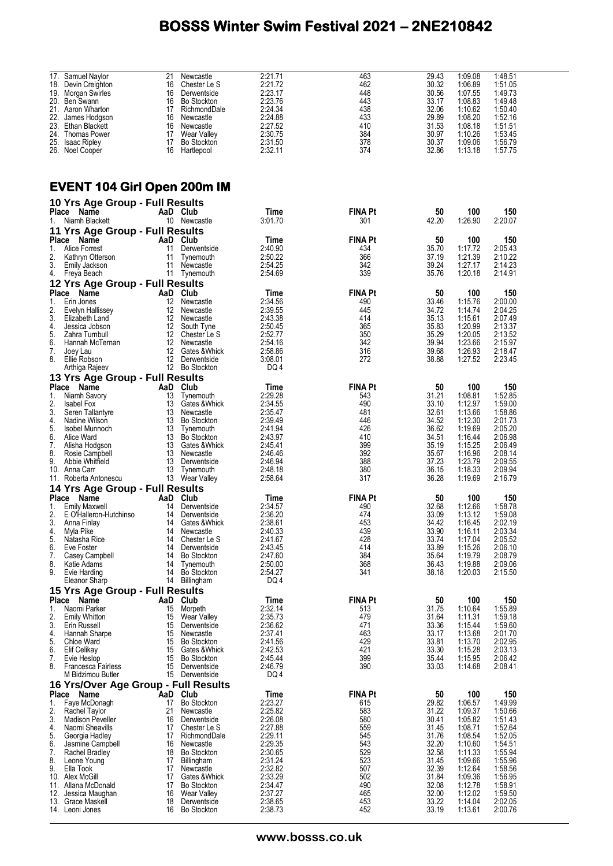|              | 17. Samuel Naylor                    | 21              | Newcastle          | 2:21.71 | 463            | 29.43 | 1:09.08 | 1:48.51 |  |
|--------------|--------------------------------------|-----------------|--------------------|---------|----------------|-------|---------|---------|--|
|              | 18. Devin Creighton                  | 16              | Chester Le S       | 2:21.72 | 462            | 30.32 | 1:06.89 | 1:51.05 |  |
|              | 19. Morgan Swirles                   | 16              | Derwentside        | 2:23.17 | 448            | 30.56 | 1:07.55 | 1:49.73 |  |
|              | 20. Ben Swann                        | 16              | <b>Bo Stockton</b> | 2:23.76 | 443            | 33.17 | 1:08.83 | 1:49.48 |  |
|              |                                      | 17              |                    |         |                |       |         |         |  |
|              | 21. Aaron Wharton                    |                 | RichmondDale       | 2:24.34 | 438            | 32.06 | 1:10.62 | 1:50.40 |  |
| 22.          | James Hodgson                        | 16              | Newcastle          | 2:24.88 | 433            | 29.89 | 1:08.20 | 1:52.16 |  |
|              | 23. Ethan Blackett                   | 16              | Newcastle          | 2:27.52 | 410            | 31.53 | 1:08.18 | 1:51.51 |  |
|              | 24. Thomas Power                     |                 | 17 Wear Valley     | 2:30.75 | 384            | 30.97 | 1:10.26 | 1:53.45 |  |
|              | 25. Isaac Ripley                     | 17              | Bo Stockton        | 2:31.50 | 378            | 30.37 | 1:09.06 | 1:56.79 |  |
|              | 26. Noel Cooper                      |                 | 16 Hartlepool      | 2:32.11 | 374            | 32.86 | 1:13.18 | 1:57.75 |  |
|              |                                      |                 |                    |         |                |       |         |         |  |
|              |                                      |                 |                    |         |                |       |         |         |  |
|              |                                      |                 |                    |         |                |       |         |         |  |
|              | <b>EVENT 104 Girl Open 200m IM</b>   |                 |                    |         |                |       |         |         |  |
|              | 10 Yrs Age Group - Full Results      |                 |                    |         |                |       |         |         |  |
|              | Place Name                           | AaD Club        |                    | Time    | <b>FINA Pt</b> | 50    | 100     | 150     |  |
|              |                                      |                 |                    |         |                |       |         |         |  |
| 1.           | Niamh Blackett                       |                 | 10 Newcastle       | 3:01.70 | 301            | 42.20 | 1:26.90 | 2:20.07 |  |
|              | 11 Yrs Age Group - Full Results      |                 |                    |         |                |       |         |         |  |
|              | Place Name                           | AaD Club        |                    | Time    | <b>FINA Pt</b> | 50    | 100     | 150     |  |
| 1.           | Alice Forrest                        | 11              | Derwentside        | 2:40.90 | 434            | 35.70 | 1:17.72 | 2:05.43 |  |
| 2.           | Kathryn Otterson                     | 11              | Tynemouth          | 2:50.22 | 366            | 37.19 | 1:21.39 | 2:10.22 |  |
| 3.           | Emily Jackson                        | 11              | Newcastle          | 2:54.25 | 342            | 39.24 | 1:27.17 | 2:14.23 |  |
|              |                                      |                 |                    |         |                |       |         |         |  |
| 4.           | Freya Beach                          |                 | 11 Tynemouth       | 2:54.69 | 339            | 35.76 | 1:20.18 | 2:14.91 |  |
|              | 12 Yrs Age Group - Full Results      |                 |                    |         |                |       |         |         |  |
| <b>Place</b> | Name                                 | AaD Club        |                    | Time    | <b>FINA Pt</b> | 50    | 100     | 150     |  |
| 1.           | Erin Jones                           | 12              | Newcastle          | 2:34.56 | 490            | 33.46 | 1:15.76 | 2:00.00 |  |
|              | Evelyn Hallissey                     | 12              | Newcastle          | 2:39.55 | 445            | 34.72 | 1:14.74 | 2:04.25 |  |
| 2.           |                                      |                 |                    |         |                |       |         |         |  |
| 3.           | Elizabeth Land                       | 12              | Newcastle          | 2:43.38 | 414            | 35.13 | 1:15.61 | 2:07.49 |  |
| 4.           | Jessica Jobson                       | 12 <sup>°</sup> | South Tyne         | 2:50.45 | 365            | 35.83 | 1:20.99 | 2:13.37 |  |
| 5.           | Zahra Turnbull                       |                 | 12 Chester Le S    | 2:52.77 | 350            | 35.29 | 1:20.05 | 2:13.52 |  |
| 6.           | Hannah McTernan                      | 12              | Newcastle          | 2:54.16 | 342            | 39.94 | 1:23.66 | 2:15.97 |  |
| 7.           | Joey Lau                             | 12              | Gates &Whick       | 2:58.86 | 316            | 39.68 | 1:26.93 | 2:18.47 |  |
| 8.           | Ellie Robson                         |                 | 12 Derwentside     | 3:08.01 | 272            | 38.88 | 1:27.52 | 2:23.45 |  |
|              | Arthiga Rajeev                       |                 | 12 Bo Stockton     | DQ 4    |                |       |         |         |  |
|              |                                      |                 |                    |         |                |       |         |         |  |
|              | 13 Yrs Age Group - Full Results      |                 |                    |         |                |       |         |         |  |
|              | Place Name                           | AaD Club        |                    | Time    | <b>FINA Pt</b> | 50    | 100     | 150     |  |
| 1.           | Niamh Savory                         | 13              | Tynemouth          | 2:29.28 | 543            | 31.21 | 1:08.81 | 1:52.85 |  |
| 2.           | <b>Isabel Fox</b>                    | 13              | Gates & Whick      | 2:34.55 | 490            | 33.10 | 1:12.97 | 1:59.00 |  |
| 3.           | Seren Tallantyre                     | 13              | Newcastle          | 2:35.47 | 481            | 32.61 | 1:13.66 | 1:58.86 |  |
| 4.           | Nadine Wilson                        | 13              | <b>Bo Stockton</b> | 2:39.49 | 446            | 34.52 | 1:12.30 | 2:01.73 |  |
| 5.           | Isobel Munnoch                       | 13              | Tynemouth          | 2:41.94 | 426            | 36.62 | 1:19.69 | 2:05.20 |  |
| 6.           | Alice Ward                           | 13              | Bo Stockton        | 2:43.97 | 410            | 34.51 | 1:16.44 | 2:06.98 |  |
| 7.           | Alisha Hodgson                       | 13              | Gates &Whick       | 2:45.41 | 399            | 35.19 | 1:15.25 | 2:06.49 |  |
|              |                                      |                 |                    |         | 392            |       | 1:16.96 |         |  |
| 8.           | Rosie Campbell                       | 13              | Newcastle          | 2:46.46 |                | 35.67 |         | 2:08.14 |  |
| 9.           | Abbie Whitfield                      | 13              | Derwentside        | 2:46.94 | 388            | 37.23 | 1:23.79 | 2:09.55 |  |
|              | 10. Anna Carr                        |                 | 13 Tynemouth       | 2:48.18 | 380            | 36.15 | 1:18.33 | 2:09.94 |  |
|              | 11. Roberta Antonescu                |                 | 13 Wear Valley     | 2:58.64 | 317            | 36.28 | 1:19.69 | 2:16.79 |  |
|              | 14 Yrs Age Group - Full Results      |                 |                    |         |                |       |         |         |  |
|              | Place Name                           | AaD             | Club               | Time    | <b>FINA Pt</b> | 50    | 100     | 150     |  |
| 1.           | <b>Emily Maxwell</b>                 | 14              | Derwentside        | 2:34.57 | 490            | 32.68 | 1:12.66 | 1:58.78 |  |
| 2.           | E O'Halleron-Hutchinso               | 14              | Derwentside        | 2:36.20 | 474            | 33.09 | 1:13.12 | 1:59.08 |  |
| 3.           | Anna Finlay                          |                 | 14 Gates & Whick   | 2:38.61 | 453            | 34.42 | 1:16.45 | 2:02.19 |  |
| 4.           | Myla Pike                            | 14              | Newcastle          | 2:40.33 | 439            | 33.90 | 1:16.11 | 2.03.34 |  |
| 5.           | Natasha Rice                         | 14              | Chester Le S       | 2:41.67 | 428            | 33.74 | 1:17.04 | 2:05.52 |  |
|              |                                      |                 |                    |         |                |       |         |         |  |
| 6.           | Eve Foster                           | 14              | Derwentside        | 2:43.45 | 414            | 33.89 | 1:15.26 | 2:06.10 |  |
| 7.           | Casey Campbell                       | 14              | <b>Bo Stockton</b> | 2:47.60 | 384            | 35.64 | 1:19.79 | 2:08.79 |  |
| 8.           | Katie Adams                          | 14              | Tynemouth          | 2:50.00 | 368            | 36.43 | 1:19.88 | 2:09.06 |  |
| 9.           | Evie Harding                         | 14              | <b>Bo Stockton</b> | 2:54.27 | 341            | 38.18 | 1:20.03 | 2:15.50 |  |
|              | <b>Eleanor Sharp</b>                 |                 | 14 Billingham      | DQ 4    |                |       |         |         |  |
|              | 15 Yrs Age Group - Full Results      |                 |                    |         |                |       |         |         |  |
|              | Place Name                           | AaD Club        |                    | Time    | <b>FINA Pt</b> | 50    | 100     | 150     |  |
| 1.           | Naomi Parker                         | 15              | Morpeth            | 2:32.14 | 513            | 31.75 | 1:10.64 | 1:55.89 |  |
|              |                                      |                 |                    |         |                |       |         |         |  |
| 2.           | <b>Emily Whitton</b>                 | 15              | Wear Valley        | 2:35.73 | 479            | 31.64 | 1:11.31 | 1:59.18 |  |
| 3.           | Erin Russell                         | 15              | Derwentside        | 2:36.62 | 471            | 33.36 | 1:15.44 | 1:59.60 |  |
| 4.           | Hannah Sharpe                        | 15              | Newcastle          | 2:37.41 | 463            | 33.17 | 1:13.68 | 2:01.70 |  |
| 5.           | Chloe Ward                           | 15              | <b>Bo Stockton</b> | 2:41.56 | 429            | 33.81 | 1:13.70 | 2:02.95 |  |
| 6.           | Elif Celikay                         | 15              | Gates & Whick      | 2:42.53 | 421            | 33.30 | 1:15.28 | 2:03.13 |  |
| 7.           | Evie Heslop                          | 15              | <b>Bo Stockton</b> | 2:45.44 | 399            | 35.44 | 1:15.95 | 2:06.42 |  |
| 8.           | <b>Francesca Fairless</b>            | 15              | Derwentside        | 2:46.79 | 390            | 33.03 | 1:14.68 | 2:08.41 |  |
|              | M Bidzimou Butler                    |                 | 15 Derwentside     | DQ 4    |                |       |         |         |  |
|              |                                      |                 |                    |         |                |       |         |         |  |
|              | 16 Yrs/Over Age Group - Full Results |                 |                    |         |                |       |         |         |  |
|              | Place Name                           | AaD Club        |                    | Time    | <b>FINA Pt</b> | 50    | 100     | 150     |  |
| 1.           | Faye McDonagh                        | 17              | <b>Bo Stockton</b> | 2:23.27 | 615            | 29.82 | 1:06.57 | 1:49.99 |  |
| 2.           | Rachel Taylor                        | 21              | Newcastle          | 2:25.82 | 583            | 31.22 | 1:09.37 | 1:50.66 |  |
| 3.           | <b>Madison Peveller</b>              | 16              | Derwentside        | 2:26.08 | 580            | 30.41 | 1:05.82 | 1:51.43 |  |
| 4.           | Naomi Sheavills                      | 17              | Chester Le S       | 2:27.88 | 559            | 31.45 | 1:08.71 | 1:52.64 |  |
| 5.           | Georgia Hadley                       | 17              | RichmondDale       | 2:29.11 | 545            | 31.76 | 1:08.54 | 1:52.05 |  |
|              |                                      |                 |                    |         |                |       |         |         |  |
| 6.           | Jasmine Campbell                     | 16              | Newcastle          | 2:29.35 | 543            | 32.20 | 1:10.60 | 1:54.51 |  |
| 7.           | Rachel Bradley                       | 18              | <b>Bo Stockton</b> | 2:30.65 | 529            | 32.58 | 1:11.33 | 1:55.94 |  |
| 8.           | Leone Young                          | 17              | Billingham         | 2:31.24 | 523            | 31.45 | 1:09.66 | 1:55.96 |  |
| 9.           | Ella Took                            | 17              | Newcastle          | 2:32.82 | 507            | 32.39 | 1:12.64 | 1:58.56 |  |
|              | 10. Alex McGill                      | 17              | Gates & Whick      | 2:33.29 | 502            | 31.84 | 1:09.36 | 1:56.95 |  |
|              | 11. Allana McDonald                  | 17              | <b>Bo Stockton</b> | 2:34.47 | 490            | 32.08 | 1:12.78 | 1:58.91 |  |
|              | 12. Jessica Maughan                  | 16              | Wear Valley        | 2:37.27 | 465            | 32.00 | 1:12.02 | 1:59.50 |  |
|              | 13. Grace Maskell                    | 18              | Derwentside        | 2:38.65 | 453            | 33.22 | 1:14.04 | 2:02.05 |  |
|              | 14. Leoni Jones                      | 16              | <b>Bo Stockton</b> | 2:38.73 | 452            | 33.19 | 1:13.61 | 2:00.76 |  |
|              |                                      |                 |                    |         |                |       |         |         |  |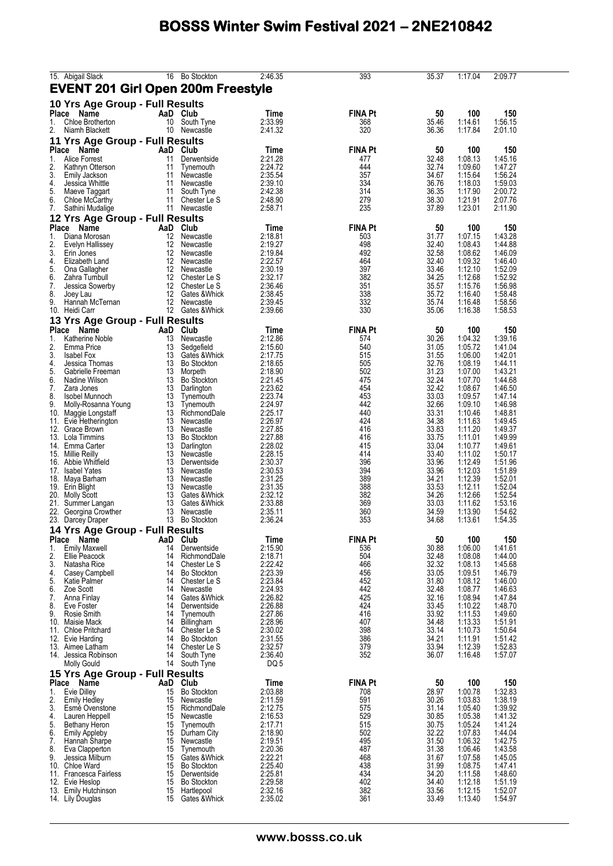| 15. Abigail Slack                                        |          | 16 Bo Stockton                      | 2:46.35            | 393            | 35.37          | 1:17.04            | 2:09.77            |
|----------------------------------------------------------|----------|-------------------------------------|--------------------|----------------|----------------|--------------------|--------------------|
| <b>EVENT 201 Girl Open 200m Freestyle</b>                |          |                                     |                    |                |                |                    |                    |
| 10 Yrs Age Group - Full Results<br>Place<br>Name         | AaD      | Club                                | Time               | <b>FINA Pt</b> | 50             | 100                | 150                |
| Chloe Brotherton<br>1.                                   | 10       | South Tyne                          | 2:33.99            | 368            | 35.46          | 1:14.61            | 1:56.15            |
| 2.<br>Niamh Blackett                                     |          | 10 Newcastle                        | 2:41.32            | 320            | 36.36          | 1:17.84            | 2:01.10            |
| 11 Yrs Age Group - Full Results<br>Place Name            |          | AaD Club                            | Time               | <b>FINA Pt</b> | 50             | 100                | 150                |
| 1.<br><b>Alice Forrest</b>                               | 11       | Derwentside                         | 2:21.28            | 477            | 32.48          | 1:08.13            | 1:45.16            |
| 2.<br>Kathryn Otterson                                   | 11       | Tynemouth                           | 2:24.72            | 444            | 32.74          | 1:09.60            | 1:47.27            |
| 3.<br><b>Emily Jackson</b><br>4.<br>Jessica Whittle      | 11<br>11 | Newcastle<br>Newcastle              | 2:35.54<br>2:39.10 | 357<br>334     | 34.67<br>36.76 | 1:15.64<br>1:18.03 | 1:56.24<br>1:59.03 |
| 5.<br>Maeve Taggart                                      | 11       | South Tyne                          | 2:42.38            | 314            | 36.35          | 1:17.90            | 2:00.72            |
| 6.<br>Chloe McCarthy                                     |          | 11 Chester Le S                     | 2:48.90            | 279            | 38.30          | 1:21.91            | 2:07.76            |
| 7.<br>Sathini Mudalige                                   |          | 11 Newcastle                        | 2:58.71            | 235            | 37.89          | 1:23.01            | 2:11.90            |
| 12 Yrs Age Group - Full Results<br>Place<br>Name         | AaD Club |                                     | Time               | <b>FINA Pt</b> | 50             | 100                | 150                |
| 1.<br>Diana Morosan                                      | 12       | Newcastle                           | 2:18.81            | 503            | 31.77          | 1:07.15            | 1:43.28            |
| 2.<br>Evelyn Hallissey<br>3.                             | 12<br>12 | Newcastle<br>Newcastle              | 2:19.27<br>2:19.84 | 498<br>492     | 32.40<br>32.58 | 1:08.43<br>1:08.62 | 1:44.88<br>1:46.09 |
| Erin Jones<br>4.<br>Elizabeth Land                       |          | 12 Newcastle                        | 2:22.57            | 464            | 32.40          | 1:09.32            | 1:46.40            |
| 5.<br>Ona Gallagher                                      | 12       | Newcastle                           | 2:30.19            | 397            | 33.46          | 1:12.10            | 1:52.09            |
| 6.<br>Zahra Turnbull<br>7.<br>Jessica Sowerby            | 12       | 12 Chester Le S<br>Chester Le S     | 2:32.17<br>2:36.46 | 382<br>351     | 34.25<br>35.57 | 1:12.68<br>1:15.76 | 1:52.92<br>1:56.98 |
| 8.<br>Joey Lau                                           | 12       | Gates & Whick                       | 2:38.45            | 338            | 35.72          | 1:16.40            | 1:58.48            |
| 9.<br>Hannah McTernan                                    |          | 12 Newcastle                        | 2:39.45            | 332            | 35.74          | 1:16.48            | 1:58.56            |
| 10. Heidi Carr                                           |          | 12 Gates & Whick                    | 2:39.66            | 330            | 35.06          | 1:16.38            | 1:58.53            |
| 13 Yrs Age Group - Full Results<br>Place<br>Name         | AaD      | Club                                | Time               | <b>FINA Pt</b> | 50             | 100                | 150                |
| 1.<br>Katherine Noble                                    | 13       | Newcastle                           | 2:12.86            | 574            | 30.26          | 1:04.32            | 1:39.16            |
| 2.<br>Emma Price                                         | 13       | Sedgefield                          | 2:15.60            | 540            | 31.05          | 1:05.72            | 1:41.04            |
| 3.<br><b>Isabel Fox</b><br>4.<br>Jessica Thomas          | 13<br>13 | Gates & Whick<br><b>Bo Stockton</b> | 2:17.75<br>2:18.65 | 515<br>505     | 31.55<br>32.76 | 1:06.00<br>1:08.19 | 1:42.01<br>1:44.11 |
| 5.<br>Gabrielle Freeman                                  | 13       | Morpeth                             | 2:18.90            | 502            | 31.23          | 1:07.00            | 1:43.21            |
| 6.<br>Nadine Wilson                                      | 13       | <b>Bo Stockton</b>                  | 2:21.45            | 475            | 32.24          | 1:07.70            | 1:44.68            |
| 7.<br>Zara Jones<br>8.<br>Isobel Munnoch                 | 13<br>13 | Darlington<br>Tynemouth             | 2:23.62<br>2:23.74 | 454<br>453     | 32.42<br>33.03 | 1:08.67<br>1:09.57 | 1:46.50<br>1:47.14 |
| 9.<br>Molly-Rosanna Young                                | 13       | Tynemouth                           | 2:24.97            | 442            | 32.66          | 1:09.10            | 1:46.98            |
| 10.<br>Maggie Longstaff                                  | 13       | RichmondDale                        | 2:25.17            | 440            | 33.31          | 1:10.46            | 1:48.81            |
| 11. Evie Hetherington<br>12.<br>Grace Brown              | 13<br>13 | Newcastle<br>Newcastle              | 2:26.97<br>2:27.85 | 424<br>416     | 34.38<br>33.83 | 1:11.63<br>1:11.20 | 1:49.45<br>1:49.37 |
| 13. Lola Timmins                                         | 13       | <b>Bo Stockton</b>                  | 2:27.88            | 416            | 33.75          | 1:11.01            | 1:49.99            |
| 14. Emma Carter                                          | 13<br>13 | Darlington                          | 2:28.02<br>2:28.15 | 415<br>414     | 33.04<br>33.40 | 1:10.77<br>1:11.02 | 1:49.61<br>1:50.17 |
| 15. Millie Reilly<br>16. Abbie Whitfield                 | 13       | Newcastle<br>Derwentside            | 2:30.37            | 396            | 33.96          | 1:12.49            | 1:51.96            |
| 17. Isabel Yates                                         | 13       | Newcastle                           | 2:30.53            | 394            | 33.96          | 1:12.03            | 1:51.89            |
| 18.<br>Maya Barham<br>19. Erin Blight                    | 13<br>13 | Newcastle<br>Newcastle              | 2:31.25<br>2:31.35 | 389<br>388     | 34.21<br>33.53 | 1:12.39<br>1:12.11 | 1:52.01<br>1:52.04 |
| 20. Molly Scott                                          | 13       | Gates & Whick                       | 2:32.12            | 382            | 34.26          | 1:12.66            | 1:52.54            |
| 21.<br>Summer Langan                                     | 13       | Gates & Whick                       | 2:33.88            | 369            | 33.03          | 1:11.62            | 1:53.16            |
| 22. Georgina Crowther<br>23. Darcey Draper               | 13<br>13 | Newcastle<br><b>Bo Stockton</b>     | 2:35.11<br>2:36.24 | 360<br>353     | 34.59<br>34.68 | 1:13.90<br>1:13.61 | 1:54.62<br>1:54.35 |
| 14 Yrs Age Group - Full Results                          |          |                                     |                    |                |                |                    |                    |
| Place Name                                               |          | AaD Club                            | Time               | <b>FINA Pt</b> | 50             | 100                | 150                |
| <b>Emily Maxwell</b><br>1.                               | 14       | Derwentside                         | 2:15.90            | 536            | 30.88          | 1:06.00            | 1:41.61            |
| 2.<br><b>Ellie Peacock</b><br>3.<br>Natasha Rice         | 14<br>14 | RichmondDale<br>Chester Le S        | 2:18.71<br>2:22.42 | 504<br>466     | 32.48<br>32.32 | 1:08.08<br>1:08.13 | 1:44.00<br>1:45.68 |
| 4.<br>Casey Campbell                                     | 14       | <b>Bo Stockton</b>                  | 2:23.39            | 456            | 33.05          | 1:09.51            | 1:46.79            |
| 5.<br><b>Katie Palmer</b>                                | 14<br>14 | Chester Le S<br>Newcastle           | 2:23.84<br>2:24.93 | 452<br>442     | 31.80<br>32.48 | 1:08.12<br>1:08.77 | 1:46.00<br>1:46.63 |
| Zoe Scott<br>6.<br>7.<br>Anna Finlay                     | 14       | Gates & Whick                       | 2:26.82            | 425            | 32.16          | 1:08.94            | 1:47.84            |
| 8.<br>Eve Foster                                         | 14       | Derwentside                         | 2:26.88            | 424            | 33.45          | 1:10.22            | 1:48.70            |
| 9.<br>Rosie Smith<br>10. Maisie Mack                     | 14<br>14 | Tynemouth<br>Billingham             | 2:27.86<br>2:28.96 | 416<br>407     | 33.92<br>34.48 | 1:11.53<br>1:13.33 | 1:49.60<br>1:51.91 |
| 11. Chloe Pritchard                                      | 14       | Chester Le S                        | 2:30.02            | 398            | 33.14          | 1:10.73            | 1:50.64            |
| 12. Evie Harding                                         | 14       | <b>Bo Stockton</b>                  | 2:31.55            | 386            | 34.21          | 1:11.91            | 1:51.42            |
| 13. Aimee Latham<br>14. Jessica Robinson                 | 14<br>14 | Chester Le S<br>South Tyne          | 2:32.57<br>2:36.40 | 379<br>352     | 33.94<br>36.07 | 1:12.39<br>1:16.48 | 1:52.83<br>1:57.07 |
| <b>Molly Gould</b>                                       |          | 14 South Tyne                       | DQ 5               |                |                |                    |                    |
| 15 Yrs Age Group - Full Results                          |          |                                     |                    |                |                |                    |                    |
| Place Name                                               |          | AaD Club                            | Time               | <b>FINA Pt</b> | 50             | 100                | 150                |
| Evie Dilley<br>1.<br>2.<br><b>Emily Hedley</b>           | 15<br>15 | <b>Bo Stockton</b><br>Newcastle     | 2:03.88<br>2:11.59 | 708<br>591     | 28.97<br>30.26 | 1:00.78<br>1:03.83 | 1:32.83<br>1:38.19 |
| 3.<br>Esmé Ovenstone                                     | 15       | RichmondDale                        | 2:12.75            | 575            | 31.14          | 1:05.40            | 1:39.92            |
| 4.<br>Lauren Heppell                                     | 15       | Newcastle                           | 2:16.53            | 529            | 30.85          | 1:05.38            | 1:41.32            |
| 5.<br><b>Bethany Heron</b><br>6.<br><b>Emily Appleby</b> | 15<br>15 | Tynemouth<br>Durham City            | 2:17.71<br>2:18.90 | 515<br>502     | 30.75<br>32.22 | 1:05.24<br>1:07.83 | 1:41.24<br>1:44.04 |
| 7.<br>Hannah Sharpe                                      | 15       | Newcastle                           | 2:19.51            | 495            | 31.50          | 1:06.32            | 1:42.75            |
| 8.<br>Eva Clapperton                                     | 15       | Tynemouth                           | 2:20.36            | 487            | 31.38          | 1:06.46            | 1:43.58            |
| 9.<br>Jessica Milburn<br>10. Chloe Ward                  | 15       | Gates & Whick<br>15 Bo Stockton     | 2:22.21<br>2:25.40 | 468<br>438     | 31.67<br>31.99 | 1:07.58<br>1:08.75 | 1:45.05<br>1:47.41 |
| 11. Francesca Fairless                                   | 15       | Derwentside                         | 2:25.81            | 434            | 34.20          | 1:11.58            | 1:48.60            |
| 12. Evie Heslop<br>13. Emily Hutchinson                  | 15<br>15 | <b>Bo Stockton</b><br>Hartlepool    | 2:29.58<br>2:32.16 | 402<br>382     | 34.40<br>33.56 | 1:12.18<br>1:12.15 | 1:51.19<br>1:52.07 |
| 14. Lily Douglas                                         | 15       | Gates & Whick                       | 2:35.02            | 361            | 33.49          | 1:13.40            | 1:54.97            |
|                                                          |          |                                     |                    |                |                |                    |                    |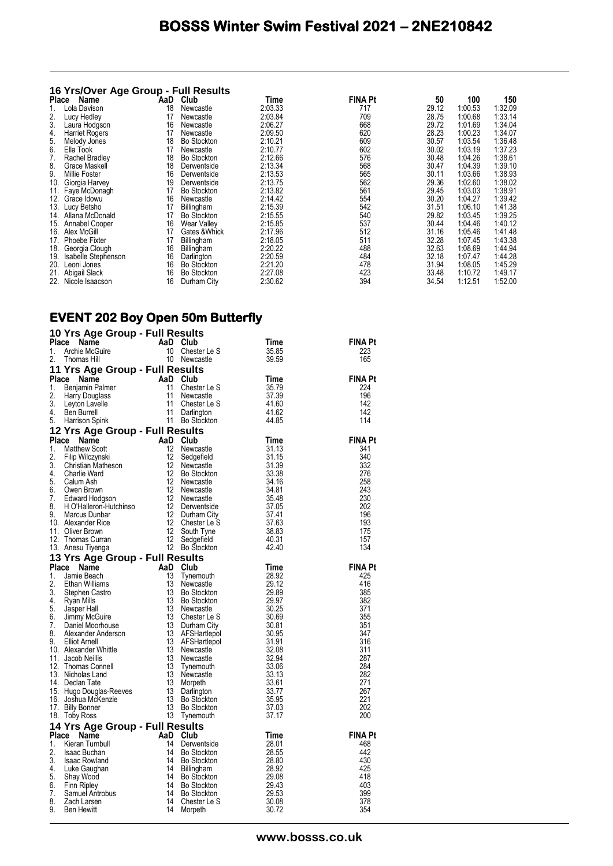#### **16 Yrs/Over Age Group - Full Results**

| Place | Name                | AaD | Club               | Time    | <b>FINA Pt</b> | 50    | 100     | 150     |
|-------|---------------------|-----|--------------------|---------|----------------|-------|---------|---------|
|       | Lola Davison        | 18  | Newcastle          | 2:03.33 | 717            | 29.12 | 1:00.53 | 1:32.09 |
| 2.    | Lucy Hedley         | 17  | Newcastle          | 2:03.84 | 709            | 28.75 | 1:00.68 | 1:33.14 |
| 3.    | Laura Hodgson       | 16  | Newcastle          | 2:06.27 | 668            | 29.72 | 1:01.69 | 1:34.04 |
| 4.    | Harriet Rogers      | 17  | Newcastle          | 2:09.50 | 620            | 28.23 | 1:00.23 | 1:34.07 |
| 5.    | Melody Jones        | 18  | Bo Stockton        | 2:10.21 | 609            | 30.57 | 1:03.54 | 1:36.48 |
| 6.    | Ella Took           | 17  | Newcastle          | 2:10.77 | 602            | 30.02 | 1:03.19 | 1:37.23 |
| 7.    | Rachel Bradley      | 18  | <b>Bo Stockton</b> | 2:12.66 | 576            | 30.48 | 1:04.26 | 1:38.61 |
| 8.    | Grace Maskell       | 18  | Derwentside        | 2:13.34 | 568            | 30.47 | 1:04.39 | 1:39.10 |
| 9.    | Millie Foster       | 16  | Derwentside        | 2:13.53 | 565            | 30.11 | 1:03.66 | 1:38.93 |
| 10.   | Giorgia Harvey      | 19  | Derwentside        | 2:13.75 | 562            | 29.36 | 1:02.60 | 1:38.02 |
|       | 11. Faye McDonagh   | 17  | <b>Bo Stockton</b> | 2:13.82 | 561            | 29.45 | 1:03.03 | 1:38.91 |
|       | 12. Grace Idowu     | 16  | Newcastle          | 2:14.42 | 554            | 30.20 | 1:04.27 | 1:39.42 |
|       | 13. Lucy Betsho     | 17  | Billingham         | 2:15.39 | 542            | 31.51 | 1:06.10 | 1:41.38 |
| 14.   | Allana McDonald     | 17  | Bo Stockton        | 2:15.55 | 540            | 29.82 | 1:03.45 | 1:39.25 |
| 15.   | Annabel Cooper      | 16  | <b>Wear Valley</b> | 2:15.85 | 537            | 30.44 | 1:04.46 | 1:40.12 |
| 16.   | Alex McGill         | 17  | Gates & Whick      | 2:17.96 | 512            | 31.16 | 1:05.46 | 1:41.48 |
|       | 17. Phoebe Fixter   | 17  | Billingham         | 2:18.05 | 511            | 32.28 | 1:07.45 | 1:43.38 |
| 18.   | Georgia Clough      | 16  | Billingham         | 2:20.22 | 488            | 32.63 | 1:08.69 | 1:44.94 |
| 19.   | Isabelle Stephenson | 16  | Darlington         | 2:20.59 | 484            | 32.18 | 1:07.47 | 1:44.28 |
| 20.   | Leoni Jones         | 16  | Bo Stockton        | 2:21.20 | 478            | 31.94 | 1:08.05 | 1:45.29 |
| 21.   | Abigail Slack       | 16  | <b>Bo Stockton</b> | 2:27.08 | 423            | 33.48 | 1:10.72 | 1:49.17 |
|       | 22. Nicole Isaacson | 16  | Durham City        | 2:30.62 | 394            | 34.54 | 1:12.51 | 1:52.00 |

#### **EVENT 202 Boy Open 50m Butterfly**

|             | 10 Yrs Age Group - Full Results                                                                                                                                                                                                                                                                         |                                                                                                                                           |                                  |                       |
|-------------|---------------------------------------------------------------------------------------------------------------------------------------------------------------------------------------------------------------------------------------------------------------------------------------------------------|-------------------------------------------------------------------------------------------------------------------------------------------|----------------------------------|-----------------------|
| Place       | Compare the Manne Club<br>Archie McGuire 10 Chest<br>Thomas Hill 10 Newca                                                                                                                                                                                                                               |                                                                                                                                           | Time                             | FINA Pt               |
| 1.          |                                                                                                                                                                                                                                                                                                         | Chester Le S                                                                                                                              | 35.85                            | 223                   |
| 2.          |                                                                                                                                                                                                                                                                                                         | 10 Newcastle                                                                                                                              | 39.59                            | 165                   |
|             | 11 Yrs Age Group - Full Results                                                                                                                                                                                                                                                                         |                                                                                                                                           |                                  |                       |
|             | Place Name<br>1. Benjamin Palmer<br>2. Harry Douglass<br>3. Leyton Lavelle<br>4. Ben Burrell<br>5. Harrison Spink<br>1. Darlington<br>1. Darlington<br>1. Darlington<br>1. Darlington<br>1. Darlington<br>1. Darlington<br>1. Darlington<br>1. Darlingto                                                |                                                                                                                                           | Time                             | <b>FINA Pt</b>        |
|             |                                                                                                                                                                                                                                                                                                         |                                                                                                                                           | 35.79                            | 224                   |
|             |                                                                                                                                                                                                                                                                                                         |                                                                                                                                           | 37.39                            | 196                   |
|             |                                                                                                                                                                                                                                                                                                         |                                                                                                                                           | 41.60                            | 142                   |
|             |                                                                                                                                                                                                                                                                                                         |                                                                                                                                           | 41.62                            | 142                   |
|             |                                                                                                                                                                                                                                                                                                         | <b>Club</b><br>Chester Le S<br>Newcastle<br>Chester Le S<br>Darlington<br>Bo Stockton                                                     | 44.85                            | 114                   |
|             | 12 Yrs Age Group - Full Results                                                                                                                                                                                                                                                                         |                                                                                                                                           |                                  |                       |
| Place       | <b>Yrs Age Group - Full Results<br/> Ce Name AaD Club<br/> Matthew Scott<br/> Flip Wilczynski<br/> Christian Matheson<br/> Christian Matheson<br/> Charlie Ward 12 Bo Stockton<br/> Calum Ash 12 Newcastle<br/> Edward Hodgson<br/> Clear Ash 12 Newcastle<br/> Edward H</b>                            |                                                                                                                                           | Time                             | <b>FINA Pt</b>        |
| 1.          |                                                                                                                                                                                                                                                                                                         |                                                                                                                                           | 31.13                            | 341                   |
| 2.          |                                                                                                                                                                                                                                                                                                         |                                                                                                                                           | 31.15                            | 340                   |
| 3.          |                                                                                                                                                                                                                                                                                                         | <b>Club</b><br>Newcastle<br>Sedgefield<br>Newcastle<br>Bo Stockton<br>Newcastle<br>Newcastle                                              | 31.39                            | 332                   |
| 4.          |                                                                                                                                                                                                                                                                                                         |                                                                                                                                           |                                  | 276                   |
| 5.          |                                                                                                                                                                                                                                                                                                         |                                                                                                                                           | 33.38<br>34.16                   | 258                   |
| 6.          |                                                                                                                                                                                                                                                                                                         |                                                                                                                                           | 34.81                            | 243                   |
| 7.          |                                                                                                                                                                                                                                                                                                         |                                                                                                                                           | 35.48                            | 230                   |
| 8.          |                                                                                                                                                                                                                                                                                                         |                                                                                                                                           | 37.05                            | 202                   |
| 9.          |                                                                                                                                                                                                                                                                                                         |                                                                                                                                           | 37.41                            | 196                   |
|             | 10. Alexander Rice                                                                                                                                                                                                                                                                                      |                                                                                                                                           | 37.63                            | 193                   |
|             | 11. Oliver Brown                                                                                                                                                                                                                                                                                        |                                                                                                                                           | 38.83                            | 175                   |
|             | 12. Thomas Curran                                                                                                                                                                                                                                                                                       |                                                                                                                                           | 40.31                            | 157                   |
|             | 13. Anesu Tiyenga                                                                                                                                                                                                                                                                                       |                                                                                                                                           | 42.40                            | 134                   |
|             | 13 Yrs Age Group - Full Results                                                                                                                                                                                                                                                                         |                                                                                                                                           |                                  |                       |
|             |                                                                                                                                                                                                                                                                                                         |                                                                                                                                           |                                  | <b>FINA Pt</b>        |
|             |                                                                                                                                                                                                                                                                                                         |                                                                                                                                           | Time                             |                       |
|             |                                                                                                                                                                                                                                                                                                         |                                                                                                                                           | 28.92                            | 425                   |
|             |                                                                                                                                                                                                                                                                                                         |                                                                                                                                           | 29.12                            | 416                   |
|             |                                                                                                                                                                                                                                                                                                         |                                                                                                                                           | 29.89                            | 385                   |
|             |                                                                                                                                                                                                                                                                                                         |                                                                                                                                           | 29.97                            | 382                   |
|             |                                                                                                                                                                                                                                                                                                         |                                                                                                                                           | 30.25                            | 371                   |
|             |                                                                                                                                                                                                                                                                                                         |                                                                                                                                           | 30.69                            | 355                   |
|             |                                                                                                                                                                                                                                                                                                         |                                                                                                                                           |                                  | 351                   |
|             |                                                                                                                                                                                                                                                                                                         |                                                                                                                                           | 30.81<br>30.95                   | 347                   |
|             |                                                                                                                                                                                                                                                                                                         |                                                                                                                                           | 31.91                            | 316                   |
|             |                                                                                                                                                                                                                                                                                                         |                                                                                                                                           | 32.08                            | 311                   |
|             |                                                                                                                                                                                                                                                                                                         |                                                                                                                                           |                                  | 287                   |
|             |                                                                                                                                                                                                                                                                                                         |                                                                                                                                           | 32.06<br>32.94<br>33.06          | 284                   |
|             |                                                                                                                                                                                                                                                                                                         |                                                                                                                                           | 33.13                            | 282                   |
|             |                                                                                                                                                                                                                                                                                                         |                                                                                                                                           |                                  | 271                   |
|             |                                                                                                                                                                                                                                                                                                         |                                                                                                                                           | 33.61<br>33.77                   | 267                   |
|             |                                                                                                                                                                                                                                                                                                         |                                                                                                                                           | 35.95                            | 221                   |
|             |                                                                                                                                                                                                                                                                                                         |                                                                                                                                           | 37.03<br>37.17                   | 202<br>200            |
|             |                                                                                                                                                                                                                                                                                                         |                                                                                                                                           |                                  |                       |
|             | <b>13 Yrs Age Group - Full Results<br/> Place Name AaD Club<br/> 1. Jamie Beach 13 Tynemouth<br/> 2. Ethan Williams 13 Newcastle<br/> 4. Ryan Mills<br/> 4. Ryan Mills<br/> 5. Jasper Hall 13 Bo Stockton<br/> 5. Jasper Hall 13 Newcastle<br/> 6. Jimmy McGuire</b><br>14 Yrs Age Group - Full Results |                                                                                                                                           |                                  |                       |
| Place<br>1. |                                                                                                                                                                                                                                                                                                         |                                                                                                                                           | Time<br>28.01                    | <b>FINA Pt</b><br>468 |
| 2.          |                                                                                                                                                                                                                                                                                                         |                                                                                                                                           |                                  | 442                   |
| 3.          |                                                                                                                                                                                                                                                                                                         |                                                                                                                                           |                                  | 430                   |
| 4.          |                                                                                                                                                                                                                                                                                                         |                                                                                                                                           |                                  | 425                   |
| 5.          |                                                                                                                                                                                                                                                                                                         |                                                                                                                                           | 28.55<br>28.80<br>28.92<br>29.08 | 418                   |
| 6.          |                                                                                                                                                                                                                                                                                                         |                                                                                                                                           | 29.43                            | 403                   |
| 7.          |                                                                                                                                                                                                                                                                                                         |                                                                                                                                           | 29.53                            | 399                   |
| 8.<br>9.    | TIS Age Group - Full Res<br>Rec Mane<br>Kieran Tumbull<br>Isaac Buchan<br>Isaac Rowland<br>Luke Gaughan<br>Shay Wood<br>Tim Ripley<br>Samuel Antrobus<br>Zach Larsen<br>Ben Hewitt<br>Ben Hewitt<br>14                                                                                                  | <b>Corresponding</b><br><b>Club</b><br>Derwentside<br>Bo Stockton<br>Bo Stockton<br>Bo Stockton<br>Bo Stockton<br>Chester Le S<br>Morpeth | 30.08<br>30.72                   | 378<br>354            |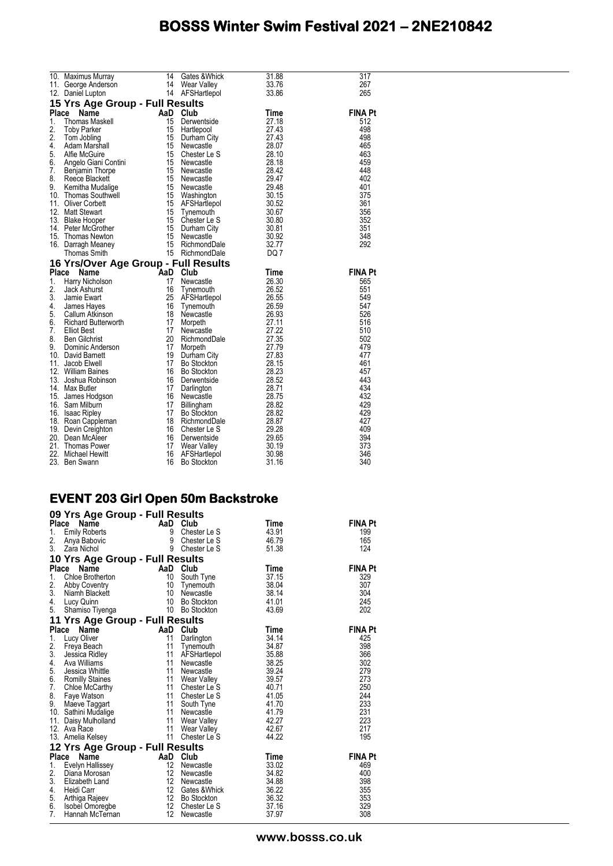|    | 10. Maximus Murray<br>11. George Anderson<br>12. Denial Lunton 11 Mear Valley<br>14. AFSHartlepol                           |          | Gates & Whick                                                                                                                                                                                                                                              | 31.88                                                                         | 317            |
|----|-----------------------------------------------------------------------------------------------------------------------------|----------|------------------------------------------------------------------------------------------------------------------------------------------------------------------------------------------------------------------------------------------------------------|-------------------------------------------------------------------------------|----------------|
|    |                                                                                                                             |          |                                                                                                                                                                                                                                                            | $\frac{33.76}{33.86}$                                                         | 267            |
|    |                                                                                                                             |          |                                                                                                                                                                                                                                                            |                                                                               | 265            |
|    | 15 Yrs Age Group - Full Results                                                                                             |          |                                                                                                                                                                                                                                                            |                                                                               |                |
|    | Place<br>Name<br><b>Thomas Maskell<br/>Toby Parker<br/>Tom Jobling<br/>Adam Marshall<br/>Afte McGuire<br/>Annalo Cierti</b> | AaD Club |                                                                                                                                                                                                                                                            | Time                                                                          | <b>FINA Pt</b> |
| 1. |                                                                                                                             | 15       | Derwentside                                                                                                                                                                                                                                                | 27.18                                                                         | 512            |
| 2. |                                                                                                                             | 15       | Hartlepool                                                                                                                                                                                                                                                 | $\begin{array}{r} 27.43 \\ 27.43 \\ 28.07 \\ 28.10 \end{array}$               | 498            |
| 2. |                                                                                                                             |          |                                                                                                                                                                                                                                                            |                                                                               | 498            |
| 4. | Adam Marshall                                                                                                               |          |                                                                                                                                                                                                                                                            |                                                                               | 465            |
|    | 5. Alfie McGuire                                                                                                            |          |                                                                                                                                                                                                                                                            |                                                                               | 463            |
| 6. | Angelo Giani Contini                                                                                                        |          | 15 Durham City<br>15 Newcastle<br>15 Chester Le S<br>15 Newcastle                                                                                                                                                                                          | 28.18                                                                         | 459            |
|    | 7. Benjamin Thorpe                                                                                                          |          |                                                                                                                                                                                                                                                            |                                                                               | 448            |
| 8. | Reece Blackett                                                                                                              |          |                                                                                                                                                                                                                                                            |                                                                               | 402            |
| 9. | Kemitha Mudalige                                                                                                            |          | 15 Newcastle<br>15 Newcastle<br>15 Newcastle<br>15 Newcastle<br>16 Washington<br>16 September 29.48<br>16 September 30.67<br>16 September 20.68<br>16 Durham City<br>16 Durham City<br>16 Durham City<br>16 Newcastle<br>16 Newcastle<br>16 Newcastle<br>1 |                                                                               | 401            |
|    | 10. Thomas Southwell                                                                                                        |          |                                                                                                                                                                                                                                                            |                                                                               | 375            |
|    | 11. Oliver Corbett                                                                                                          |          |                                                                                                                                                                                                                                                            |                                                                               | 361            |
|    | 12. Matt Stewart                                                                                                            |          |                                                                                                                                                                                                                                                            |                                                                               | 356            |
|    | 13. Blake Hooper<br>14. Peter McGrother                                                                                     |          |                                                                                                                                                                                                                                                            |                                                                               | 352            |
|    |                                                                                                                             |          |                                                                                                                                                                                                                                                            |                                                                               | 351            |
|    | 15. Thomas Newton                                                                                                           |          |                                                                                                                                                                                                                                                            |                                                                               | 348            |
|    | 16. Darragh Meaney                                                                                                          |          |                                                                                                                                                                                                                                                            |                                                                               | 292            |
|    | Thomas Smith                                                                                                                |          | 15 RichmondDale                                                                                                                                                                                                                                            | DQ 7                                                                          |                |
|    | 16 Yrs/Over Age Group - Full Results                                                                                        |          |                                                                                                                                                                                                                                                            |                                                                               |                |
|    |                                                                                                                             |          |                                                                                                                                                                                                                                                            |                                                                               |                |
|    | Place<br>Name                                                                                                               |          |                                                                                                                                                                                                                                                            | Time                                                                          | <b>FINA Pt</b> |
| 1. | Harry Nicholson                                                                                                             | AaD Club | Newcastle                                                                                                                                                                                                                                                  | 26.30                                                                         | 565            |
| 2. | Jack Ashurst                                                                                                                | 16       | Tynemouth                                                                                                                                                                                                                                                  |                                                                               | 551            |
| 3. | Jamie Ewart                                                                                                                 | 25       |                                                                                                                                                                                                                                                            |                                                                               | 549            |
| 4. | James Hayes                                                                                                                 | 16       | AFSHartlepol<br>Tynemouth                                                                                                                                                                                                                                  |                                                                               | 547            |
| 5. |                                                                                                                             | 18       | Newcastle                                                                                                                                                                                                                                                  |                                                                               | 526            |
| 6. |                                                                                                                             | 17       | Morpeth                                                                                                                                                                                                                                                    |                                                                               | 516            |
| 7. | Callum Atkinson<br>Richard Butterworth<br><b>Elliot Best</b>                                                                | 17       | Newcastle                                                                                                                                                                                                                                                  |                                                                               | 510            |
| 8. | <b>Ben Gilchrist</b>                                                                                                        |          | 20 RichmondDale                                                                                                                                                                                                                                            |                                                                               | 502            |
| 9. | Dominic Anderson                                                                                                            | 17       | Morpeth                                                                                                                                                                                                                                                    |                                                                               | 479            |
|    | 10. David Barnett                                                                                                           | 19       |                                                                                                                                                                                                                                                            | 26.30<br>26.52<br>26.55<br>26.59<br>26.59<br>27.11<br>27.22<br>27.79<br>27.83 | 477            |
|    | 11. Jacob Elwell                                                                                                            | 17       | Durham City<br>Bo Stockton                                                                                                                                                                                                                                 |                                                                               | 461            |
|    | 12. William Baines                                                                                                          | 16       | Bo Stockton                                                                                                                                                                                                                                                | 28.15<br>28.23<br>28.23                                                       | 457            |
|    | 13. Joshua Robinson                                                                                                         | 16       | Derwentside                                                                                                                                                                                                                                                |                                                                               | 443            |
|    | 14. Max Butler                                                                                                              | 17       | Darlington                                                                                                                                                                                                                                                 |                                                                               | 434            |
|    | 15. James Hodgson                                                                                                           | 16       | Newcastle                                                                                                                                                                                                                                                  |                                                                               | 432            |
|    | 16. Sam Milburn                                                                                                             | 17       | Billingham                                                                                                                                                                                                                                                 |                                                                               | 429            |
|    | 16. Isaac Ripley                                                                                                            | 17       | Bo Stockton                                                                                                                                                                                                                                                | 28.52<br>28.52<br>28.75<br>28.82<br>28.82                                     | 429<br>427     |
|    | 18. Roan Cappleman                                                                                                          | 18       | RichmondDale                                                                                                                                                                                                                                               | 28.87<br>29.28<br>29.28                                                       | 409            |
|    | 19. Devin Creighton<br>20. Dean McAleer                                                                                     | 16       | 16 Chester Le S<br>Derwentside                                                                                                                                                                                                                             |                                                                               | 394            |
|    | 21. Thomas Power                                                                                                            | 17       | Wear Valley                                                                                                                                                                                                                                                | 29.65<br>30.19<br>30.19                                                       | 373            |
|    | 22. Michael Hewitt                                                                                                          | 16       | vvear vano,<br>AFSHartlepol<br>De Steckton                                                                                                                                                                                                                 | 30.98                                                                         | 346<br>340     |

#### **EVENT 203 Girl Open 50m Backstroke**

|                  | 09 Yrs Age Group - Full Results                                                                                         |                                                |                                    |                |                |
|------------------|-------------------------------------------------------------------------------------------------------------------------|------------------------------------------------|------------------------------------|----------------|----------------|
| <b>Place</b>     | Name                                                                                                                    | AaD Club                                       |                                    | Time           | <b>FINA Pt</b> |
| 1.               | <b>Emily Roberts</b>                                                                                                    | $\begin{array}{c} 9 \\ 9 \\ 9 \end{array}$     | Chester Le S                       | 43.91          | 199            |
| 2.               | Anya Babovic                                                                                                            |                                                | Chester Le S                       | 46.79          | 165            |
| 3.               | Zara Nichol                                                                                                             |                                                | Chester Le S                       | 51.38          | 124            |
|                  | 10 Yrs Age Group - Full Results                                                                                         |                                                |                                    |                |                |
|                  | Place<br>Name                                                                                                           | AaD Club                                       |                                    | <b>Time</b>    | <b>FINA Pt</b> |
| 1.               | Chloe Brotherton<br>Abby Coventry<br>Niamh Blackett                                                                     |                                                | 10 South Tyne                      | 37.15          | 329            |
| 2.               |                                                                                                                         |                                                |                                    | 38.04          | 307            |
| 3.               |                                                                                                                         |                                                |                                    | 38.14          | 304            |
| 4.               |                                                                                                                         |                                                |                                    | 41.01          | 245            |
| 5.               | Abby Coventry<br>Niamh Blackett<br>Lucy Quinn<br>Shamiso Tiyenga<br>10 Bo Stockton<br>Shamiso Tiyenga<br>10 Bo Stockton |                                                |                                    | 43.69          | 202            |
|                  | 11 Yrs Age Group - Full Results                                                                                         |                                                |                                    |                |                |
|                  | Place Name                                                                                                              | AaD Club<br>11 Darling<br>11 Tynem<br>11 AFSH: |                                    | Time           | <b>FINA Pt</b> |
| 1.               | Lucy Oliver                                                                                                             |                                                | Darlington                         | 34.14          | 425            |
| 2.               | Freya Beach                                                                                                             |                                                | Tynemouth                          | 34.87          | 398            |
| 3.               | Jessica Ridley                                                                                                          | 11                                             | AFSHartlepol                       | 35.88          | 366            |
| 4.               | Ava Williams                                                                                                            | 11                                             | Newcastle                          | 38.25          | 302            |
| 5.               | Jessica Whittle                                                                                                         | 11                                             | Newcastle                          | 39.24          | 279            |
|                  | 6. Romilly Staines                                                                                                      | 11                                             | Wear Valley                        | 39.57          | 273            |
| 7.               | Chloe McCarthy                                                                                                          | 11                                             | Chester Le S                       | 40.71          | 250            |
|                  |                                                                                                                         | 11                                             | Chester Le S                       | 41.05          | 244            |
|                  |                                                                                                                         | 11                                             | South Tyne                         | 41.70          | 233            |
|                  |                                                                                                                         | 11                                             | 11 Newcastle                       | 41.79<br>42.27 | 231<br>223     |
|                  | 7. University<br>8. Faye Watson<br>9. Maeve Taggart<br>10. Sathini Mudalige<br>11. Daisy Mulholland<br>12. Ava Race     | 11                                             | Wear Valley                        | 42.67          | 217            |
|                  | 13. Amelia Kelsey                                                                                                       | 11                                             | Wear Valley<br>Chester Le S        | 44.22          | 195            |
|                  |                                                                                                                         |                                                |                                    |                |                |
|                  | 12 Yrs Age Group - Full Results                                                                                         |                                                |                                    |                |                |
| <b>Place</b>     | Name                                                                                                                    | AaD                                            | Club                               | <b>Time</b>    | <b>FINA Pt</b> |
| 1.               | Evelyn Hallissey                                                                                                        | $12 \overline{ }$                              | Newcastle                          | 33.02          | 469            |
| 2.               | Diana Morosan                                                                                                           | 12                                             | Newcastle                          | 34.82          | 400            |
| 3.<br>4.         | Elizabeth Land                                                                                                          | 12<br>12                                       | Newcastle                          | 34.88          | 398            |
|                  | Heidi Carr                                                                                                              | 12                                             | Gates &Whick<br><b>Bo Stockton</b> | 36.22<br>36.32 | 355<br>353     |
| 5.<br>6.         | Arthiga Rajeev<br>Isobel Omoregbe                                                                                       | 12                                             | Chester Le S                       | 37.16          | 329            |
| $\overline{7}$ . | Hannah McTernan                                                                                                         | 12                                             | Newcastle                          | 37.97          | 308            |
|                  |                                                                                                                         |                                                |                                    |                |                |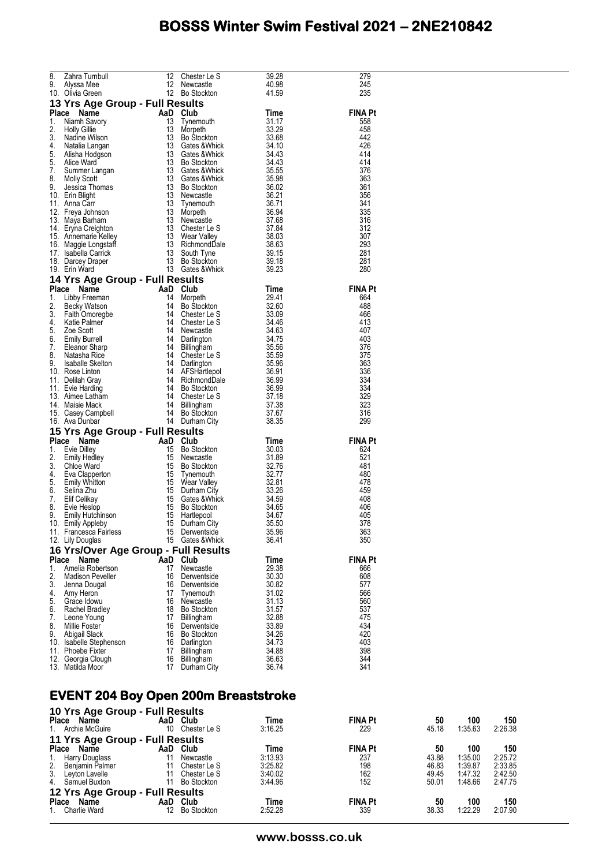| 8.    | Zahra Turnbull                         | 12                                                                     | Chester Le S              | 39.28          | 279            |
|-------|----------------------------------------|------------------------------------------------------------------------|---------------------------|----------------|----------------|
|       |                                        | 12                                                                     |                           |                |                |
| 9.    | Alyssa Mee                             |                                                                        | Newcastle                 | 40.98          | 245            |
|       | 10. Olivia Green                       |                                                                        | 12 Bo Stockton            | 41.59          | 235            |
|       |                                        |                                                                        |                           |                |                |
|       | 13 Yrs Age Group - Full Results        |                                                                        |                           |                |                |
|       |                                        | AaD Club<br>13 Tunon                                                   |                           |                | <b>FINA Pt</b> |
| Place | Name                                   |                                                                        |                           | Time           |                |
| 1.    | Niamh Savory                           |                                                                        | Tynemouth                 | 31.17          | 558            |
| 2.    |                                        | 13                                                                     |                           | 33.29          | 458            |
|       | <b>Holly Gillie</b>                    |                                                                        | Morpeth                   |                |                |
| 3.    | Nadine Wilson                          | 13                                                                     | Bo Stockton               | 33.68          | 442            |
| 4.    | Natalia Langan                         | 13                                                                     | Gates & Whick             | 34.10          | 426            |
|       |                                        |                                                                        |                           |                |                |
| 5.    | Alisha Hodgson                         | 13                                                                     | Gates & Whick             | 34.43          | 414            |
| 5.    | Alice Ward                             | 13                                                                     | <b>Bo Stockton</b>        | 34.43          | 414            |
|       |                                        |                                                                        |                           |                |                |
| 7.    | Summer Langan                          | 13                                                                     | Gates & Whick             | 35.55          | 376            |
| 8.    | <b>Molly Scott</b>                     | 13                                                                     | Gates & Whick             | 35.98          | 363            |
| 9.    |                                        | 13                                                                     |                           | 36.02          |                |
|       | Jessica Thomas                         |                                                                        | <b>Bo Stockton</b>        |                | 361            |
|       | 10. Erin Blight                        | 13                                                                     | Newcastle                 | 36.21          | 356            |
|       | 11. Anna Carr                          | 13                                                                     | Tynemouth                 | 36.71          | 341            |
|       |                                        |                                                                        |                           |                |                |
|       | 12. Freya Johnson                      | 13                                                                     | Morpeth                   | 36.94          | 335            |
|       | 13. Maya Barham                        |                                                                        | 13 Newcastle              | 37.68          | 316            |
|       | 14. Eryna Creighton                    |                                                                        | 13 Chester Le S           | 37.84          | 312            |
|       |                                        |                                                                        |                           |                |                |
|       | 15. Annemarie Kelley                   |                                                                        | 13 Wear Valley            | 38.03          | 307            |
|       | 16. Maggie Longstaff                   |                                                                        | 13 RichmondDale           | 38.63          | 293            |
|       |                                        |                                                                        |                           |                |                |
|       | 17. Isabella Carrick                   | 13                                                                     | South Tyne                | 39.15          | 281            |
|       | 18. Darcey Draper                      | 13                                                                     | <b>Bo Stockton</b>        | 39.18          | 281            |
|       | 19. Erin Ward                          |                                                                        | 13 Gates & Whick          | 39.23          | 280            |
|       |                                        |                                                                        |                           |                |                |
|       | 14 Yrs Age Group - Full Results        |                                                                        |                           |                |                |
|       |                                        |                                                                        |                           |                |                |
| Place | Name                                   |                                                                        |                           | Time           | <b>FINA Pt</b> |
| 1.    | Libby Freeman                          |                                                                        | Morpeth                   | 29.41          | 664            |
|       |                                        |                                                                        |                           |                |                |
| 2.    | Becky Watson                           |                                                                        | Bo Stockton               | 32.60          | 488            |
| 3.    | Faith Omoregbe                         |                                                                        | Chester Le S              | 33.09          | 466            |
| 4.    | Katie Palmer                           |                                                                        | Chester Le S              | 34.46          | 413            |
|       |                                        |                                                                        |                           |                |                |
| 5.    | Zoe Scott                              |                                                                        | Newcastle                 | 34.63          | 407            |
| 6.    | <b>Emily Burrell</b>                   |                                                                        | Darlington                | 34.75          | 403            |
|       |                                        | Aab Club<br>14 More<br>14 Bo Std<br>14 Chest<br>14 Newcz<br>14 Darling |                           |                |                |
| 7.    | Eleanor Sharp                          | 14                                                                     | Billingham                | 35.56          | 376            |
| 8.    | Natasha Rice                           | 14                                                                     | Chester Le S              | 35.59          | 375            |
| 9.    | Isaballe Skelton<br>Dasa Linter        |                                                                        | 14 Darlington             | 35.96          | 363            |
|       | 10. Rose Linton                        | 14                                                                     | AFSHartlepol              | 36.91          | 336            |
|       |                                        |                                                                        |                           |                |                |
|       | 11. Delilah Gray                       | 14                                                                     | RichmondDale              | 36.99          | 334            |
|       | 11. Evie Harding                       |                                                                        | 14 Bo Stockton            | 36.99          | 334            |
|       | 13. Aimee Latham                       | 14                                                                     | Chester Le S              | 37.18          | 329            |
|       |                                        |                                                                        |                           |                |                |
|       | 14. Maisie Mack                        | 14                                                                     | Billingham                | 37.38          | 323            |
|       | 15. Casey Campbell                     | 14                                                                     | <b>Bo Stockton</b>        | 37.67          | 316            |
|       | 16. Ava Dunbar                         |                                                                        | 14 Durham City            | 38.35          | 299            |
|       |                                        |                                                                        |                           |                |                |
|       | 15 Yrs Age Group - Full Results        |                                                                        |                           |                |                |
| Place | Name                                   | AaD                                                                    | Club                      | Time           | <b>FINA Pt</b> |
| 1.    |                                        | 15                                                                     | <b>Bo Stockton</b>        |                | 624            |
|       | Evie Dilley                            |                                                                        |                           | 30.03          |                |
| 2.    | <b>Emily Hedley</b>                    | 15                                                                     | Newcastle                 | 31.89          | 521            |
| 3.    | Chloe Ward                             | 15                                                                     | <b>Bo Stockton</b>        | 32.76          | 481            |
| 4.    |                                        | 15                                                                     |                           | 32.77          | 480            |
|       | Eva Clapperton                         |                                                                        | Tynemouth                 |                |                |
| 5.    | Emily Whitton                          | 15                                                                     | Wear Valley               | 32.81          | 478            |
| 6.    | Selina Zhu                             | 15                                                                     | Durham City               | 33.26          | 459            |
| 7.    | Elif Celikay                           | 15                                                                     | Gates &Whick              | 34.59          | 408            |
|       |                                        |                                                                        |                           |                |                |
| 8.    | Evie Heslop                            | 15                                                                     | <b>Bo Stockton</b>        | 34.65          | 406            |
| 9.    | Emily Hutchinson<br>Emily Appleby      | 15                                                                     | Hartlepool                | 34.67          | 405            |
|       | 10. Emily Appleby                      | 15                                                                     | Durham City               | 35.50          | 378            |
|       |                                        |                                                                        |                           |                |                |
|       | 11. Francesca Fairless                 | 15                                                                     | Derwentside               | 35.96          | 363            |
|       | 12. Lily Douglas                       |                                                                        | 15 Gates & Whick          | 36.41          | 350            |
|       | 16 Yrs/Over Age Group - Full Results   |                                                                        |                           |                |                |
|       |                                        |                                                                        |                           |                |                |
| Place | Name                                   | AaD Club                                                               |                           | Time           | <b>FINA Pt</b> |
| 1.    | Amelia Robertson                       | 17                                                                     | Newcastle                 | 29.38          | 666            |
| 2.    | <b>Madison Peveller</b>                | 16                                                                     | Derwentside               | 30.30          |                |
|       |                                        |                                                                        |                           |                | 608            |
| 3.    | Jenna Dougal                           | 16                                                                     | Derwentside               | 30.82          | 577            |
| 4.    | Amy Heron                              | 17                                                                     | Tynemouth                 | 31.02          | 566            |
| 5.    | Grace Idowu                            | 16                                                                     | Newcastle                 | 31.13          | 560            |
|       |                                        |                                                                        |                           |                |                |
| 6.    | Rachel Bradley                         | 18                                                                     | Bo Stockton               | 31.57          | 537            |
| 7.    | Leone Young                            | 17                                                                     | Billingham                | 32.88          | 475            |
| 8.    | Millie Foster                          | 16                                                                     | Derwentside               | 33.89          | 434            |
|       |                                        |                                                                        |                           |                |                |
| 9.    | Abigail Slack                          | 16                                                                     | <b>Bo Stockton</b>        | 34.26          | 420            |
|       |                                        |                                                                        |                           |                | 403            |
|       | 10. Isabelle Stephenson                | 16                                                                     | Darlington                | 34.73          |                |
|       |                                        |                                                                        |                           |                |                |
|       | 11. Phoebe Fixter                      | 17                                                                     | <b>Billingham</b>         | 34.88          | 398            |
|       | 12. Georgia Clough<br>13. Matilda Moor | 16<br>17                                                               | Billingham<br>Durham City | 36.63<br>36.74 | 344<br>341     |

#### **EVENT 204 Boy Open 200m Breaststroke**

| 10 Yrs Age Group - Full Results<br>Place Name<br>1. Archie McGuire | 10                              | AaD Club<br>Chester Le S | Time<br>3:16.25 | <b>FINA Pt</b><br>229 | 50<br>45.18 | 100<br>1:35.63 | 150<br>2:26.38 |  |
|--------------------------------------------------------------------|---------------------------------|--------------------------|-----------------|-----------------------|-------------|----------------|----------------|--|
|                                                                    | 11 Yrs Age Group - Full Results |                          |                 |                       |             |                |                |  |
| <b>Place</b><br>Name                                               | AaD                             | Club                     | Time            | <b>FINA Pt</b>        | 50          | 100            | 150            |  |
| 1. Harry Douglass<br>2. Benjamin Palmer                            |                                 | Newcastle                | 3:13.93         | 237                   | 43.88       | 1:35.00        | 2:25.72        |  |
|                                                                    |                                 | Chester Le S             | 3:25.82         | 198                   | 46.83       | 1:39.87        | 2:33.85        |  |
| 3.<br>Leyton Lavelle                                               |                                 | Chester Le S             | 3:40.02         | 162                   | 49.45       | 1:47.32        | 2:42.50        |  |
| 4.<br>Samuel Buxton                                                | 11                              | Bo Stockton              | 3:44.96         | 152                   | 50.01       | 1:48.66        | 2:47.75        |  |
| 12 Yrs Age Group - Full Results                                    |                                 |                          |                 |                       |             |                |                |  |
| <b>Place</b><br>Name                                               | AaD                             | Club                     | Time            | <b>FINA Pt</b>        | 50          | 100            | 150            |  |
| Charlie Ward                                                       | 12                              | <b>Bo Stockton</b>       | 2:52.28         | 339                   | 38.33       | 1:22.29        | 2:07.90        |  |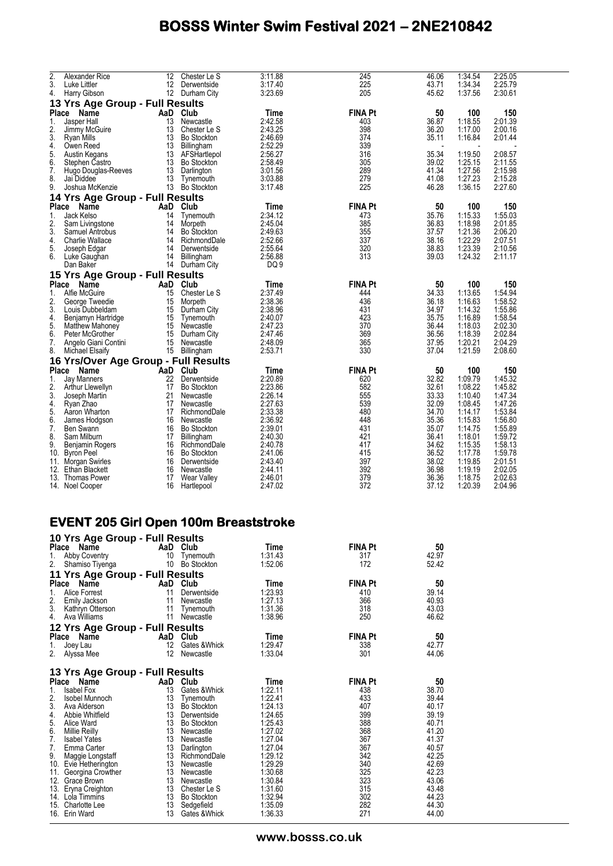| 2.           | Alexander Rice                       | 12       | Chester Le S                     | 3:11.88            | 245            | 46.06          | 1:34.54            | 2:25.05            |
|--------------|--------------------------------------|----------|----------------------------------|--------------------|----------------|----------------|--------------------|--------------------|
| 3.           | Luke Littler                         | 12       | Derwentside                      | 3:17.40            | 225            | 43.71          | 1:34.34            | 2:25.79            |
| 4.           | Harry Gibson                         |          | 12 Durham City                   | 3:23.69            | 205            | 45.62          | 1:37.56            | 2:30.61            |
|              | 13 Yrs Age Group - Full Results      |          |                                  |                    |                |                |                    |                    |
| <b>Place</b> | Name                                 |          | AaD Club                         | Time               | <b>FINA Pt</b> | 50             | 100                | 150                |
| 1.           | Jasper Hall                          | 13       | Newcastle                        | 2:42.58            | 403            | 36.87          | 1:18.55            | 2:01.39            |
| 2.<br>3.     | Jimmy McGuire                        | 13       | Chester Le S                     | 2:43.25<br>2:46.69 | 398<br>374     | 36.20<br>35.11 | 1:17.00<br>1:16.84 | 2:00.16<br>2:01.44 |
| 4.           | Ryan Mills<br>Owen Reed              | 13<br>13 | <b>Bo Stockton</b><br>Billingham | 2:52.29            | 339            |                |                    |                    |
| 5.           | Austin Kegans                        | 13       | AFSHartlepol                     | 2:56.27            | 316            | 35.34          | 1:19.50            | 2:08.57            |
| 6.           | Stephen Castro                       | 13       | <b>Bo Stockton</b>               | 2:58.49            | 305            | 39.02          | 1:25.15            | 2:11.55            |
| 7.           | Hugo Douglas-Reeves                  | 13       | Darlington                       | 3:01.56            | 289            | 41.34          | 1:27.56            | 2:15.98            |
| 8.           | Jai Diddee                           | 13       | Tynemouth                        | 3:03.88            | 279            | 41.08          | 1:27.23            | 2:15.28            |
| 9.           | Joshua McKenzie                      | 13       | <b>Bo Stockton</b>               | 3:17.48            | 225            | 46.28          | 1:36.15            | 2:27.60            |
|              | 14 Yrs Age Group - Full Results      |          |                                  |                    |                |                |                    |                    |
|              | Place<br>Name                        | AaD      | Club                             | Time               | <b>FINA Pt</b> | 50             | 100                | 150                |
| 1.           | Jack Kelso                           | 14       | Tynemouth                        | 2:34.12            | 473            | 35.76          | 1:15.33            | 1:55.03            |
| 2.           | Sam Livingstone                      | 14       | Morpeth                          | 2:45.04            | 385            | 36.83          | 1:18.98            | 2:01.85            |
| 3.           | Samuel Antrobus                      | 14       | <b>Bo Stockton</b>               | 2:49.63            | 355            | 37.57          | 1:21.36            | 2:06.20            |
| 4.           | <b>Charlie Wallace</b>               | 14       | RichmondDale                     | 2:52.66            | 337            | 38.16          | 1:22.29            | 2:07.51            |
| 5.           | Joseph Edgar                         | 14       | Derwentside                      | 2:55.64            | 320            | 38.83          | 1:23.39            | 2:10.56            |
| 6.           | Luke Gaughan                         | 14       | Billingham                       | 2:56.88            | 313            | 39.03          | 1:24.32            | 2:11.17            |
|              | Dan Baker                            | 14       | Durham City                      | DQ 9               |                |                |                    |                    |
|              | 15 Yrs Age Group - Full Results      |          |                                  |                    |                |                |                    |                    |
| Place        | Name                                 | AaD      | Club                             | Time               | <b>FINA Pt</b> | 50             | 100                | 150                |
| 1.           | Alfie McGuire                        | 15       | Chester Le S                     | 2:37.49            | 444            | 34.33          | 1:13.65            | 1:54.94            |
| 2.           | George Tweedie                       | 15       | Morpeth                          | 2:38.36            | 436            | 36.18          | 1:16.63            | 1:58.52            |
| 3.           | Louis Dubbeldam                      | 15       | Durham City                      | 2:38.96            | 431            | 34.97          | 1:14.32            | 1:55.86            |
| 4.           | Benjamyn Hartridge                   | 15       | Tynemouth                        | 2:40.07            | 423            | 35.75          | 1:16.89            | 1:58.54            |
| 5.           | <b>Matthew Mahoney</b>               | 15       | Newcastle                        | 2:47.23            | 370            | 36.44          | 1:18.03            | 2:02.30            |
| 6.           | Peter McGrother                      | 15       | Durham City                      | 2:47.46            | 369            | 36.56          | 1:18.39            | 2:02.84            |
| 7.           | Angelo Giani Contini                 | 15       | Newcastle                        | 2:48.09            | 365            | 37.95          | 1:20.21            | 2:04.29            |
| 8.           | Michael Elsaify                      | 15       | Billingham                       | 2:53.71            | 330            | 37.04          | 1:21.59            | 2:08.60            |
|              | 16 Yrs/Over Age Group - Full Results |          |                                  |                    |                |                |                    |                    |
| Place        | Name                                 | AaD      | Club                             | Time               | <b>FINA Pt</b> | 50             | 100                | 150                |
| 1.           | <b>Jay Manners</b>                   | 22       | Derwentside                      | 2:20.89            | 620            | 32.82          | 1:09.79            | 1:45.32            |
| 2.           | Arthur Llewellyn                     | 17       | <b>Bo Stockton</b>               | 2:23.86            | 582            | 32.61          | 1:08.22            | 1:45.82            |
| 3.           | Joseph Martin                        | 21       | Newcastle                        | 2:26.14            | 555            | 33.33          | 1:10.40            | 1:47.34            |
| 4.           | Ryan Zhao                            | 17       | Newcastle                        | 2:27.63            | 539            | 32.09          | 1:08.45            | 1:47.26            |
| 5.           | Aaron Wharton                        | 17       | RichmondDale                     | 2:33.38            | 480            | 34.70          | 1:14.17            | 1:53.84            |
| 6.           | James Hodgson                        | 16       | Newcastle                        | 2:36.92            | 448            | 35.36          | 1:15.83            | 1:56.80            |
| 7.           | Ben Swann                            | 16       | <b>Bo Stockton</b>               | 2:39.01            | 431            | 35.07          | 1:14.75            | 1:55.89            |
| 8.           | Sam Milburn                          | 17       | Billingham                       | 2:40.30            | 421            | 36.41          | 1:18.01            | 1:59.72            |
| 9.           | Benjamin Rogers                      | 16       | RichmondDale                     | 2:40.78            | 417            | 34.62          | 1:15.35            | 1:58.13            |
| 10.          | <b>Byron Peel</b>                    | 16       | <b>Bo Stockton</b>               | 2:41.06            | 415<br>397     | 36.52          | 1:17.78            | 1:59.78            |
| 11.<br>12.   | Morgan Swirles<br>Ethan Blackett     | 16<br>16 | Derwentside<br>Newcastle         | 2:43.40<br>2:44.11 | 392            | 38.02<br>36.98 | 1:19.85<br>1:19.19 | 2:01.51<br>2:02.05 |
|              | 13. Thomas Power                     | 17       | Wear Valley                      | 2:46.01            | 379            | 36.36          | 1:18.75            | 2:02.63            |
| 14.          | Noel Cooper                          | 16       | Hartlepool                       | 2:47.02            | 372            | 37.12          | 1:20.39            | 2:04.96            |
|              |                                      |          |                                  |                    |                |                |                    |                    |

#### **EVENT 205 Girl Open 100m Breaststroke 10 Yrs Age Group - Full Results**

| id iis Age Giddp - Full Nesults |             |                    |         |                |       |
|---------------------------------|-------------|--------------------|---------|----------------|-------|
| Place<br><b>Name</b>            | AaD<br>Club |                    | Time    | <b>FINA Pt</b> | 50    |
| 1.<br>Abby Coventry             | 10          | Tynemouth          | 1:31.43 | 317            | 42.97 |
| 2.<br>Shamiso Tiyenga           | 10          | <b>Bo Stockton</b> | 1:52.06 | 172            | 52.42 |
| 11 Yrs Age Group - Full Results |             |                    |         |                |       |
| Place<br>Name                   | AaD Club    |                    | Time    | <b>FINA Pt</b> | 50    |
| 1.<br>Alice Forrest             | 11          | Derwentside        | 1:23.93 | 410            | 39.14 |
| 2.<br>Emily Jackson             | 11          | Newcastle          | 1:27.13 | 366            | 40.93 |
| 3.<br>Kathryn Otterson          | 11          | Tynemouth          | 1:31.36 | 318            | 43.03 |
| 4.<br>Ava Williams              | 11          | Newcastle          | 1:38.96 | 250            | 46.62 |
| 12 Yrs Age Group - Full Results |             |                    |         |                |       |
| Place<br>Name                   | AaD Club    |                    | Time    | <b>FINA Pt</b> | 50    |
| 1.<br>Joey Lau                  | 12          | Gates & Whick      | 1:29.47 | 338            | 42.77 |
| 2.<br>Alyssa Mee                | 12          | Newcastle          | 1:33.04 | 301            | 44.06 |
|                                 |             |                    |         |                |       |
| 13 Yrs Age Group - Full Results |             |                    |         |                |       |
| Place<br>Name                   | AaD Club    |                    | Time    | <b>FINA Pt</b> | 50    |
| 1.<br><b>Isabel Fox</b>         | 13          | Gates & Whick      | 1:22.11 | 438            | 38.70 |
| 2.<br>Isobel Munnoch            | 13          | Tynemouth          | 1:22.41 | 433            | 39.44 |
| 3.<br>Ava Alderson              | 13          | <b>Bo Stockton</b> | 1:24.13 | 407            | 40.17 |
| 4.<br>Abbie Whitfield           | 13          | Derwentside        | 1:24.65 | 399            | 39.19 |
| 5.<br>Alice Ward                | 13          | <b>Bo Stockton</b> | 1:25.43 | 388            | 40.71 |
| 6.<br>Millie Reilly             | 13          | Newcastle          | 1:27.02 | 368            | 41.20 |
| 7.<br><b>Isabel Yates</b>       | 13          | Newcastle          | 1:27.04 | 367            | 41.37 |
| 7.<br>Emma Carter               | 13          | Darlington         | 1:27.04 | 367            | 40.57 |
| 9.<br>Maggie Longstaff          | 13          | RichmondDale       | 1:29.12 | 342            | 42.25 |
| 10. Evie Hetherington           | 13          | Newcastle          | 1:29.29 | 340            | 42.69 |
| 11.<br>Georgina Crowther        |             | 13 Newcastle       | 1:30.68 | 325            | 42.23 |
| 12. Grace Brown                 | 13          | Newcastle          | 1:30.84 | 323            | 43.06 |
| 13. Eryna Creighton             |             | 13 Chester Le S    | 1:31.60 | 315            | 43.48 |
| 14. Lola Timmins                | 13          | <b>Bo Stockton</b> | 1:32.94 | 302            | 44.23 |
| 15. Charlotte Lee               | 13          | Sedgefield         | 1:35.09 | 282            | 44.30 |
| 16. Erin Ward                   | 13          | Gates & Whick      | 1:36.33 | 271            | 44.00 |
|                                 |             |                    |         |                |       |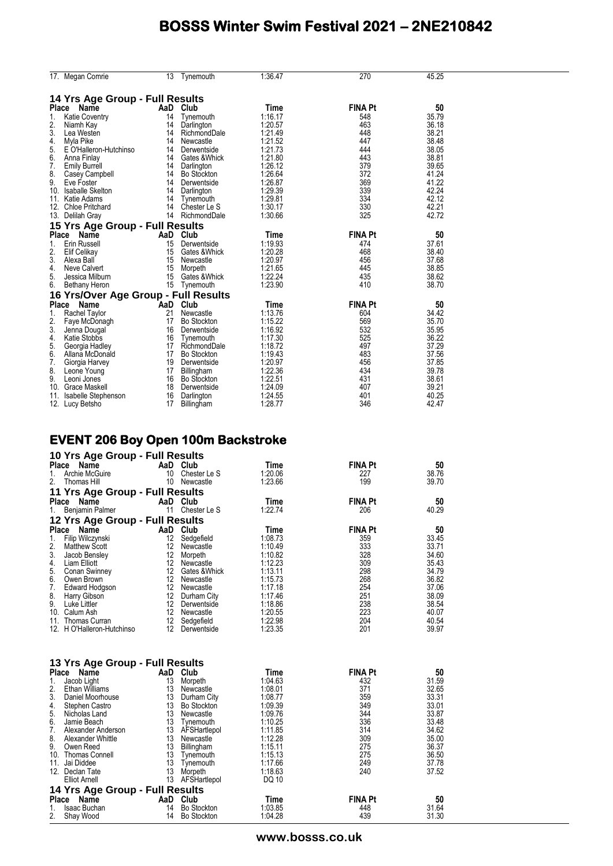|       | 17. Megan Comrie                     | 13 | Tynemouth          | 1:36.47 | 270            | 45.25 |  |
|-------|--------------------------------------|----|--------------------|---------|----------------|-------|--|
|       | 14 Yrs Age Group - Full Results      |    |                    |         |                |       |  |
|       | Place Name                           |    | AaD Club           | Time    | <b>FINA Pt</b> | 50    |  |
| 1.    | <b>Katie Coventry</b>                | 14 | Tynemouth          | 1:16.17 | 548            | 35.79 |  |
| 2.    | Niamh Kay                            | 14 | Darlington         | 1:20.57 | 463            | 36.18 |  |
| 3.    | Lea Westen                           | 14 | RichmondDale       | 1:21.49 | 448            | 38.21 |  |
| 4.    | Myla Pike                            | 14 | Newcastle          | 1:21.52 | 447            | 38.48 |  |
| 5.    | E O'Halleron-Hutchinso               | 14 | Derwentside        | 1:21.73 | 444            | 38.05 |  |
| 6.    | Anna Finlay                          | 14 | Gates & Whick      | 1:21.80 | 443            | 38.81 |  |
| 7.    | <b>Emily Burrell</b>                 | 14 | Darlington         | 1:26.12 | 379            | 39.65 |  |
| 8.    | Casey Campbell                       | 14 | <b>Bo Stockton</b> | 1:26.64 | 372            | 41.24 |  |
| 9.    | Eve Foster                           | 14 | Derwentside        | 1:26.87 | 369            | 41.22 |  |
| 10.   | <b>Isaballe Skelton</b>              | 14 | Darlington         | 1:29.39 | 339            | 42.24 |  |
|       | 11. Katie Adams                      | 14 | Tynemouth          | 1:29.81 | 334            | 42.12 |  |
| 12.   | <b>Chloe Pritchard</b>               | 14 | Chester Le S       | 1:30.17 | 330            | 42.21 |  |
|       | 13. Delilah Gray                     | 14 | RichmondDale       | 1:30.66 | 325            | 42.72 |  |
|       | 15 Yrs Age Group - Full Results      |    |                    |         |                |       |  |
|       | Place<br>Name                        |    | AaD Club           | Time    | <b>FINA Pt</b> | 50    |  |
| 1.    | Erin Russell                         | 15 | Derwentside        | 1:19.93 | 474            | 37.61 |  |
| 2.    | Elif Celikay                         | 15 | Gates & Whick      | 1:20.28 | 468            | 38.40 |  |
| 3.    | Alexa Ball                           | 15 | Newcastle          | 1:20.97 | 456            | 37.68 |  |
| 4.    | Neve Calvert                         | 15 | Morpeth            | 1:21.65 | 445            | 38.85 |  |
| 5.    | Jessica Milburn                      | 15 | Gates & Whick      | 1:22.24 | 435            | 38.62 |  |
| 6.    | Bethany Heron                        | 15 | Tynemouth          | 1:23.90 | 410            | 38.70 |  |
|       | 16 Yrs/Over Age Group - Full Results |    |                    |         |                |       |  |
| Place | Name                                 |    | AaD Club           | Time    | <b>FINA Pt</b> | 50    |  |
| 1.    | <b>Rachel Taylor</b>                 | 21 | Newcastle          | 1:13.76 | 604            | 34.42 |  |
| 2.    | Faye McDonagh                        | 17 | <b>Bo Stockton</b> | 1:15.22 | 569            | 35.70 |  |
| 3.    | Jenna Dougal                         | 16 | Derwentside        | 1:16.92 | 532            | 35.95 |  |
| 4.    | Katie Stobbs                         | 16 | Tynemouth          | 1:17.30 | 525            | 36.22 |  |
| 5.    | Georgia Hadley                       | 17 | RichmondDale       | 1:18.72 | 497            | 37.29 |  |
| 6.    | Allana McDonald                      | 17 | <b>Bo Stockton</b> | 1:19.43 | 483            | 37.56 |  |
| 7.    | Giorgia Harvey                       | 19 | Derwentside        | 1:20.97 | 456            | 37.85 |  |
| 8.    | Leone Young                          | 17 | Billingham         | 1:22.36 | 434            | 39.78 |  |
| 9.    | Leoni Jones                          | 16 | <b>Bo Stockton</b> | 1:22.51 | 431            | 38.61 |  |
| 10.   | Grace Maskell                        | 18 | Derwentside        | 1:24.09 | 407            | 39.21 |  |
| 11.   | Isabelle Stephenson                  | 16 | Darlington         | 1:24.55 | 401            | 40.25 |  |
|       | 12. Lucy Betsho                      | 17 | Billingham         | 1:28.77 | 346            | 42.47 |  |

#### **EVENT 206 Boy Open 100m Backstroke**

| 10 Yrs Age Group - Full Results    |                  |                    |         |                |                |
|------------------------------------|------------------|--------------------|---------|----------------|----------------|
| Place Name                         |                  | AaD Club           | Time    | <b>FINA Pt</b> | 50             |
| 1.<br>Archie McGuire               | 10               | Chester Le S       | 1:20.06 | 227            | 38.76          |
| 2.<br>Thomas Hill                  | 10               | Newcastle          | 1:23.66 | 199            | 39.70          |
| 11 Yrs Age Group - Full Results    |                  |                    |         |                |                |
| Place<br>Name                      |                  | AaD Club           | Time    | <b>FINA Pt</b> | 50             |
| 1.<br>Benjamin Palmer              | 11               | Chester Le S       | 1:22.74 | 206            | 40.29          |
| 12 Yrs Age Group - Full Results    |                  |                    |         |                |                |
| <b>Place</b><br>Name               |                  | AaD Club           | Time    | <b>FINA Pt</b> | 50             |
| Filip Wilczynski<br>$\mathbf{1}$ . | 12               | Sedgefield         | 1:08.73 | 359            | 33.45          |
| 2.<br><b>Matthew Scott</b>         | 12               | Newcastle          | 1:10.49 | 333            | 33.71          |
| 3.<br>Jacob Bensley                | 12 <sup>2</sup>  | Morpeth            | 1:10.82 | 328            | 34.60          |
| 4.<br>Liam Elliott                 | 12               | Newcastle          | 1:12.23 | 309            | 35.43          |
| 5.<br>Conan Swinney                | 12               | Gates & Whick      | 1:13.11 | 298            | 34.79          |
| 6.<br>Owen Brown                   | 12               | Newcastle          | 1:15.73 | 268            | 36.82          |
| 7.<br>Edward Hodgson               |                  | 12 Newcastle       | 1:17.18 | 254            | 37.06          |
| 8.<br>Harry Gibson                 |                  | 12 Durham City     | 1:17.46 | 251            | 38.09          |
| 9.<br>Luke Littler                 |                  | 12 Derwentside     | 1:18.86 | 238            | 38.54          |
| 10. Calum Ash                      |                  | 12 Newcastle       | 1:20.55 | 223            | 40.07          |
| 11. Thomas Curran                  | 12               | Sedgefield         | 1:22.98 | 204            | 40.54          |
| 12. H O'Halleron-Hutchinso         | 12               | Derwentside        | 1:23.35 | 201            | 39.97          |
| 13 Yrs Age Group - Full Results    |                  |                    |         |                |                |
| Place Name                         |                  | AaD Club           | Time    | <b>FINA Pt</b> | 50             |
| 1.<br>Jacob Light                  | 13               | Morpeth            | 1:04.63 | 432            | 31.59          |
| 2.<br><b>Ethan Williams</b>        | 13               | Newcastle          | 1:08.01 | 371            | 32.65          |
| 3.<br>Daniel Moorhouse             |                  | 13 Durham City     | 1:08.77 | 359            | 33.31          |
| 4.<br>Stephen Castro               |                  | 13 Bo Stockton     | 1:09.39 | 349            | 33.01          |
| 5.<br>Nicholas Land                | 13               | Newcastle          | 1:09.76 | 344            | 33.87          |
| 6.<br>Jamie Beach                  |                  | 13 Tynemouth       | 1:10.25 | 336            | 33.48          |
| 7.<br>Alexander Anderson           |                  | 13 AFSHartlepol    | 1:11.85 | 314            | 34.62          |
| 8.<br>Alexander Whittle            | 13 <sup>13</sup> | Newcastle          | 1:12.28 | 309            | 35.00          |
| 9.<br>Owen Reed                    |                  | 13 Billingham      | 1:15.11 | 275            | 36.37          |
| 10. Thomas Connell                 | 13               | Tynemouth          | 1:15.13 | 275            | 36.50          |
| 11.<br>Jai Diddee                  | 13<br>13         | Tynemouth          | 1:17.66 | 249            | 37.78<br>37.52 |
| 12. Declan Tate                    |                  | Morpeth            | 1:18.63 | 240            |                |
| <b>Elliot Arnell</b>               |                  | 13 AFSHartlepol    | DQ 10   |                |                |
| 14 Yrs Age Group - Full Results    |                  |                    |         |                |                |
| Place Name                         | AaD              | Club               | Time    | <b>FINA Pt</b> | 50             |
| Isaac Buchan<br>1.                 | 14               | <b>Bo Stockton</b> | 1:03.85 | 448            | 31.64          |
| 2.<br>Shay Wood                    | 14               | <b>Bo Stockton</b> | 1:04.28 | 439            | 31.30          |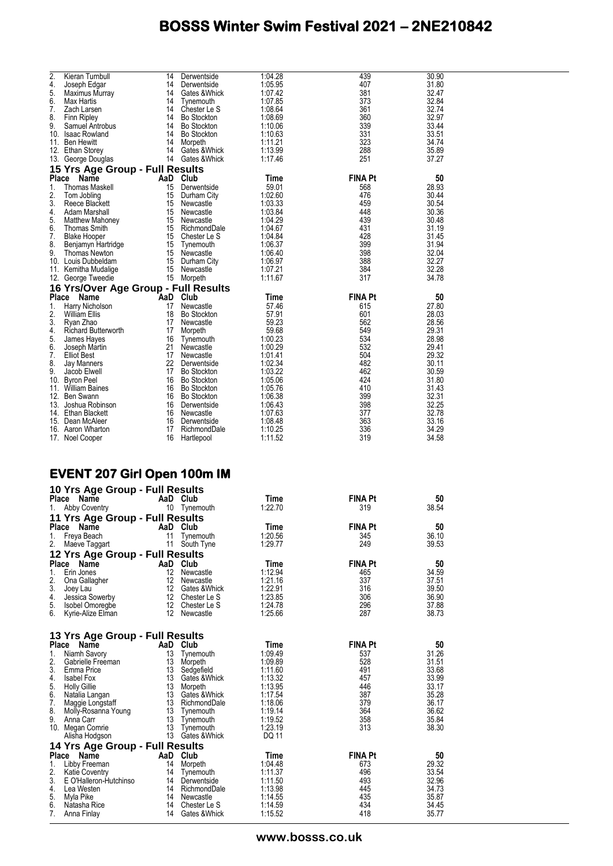| 2.                 | Kieran Turnbull                               | 14             | Derwentside                                         | 1:04.28                       | 439                   | 30.90                   |
|--------------------|-----------------------------------------------|----------------|-----------------------------------------------------|-------------------------------|-----------------------|-------------------------|
| 4.<br>5.           | Joseph Edgar<br>Maximus Murray                | 14             | Derwentside<br>14 Gates & Whick                     | 1:05.95<br>1:07.42            | 407<br>381            | 31.80<br>32.47          |
| 6.                 | Max Hartis                                    | 14             | Tynemouth                                           | 1:07.85                       | 373                   | 32.84                   |
| 7.                 | Zach Larsen                                   | 14             | Chester Le S                                        | 1:08.64                       | 361                   | 32.74                   |
| 8.<br>9.           | Finn Ripley                                   |                | 14 Bo Stockton<br>14 Bo Stockton                    | 1:08.69<br>1:10.06            | 360<br>339            | 32.97<br>33.44          |
|                    | Samuel Antrobus<br>10. Isaac Rowland          |                | 14 Bo Stockton                                      | 1:10.63                       | 331                   | 33.51                   |
|                    | 11. Ben Hewitt                                |                | 14 Morpeth                                          | 1:11.21                       | 323                   | 34.74                   |
|                    | 12. Ethan Storey                              |                | 14 Gates & Whick                                    | 1:13.99                       | 288                   | 35.89                   |
|                    | 13. George Douglas                            |                | 14 Gates & Whick                                    | 1:17.46                       | 251                   | 37.27                   |
|                    | 15 Yrs Age Group - Full Results               |                |                                                     |                               |                       |                         |
| <b>Place</b><br>1. | Name                                          | AaD Club       |                                                     | Time                          | <b>FINA Pt</b>        | 50                      |
| 2.                 | Thomas Maskell<br>Tom Jobling                 | 15<br>15       | Derwentside<br>Durham City                          | 59.01<br>1:02.60              | 568<br>476            | 28.93<br>30.44          |
| 3.                 | Reece Blackett                                | 15             | Newcastle                                           | 1:03.33                       | 459                   | 30.54                   |
| 4.                 | Adam Marshall                                 | 15             | Newcastle                                           | 1:03.84                       | 448                   | 30.36                   |
| 5.                 | <b>Matthew Mahoney</b>                        |                | 15 Newcastle                                        | 1:04.29                       | 439                   | 30.48                   |
| 6.                 | <b>Thomas Smith</b>                           | 15<br>15       | RichmondDale                                        | 1:04.67                       | 431                   | 31.19<br>31.45          |
| 7.<br>8.           | <b>Blake Hooper</b><br>Benjamyn Hartridge     | 15             | Chester Le S<br>Tynemouth                           | 1:04.84<br>1:06.37            | 428<br>399            | 31.94                   |
| 9.                 | Thomas Newton                                 | 15             | Newcastle                                           | 1:06.40                       | 398                   | 32.04                   |
|                    | 10. Louis Dubbeldam                           | 15             | Durham City                                         | 1:06.97                       | 388                   | 32.27                   |
|                    | 11. Kemitha Mudalige                          | 15             | Newcastle                                           | 1:07.21                       | 384                   | 32.28                   |
|                    | 12. George Tweedie                            |                | 15 Morpeth                                          | 1:11.67                       | 317                   | 34.78                   |
|                    | 16 Yrs/Over Age Group - Full Results          |                |                                                     |                               |                       |                         |
| <b>Place</b><br>1. | Name                                          | AaD<br>17      | Club<br>Newcastle                                   | Time<br>57.46                 | <b>FINA Pt</b><br>615 | 50<br>27.80             |
| 2.                 | Harry Nicholson<br>William Ellis              | 18             | <b>Bo Stockton</b>                                  | 57.91                         | 601                   | 28.03                   |
| 3.                 | Ryan Zhao                                     | 17             | Newcastle                                           | 59.23                         | 562                   | 28.56                   |
| 4.                 | <b>Richard Butterworth</b>                    | 17             | Morpeth                                             | 59.68                         | 549                   | 29.31                   |
| 5.                 | James Hayes                                   | 16             | Tynemouth                                           | 1:00.23                       | 534                   | 28.98                   |
| 6.<br>7.           | Joseph Martin<br>Elliot Best                  | 21<br>17       | Newcastle<br>Newcastle                              | 1:00.29<br>1:01.41            | 532<br>504            | 29.41<br>29.32          |
| 8.                 | Jay Manners                                   | 22             | Derwentside                                         | 1:02.34                       | 482                   | 30.11                   |
| 9.                 | Jacob Elwell                                  | 17             | <b>Bo Stockton</b>                                  | 1:03.22                       | 462                   | 30.59                   |
|                    | 10. Byron Peel                                |                | 16 Bo Stockton                                      | 1:05.06                       | 424                   | 31.80                   |
|                    | 11. William Baines                            | 16             | <b>Bo Stockton</b>                                  | 1:05.76                       | 410                   | 31.43                   |
|                    | 12. Ben Swann<br>13. Joshua Robinson          | 16             | Bo Stockton<br>16 Derwentside                       | 1:06.38<br>1:06.43            | 399<br>398            | 32.31<br>32.25          |
|                    | 14. Ethan Blackett                            | 16             | Newcastle                                           | 1:07.63                       | 377                   | 32.78                   |
|                    | 15. Dean McAleer                              | 16             | Derwentside                                         | 1:08.48                       | 363                   | 33.16                   |
|                    | 16. Aaron Wharton                             | 17             | RichmondDale                                        | 1:10.25                       | 336                   | 34.29                   |
|                    | 17. Noel Cooper                               | 16             | Hartlepool                                          | 1:11.52                       | 319                   | 34.58                   |
|                    |                                               |                |                                                     |                               |                       |                         |
|                    |                                               |                |                                                     |                               |                       |                         |
|                    |                                               |                |                                                     |                               |                       |                         |
|                    | <b>EVENT 207 Girl Open 100m IM</b>            |                |                                                     |                               |                       |                         |
|                    | 10 Yrs Age Group - Full Results               |                |                                                     |                               |                       |                         |
|                    | Name<br>Place                                 |                | AaD Club                                            | Time                          | <b>FINA Pt</b>        | 50                      |
| 1.                 | Abby Coventry                                 | 10             | Tynemouth                                           | 1:22.70                       | 319                   | 38.54                   |
|                    | 11 Yrs Age Group - Full Results               |                |                                                     |                               |                       |                         |
| <b>Place</b>       | Name                                          | AaD Club       |                                                     | Time                          | <b>FINA Pt</b>        | 50                      |
| 1.                 | Freya Beach                                   | 11             | Tynemouth                                           | 1:20.56                       | 345                   | 36.10                   |
| 2.                 | Maeve Taggart                                 |                | 11 South Tyne                                       | 1:29.77                       | 249                   | 39.53                   |
|                    | 12 Yrs Age Group - Full Results               |                |                                                     |                               |                       |                         |
| Place<br>1.        | Name<br>Erin Jones                            | AaD Club       | 12 Newcastle                                        | Time<br>1:12.94               | FINA Pt<br>465        | 50<br>34.59             |
| 2.                 | Ona Gallagher                                 |                | 12 Newcastle                                        | 1:21.16                       | 337                   | 37.51                   |
| 3.                 | Joey Lau                                      |                | 12 Gates & Whick                                    | 1:22.91                       | 316                   | 39.50                   |
| 4.                 | Jessica Sowerby                               |                | 12 Chester Le S                                     | 1:23.85                       | 306                   | 36.90                   |
| 5.<br>6.           | Isobel Omoregbe                               |                | 12 Chester Le S                                     | 1:24.78                       | 296                   | 37.88                   |
|                    | Kyrie-Alize Elman                             |                | 12 Newcastle                                        | 1:25.66                       | 287                   | 38.73                   |
|                    |                                               |                |                                                     |                               |                       |                         |
|                    | 13 Yrs Age Group - Full Results               |                |                                                     |                               |                       |                         |
| 1.                 | Place Name<br>Niamh Savory                    | AaD Club<br>13 | Tynemouth                                           | Time<br>1:09.49               | <b>FINA Pt</b><br>537 | 50<br>31.26             |
| 2.                 | Gabrielle Freeman                             | 13             | Morpeth                                             | 1:09.89                       | 528                   | 31.51                   |
| 3.                 | Emma Price                                    |                | 13 Sedgefield                                       | 1:11.60                       | 491                   | 33.68                   |
| 4.                 | Isabel Fox                                    |                | 13 Gates & Whick                                    | 1:13.32                       | 457                   | 33.99                   |
| 5.<br>6.           | <b>Holly Gillie</b>                           |                | 13 Morpeth<br>13 Gates & Whick                      | 1:13.95<br>1:17.54            | 446<br>387            | 33.17<br>35.28          |
| 7.                 | Natalia Langan<br>Maggie Longstaff            |                | 13 RichmondDale                                     | 1:18.06                       | 379                   | 36.17                   |
| 8.                 | Molly-Rosanna Young                           | 13             | Tynemouth                                           | 1:19.14                       | 364                   | 36.62                   |
| 9.                 | Anna Carr                                     |                | 13 Tynemouth                                        | 1:19.52                       | 358                   | 35.84                   |
|                    | 10. Megan Comrie                              | 13             | Tynemouth                                           | 1:23.19                       | 313                   | 38.30                   |
|                    | Alisha Hodgson                                |                | 13 Gates & Whick                                    | DQ 11                         |                       |                         |
|                    | 14 Yrs Age Group - Full Results<br>Place Name | AaD Club       |                                                     | Time                          | <b>FINA Pt</b>        | 50                      |
| 1.                 | Libby Freeman                                 |                | 14 Morpeth                                          | 1:04.48                       | 673                   | 29.32                   |
| 2.                 | <b>Katie Coventry</b>                         | 14             | Tynemouth                                           | 1:11.37                       | 496                   | 33.54                   |
| 3.                 | E O'Halleron-Hutchinso                        |                | 14 Derwentside                                      | 1:11.50                       | 493                   | 32.96                   |
| 4.                 | Lea Westen                                    |                | 14 RichmondDale                                     | 1:13.98                       | 445                   | 34.73                   |
| 5.<br>6.<br>7.     | Myla Pike<br>Natasha Rice                     |                | 14 Newcastle<br>14 Chester Le S<br>14 Gates & Whick | 1:14.55<br>1:14.59<br>1:15.52 | 435<br>434<br>418     | 35.87<br>34.45<br>35.77 |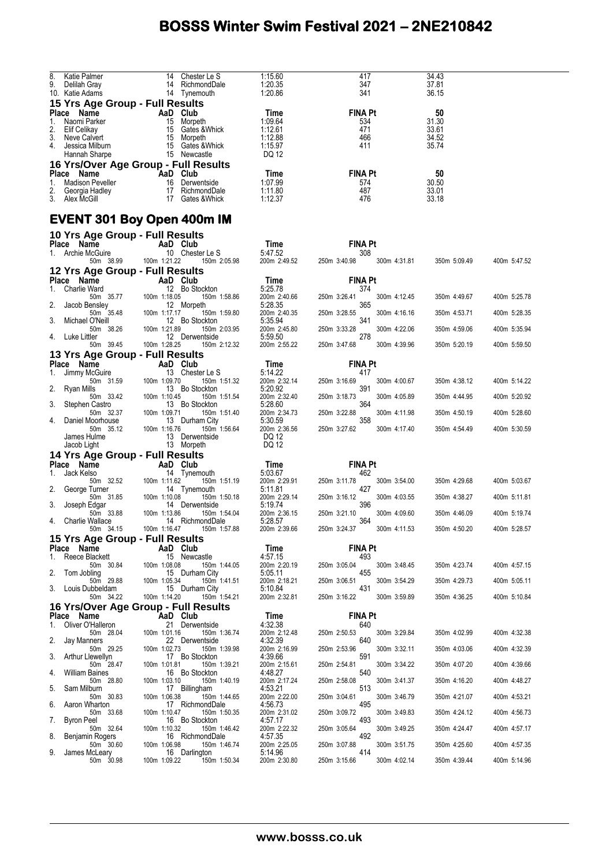| 8.<br>Katie Palmer                   | 14  | Chester Le S  | 1:15.60 | 417            | 34.43 |
|--------------------------------------|-----|---------------|---------|----------------|-------|
| 9.<br>Delilah Gray                   | 14  | RichmondDale  | 1:20.35 | 347            | 37.81 |
| 10. Katie Adams                      | 14  | Tynemouth     | 1:20.86 | 341            | 36.15 |
| 15 Yrs Age Group - Full Results      |     |               |         |                |       |
| Name<br><b>Place</b>                 | AaD | Club          | Time    | <b>FINA Pt</b> | 50    |
| Naomi Parker<br>1.                   | 15  | Morpeth       | 1:09.64 | 534            | 31.30 |
| Elif Celikay<br>2.                   | 15  | Gates & Whick | 1:12.61 | 471            | 33.61 |
| 3.<br>Neve Calvert                   | 15  | Morpeth       | 1:12.88 | 466            | 34.52 |
| 4.<br>Jessica Milburn                | 15  | Gates & Whick | 1:15.97 | 411            | 35.74 |
| Hannah Sharpe                        | 15  | Newcastle     | DQ 12   |                |       |
| 16 Yrs/Over Age Group - Full Results |     |               |         |                |       |
| Name<br><b>Place</b>                 |     | AaD Club      | Time    | <b>FINA Pt</b> | 50    |
| <b>Madison Peveller</b><br>1.        | 16  | Derwentside   | 1:07.99 | 574            | 30.50 |
| 2.<br>Georgia Hadley                 | 17  | RichmondDale  | 1:11.80 | 487            | 33.01 |
| 3.<br>Alex McGill                    | 17  | Gates & Whick | 1:12.37 | 476            | 33.18 |
|                                      |     |               |         |                |       |

#### **EVENT 301 Boy Open 400m IM**

| 10 Yrs Age Group - Full Results              |                           |              |                                 |                            |              |                     |              |              |
|----------------------------------------------|---------------------------|--------------|---------------------------------|----------------------------|--------------|---------------------|--------------|--------------|
| Place Name<br>1. Archie McGuire<br>10 Cheste |                           |              |                                 | Time<br>$11$ me<br>5:47.52 |              | <b>FINA Pt</b>      |              |              |
| 50m 38.99                                    |                           | 100m 1:21.22 | 10 Chester Le S<br>150m 2:05.98 | 200m 2:49.52               | 250m 3:40.98 | 308<br>300m 4:31.81 | 350m 5:09.49 | 400m 5:47.52 |
| 12 Yrs Age Group - Full Results              |                           |              |                                 |                            |              |                     |              |              |
| Place Name                                   |                           | AaD Club     |                                 | Time                       |              | <b>FINA Pt</b>      |              |              |
| Charlie Ward<br>1.                           |                           |              | 12 Bo Stockton                  | 5:25.78                    |              | 374                 |              |              |
| 50m 35.77<br>2.<br>Jacob Bensley             |                           | 100m 1:18.05 | 150m 1:58.86<br>12 Morpeth      | 200m 2:40.66<br>5:28.35    | 250m 3:26.41 | 300m 4:12.45<br>365 | 350m 4:49.67 | 400m 5:25.78 |
| 50m 35.48                                    |                           | 100m 1:17.17 | 150m 1:59.80                    | 200m 2:40.35               | 250m 3:28.55 | 300m 4:16.16        | 350m 4:53.71 | 400m 5:28.35 |
| 3.<br>Michael O'Neill<br>50m 38.26           |                           | 100m 1:21.89 | 12 Bo Stockton<br>150m 2:03.95  | 5:35.94<br>200m 2:45.80    | 250m 3:33.28 | 341<br>300m 4:22.06 | 350m 4:59.06 | 400m 5:35.94 |
| 4.<br>Luke Littler<br>50m 39.45              |                           | 100m 1:28.25 | 12 Derwentside<br>150m 2:12.32  | 5:59.50<br>200m 2:55.22    | 250m 3:47.68 | 278<br>300m 4:39.96 | 350m 5:20.19 | 400m 5:59.50 |
| 13 Yrs Age Group - Full Results              |                           |              |                                 |                            |              |                     |              |              |
| Place Name                                   |                           | AaD Club     |                                 | Time                       |              | <b>FINA Pt</b>      |              |              |
| Jimmy McGuire<br>1.                          |                           |              | 13 Chester Le S                 | 5:14.22                    |              | 417                 |              |              |
| 50m 31.59<br>2.<br>Ryan Mills                |                           | 100m 1:09.70 | 150m 1:51.32<br>13 Bo Stockton  | 200m 2:32.14<br>5:20.92    | 250m 3:16.69 | 300m 4:00.67<br>391 | 350m 4:38.12 | 400m 5:14.22 |
| 50m 33.42<br>3.                              |                           | 100m 1:10.45 | 150m 1:51.54<br>13 Bo Stockton  | 200m 2:32.40<br>5:28.60    | 250m 3:18.73 | 300m 4:05.89<br>364 | 350m 4:44.95 | 400m 5:20.92 |
| Stephen Castro<br>50m 32.37                  |                           | 100m 1:09.71 | 150m 1:51.40                    | 200m 2:34.73               | 250m 3:22.88 | 300m 4:11.98        | 350m 4:50.19 | 400m 5:28.60 |
| 4.<br>Daniel Moorhouse<br>50m 35.12          |                           | 100m 1:16.76 | 13 Durham City<br>150m 1:56.64  | 5:30.59<br>200m 2:36.56    | 250m 3:27.62 | 358<br>300m 4:17.40 | 350m 4:54.49 | 400m 5:30.59 |
| James Hulme<br>Jacob Light                   |                           |              | 13 Derwentside<br>13 Morpeth    | DQ 12<br>DQ 12             |              |                     |              |              |
| 14 Yrs Age Group - Full Results              |                           |              |                                 |                            |              |                     |              |              |
| Place Name                                   |                           | AaD Club     |                                 | Time                       |              | <b>FINA Pt</b>      |              |              |
| 1.<br>Jack Kelso                             |                           |              | 14 Tynemouth                    | 5:03.67                    |              | 462                 |              |              |
| 50m 32.52<br>2.<br>George Turner             |                           | 100m 1:11.62 | 150m 1:51.19<br>14 Tynemouth    | 200m 2:29.91<br>5:11.81    | 250m 3:11.78 | 300m 3:54.00<br>427 | 350m 4:29.68 | 400m 5:03.67 |
| 50m 31.85<br>3.                              |                           | 100m 1:10.08 | 150m 1:50.18                    | 200m 2:29.14               | 250m 3:16.12 | 300m 4:03.55<br>396 | 350m 4:38.27 | 400m 5:11.81 |
| Joseph Edgar<br>50m 33.88                    |                           | 100m 1:13.86 | 14 Derwentside<br>150m 1:54.04  | 5:19.74<br>200m 2:36.15    | 250m 3:21.10 | 300m 4:09.60        | 350m 4:46.09 | 400m 5:19.74 |
| Charlie Wallace<br>4.<br>50m 34.15           |                           | 100m 1:16.47 | 14 RichmondDale<br>150m 1:57.88 | 5:28.57<br>200m 2:39.66    | 250m 3:24.37 | 364<br>300m 4:11.53 | 350m 4:50.20 | 400m 5:28.57 |
| 15 Yrs Age Group - Full Results              |                           |              |                                 |                            |              |                     |              |              |
| Place Name                                   |                           | AaD Club     |                                 | Time                       |              | <b>FINA Pt</b>      |              |              |
| 1.<br>Reece Blackett                         |                           |              | 15 Newcastle                    | 4:57.15                    |              | 493                 |              |              |
| 50m 30.84<br>2.<br>Tom Jobling               |                           | 100m 1:08.08 | 150m 1:44.05<br>15 Durham City  | 200m 2:20.19<br>5:05.11    | 250m 3:05.04 | 300m 3:48.45<br>455 | 350m 4:23.74 | 400m 4:57.15 |
| 50m 29.88<br>3.                              |                           | 100m 1:05.34 | 150m 1:41.51                    | 200m 2:18.21<br>5:10.84    | 250m 3:06.51 | 300m 3:54.29<br>431 | 350m 4:29.73 | 400m 5:05.11 |
| Louis Dubbeldam<br>50m 34.22                 |                           | 100m 1:14.20 | 15 Durham City<br>150m 1:54.21  | 200m 2:32.81               | 250m 3:16.22 | 300m 3:59.89        | 350m 4:36.25 | 400m 5:10.84 |
| 16 Yrs/Over Age Group - Full Results         |                           |              |                                 |                            |              |                     |              |              |
| Place Name                                   | <b>Example 2</b> AaD Club |              |                                 | Time                       |              | <b>FINA Pt</b>      |              |              |
| Oliver O'Halleron<br>1.<br>50m 28.04         |                           | 100m 1:01.16 | 21 Derwentside<br>150m 1:36.74  | 4:32.38<br>200m 2:12.48    | 250m 2:50.53 | 640<br>300m 3:29.84 | 350m 4:02.99 | 400m 4:32.38 |
| 2.<br>Jay Manners                            |                           |              | 22 Derwentside                  | 4:32.39                    |              | 640                 |              |              |
| 50m 29.25<br>3.<br>Arthur Llewellyn          |                           | 100m 1:02.73 | 150m 1:39.98<br>17 Bo Stockton  | 200m 2:16.99<br>4:39.66    | 250m 2:53.96 | 300m 3:32.11<br>591 | 350m 4:03.06 | 400m 4:32.39 |
| 50m 28.47<br>4.<br><b>William Baines</b>     |                           | 100m 1:01.81 | 150m 1:39.21<br>16 Bo Stockton  | 200m 2:15.61<br>4:48.27    | 250m 2:54.81 | 300m 3:34.22<br>540 | 350m 4:07.20 | 400m 4:39.66 |
| 50m 28.80<br>5.<br>Sam Milburn               |                           | 100m 1:03.10 | 150m 1:40.19<br>17 Billingham   | 200m 2:17.24<br>4:53.21    | 250m 2:58.08 | 300m 3:41.37<br>513 | 350m 4:16.20 | 400m 4:48.27 |
| 50m 30.83                                    |                           | 100m 1:06.38 | 150m 1:44.65                    | 200m 2:22.00               | 250m 3:04.61 | 300m 3:46.79        | 350m 4:21.07 | 400m 4:53.21 |
| 6.<br>Aaron Wharton<br>50m 33.68             |                           | 100m 1:10.47 | 17 RichmondDale<br>150m 1:50.35 | 4:56.73<br>200m 2:31.02    | 250m 3:09.72 | 495<br>300m 3:49.83 | 350m 4:24.12 | 400m 4:56.73 |
| 7.<br>Byron Peel<br>50m 32.64                |                           | 100m 1:10.32 | 16 Bo Stockton<br>150m 1:46.42  | 4:57.17<br>200m 2:22.32    | 250m 3:05.64 | 493<br>300m 3:49.25 | 350m 4:24.47 | 400m 4:57.17 |
| 8.<br>Benjamin Rogers                        |                           |              | 16 RichmondDale                 | 4:57.35                    |              | 492                 |              |              |
| 50m 30.60<br>9.<br>James McLeary             |                           | 100m 1:06.98 | 150m 1:46.74<br>16 Darlington   | 200m 2:25.05<br>5:14.96    | 250m 3:07.88 | 300m 3:51.75<br>414 | 350m 4:25.60 | 400m 4:57.35 |
| 50m 30.98                                    |                           | 100m 1:09.22 | 150m 1:50.34                    | 200m 2:30.80               | 250m 3:15.66 | 300m 4:02.14        | 350m 4:39.44 | 400m 5:14.96 |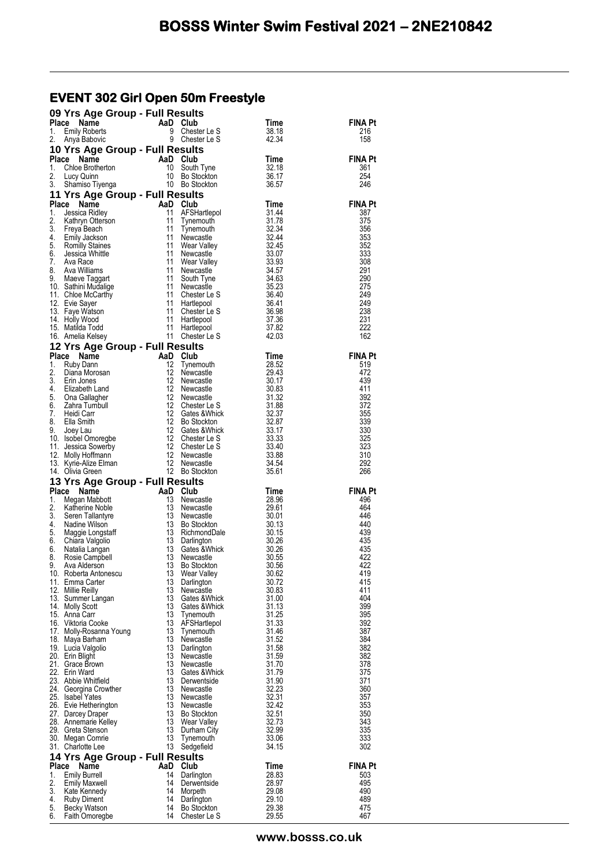#### **EVENT 302 Girl Open 50m Freestyle**

|             | 09 Yrs Age Group - Full Results                                                                                                                                                                                                                          |                                                    |                                                                                      |                                                                                                                                  |                       |
|-------------|----------------------------------------------------------------------------------------------------------------------------------------------------------------------------------------------------------------------------------------------------------|----------------------------------------------------|--------------------------------------------------------------------------------------|----------------------------------------------------------------------------------------------------------------------------------|-----------------------|
| Place<br>1. | Name<br><b>Emily Roberts</b>                                                                                                                                                                                                                             | AaD Club<br>9 Chester<br>9 Chester                 | Chester Le S                                                                         | Time<br>38.18                                                                                                                    | FINA Pt<br>216        |
| 2.          | Anya Babovic                                                                                                                                                                                                                                             |                                                    | Chester Le S                                                                         | 42.34                                                                                                                            | 158                   |
|             | 10 Yrs Age Group - Full Results                                                                                                                                                                                                                          |                                                    |                                                                                      |                                                                                                                                  |                       |
| Place       |                                                                                                                                                                                                                                                          |                                                    |                                                                                      | Time                                                                                                                             | <b>FINA Pt</b>        |
| 1.<br>2.    |                                                                                                                                                                                                                                                          |                                                    |                                                                                      | 32.18<br>36.17                                                                                                                   | 361<br>254            |
| 3.          | Calle <b>Calle Contract Calle Contract Calle Child Child Child Child Child Child Child Child Child Child Child Child Child Child Child Child Child Child Child Child Child Child Child Child Child Child Child Child Child Child</b>                     |                                                    |                                                                                      | 36.57                                                                                                                            | 246                   |
|             | 11 Yrs Age Group - Full Results                                                                                                                                                                                                                          |                                                    |                                                                                      |                                                                                                                                  |                       |
| 1.          | Place<br>Name<br>Jessica Ridley                                                                                                                                                                                                                          | <b>AaD Club</b><br>11 AFSH<br>11 Tynen<br>11 Tynen | AFSHartlepol                                                                         | Time<br>31.44                                                                                                                    | <b>FINA Pt</b><br>387 |
| 2.          | Kathryn Otterson                                                                                                                                                                                                                                         |                                                    | Tynemouth                                                                            |                                                                                                                                  | 375                   |
| 3.          |                                                                                                                                                                                                                                                          | 11                                                 | Tynemouth                                                                            |                                                                                                                                  | 356                   |
| 4.<br>5.    | New<br>Emily Jackson<br>Romilly Staines<br>Jessica Whittle                                                                                                                                                                                               | 11<br>11                                           | Newcastle<br>Wear Valley                                                             |                                                                                                                                  | 353<br>352            |
| 6.          |                                                                                                                                                                                                                                                          | 11                                                 | Newcastle                                                                            |                                                                                                                                  | 333                   |
| 7.<br>8.    | Ava Race                                                                                                                                                                                                                                                 | 11<br>11                                           | Wear Valley                                                                          |                                                                                                                                  | 308<br>291            |
| 9.          | Ava Williams<br>Maeve Taggart                                                                                                                                                                                                                            | 11                                                 | Newcastle<br>South Tyne                                                              |                                                                                                                                  | 290                   |
|             | 10. Sathini Mudalige                                                                                                                                                                                                                                     |                                                    | 11 Newcastle                                                                         |                                                                                                                                  | 275                   |
|             | 11. Chloe McCarthy<br>12. Evie Sayer                                                                                                                                                                                                                     | 11<br>11                                           | Chester Le S<br>Hartlepool                                                           |                                                                                                                                  | 249<br>249            |
|             | 13. Faye Watson                                                                                                                                                                                                                                          | 11                                                 | Chester Le S                                                                         |                                                                                                                                  | 238                   |
|             | 14. Holly Wood                                                                                                                                                                                                                                           | 11                                                 | Hartlepool                                                                           | $31.78$<br>$32.34$<br>$32.44$<br>$32.45$<br>$33.93$<br>$34.57$<br>$34.63$<br>$35.23$<br>$36.41$<br>$36.98$<br>$37.36$<br>$37.82$ | 231                   |
|             | 15. Matilda Todd<br>16. Amelia Kelsey                                                                                                                                                                                                                    | 11                                                 | Hartlepool<br>11 Chester Le S                                                        | 42.03                                                                                                                            | 222<br>162            |
|             | 12 Yrs Age Group - Full Results                                                                                                                                                                                                                          |                                                    |                                                                                      |                                                                                                                                  |                       |
| Place       | Ce Name<br>Ruby Dann<br>Diana Morosan<br>Erin Jones<br>Elizabeth Land<br>Zahra Tumbull<br>Heidi Carr<br>Heidi Carr                                                                                                                                       | AaD                                                | Club                                                                                 | Time                                                                                                                             | <b>FINA Pt</b>        |
| 1.<br>2.    |                                                                                                                                                                                                                                                          | 12<br>12                                           | Tynemouth<br>Newcastle                                                               | 28.52<br>29.43                                                                                                                   | 519<br>472            |
| 3.          |                                                                                                                                                                                                                                                          | 12                                                 | Newcastle                                                                            |                                                                                                                                  | 439                   |
| 4.          | Elizabeth Land                                                                                                                                                                                                                                           | 12                                                 | Newcastle                                                                            | $30.17$<br>30.83<br>31.32<br>31.32<br>31.32<br>32.37<br>33.33<br>33.33<br>33.40                                                  | 411                   |
| 5.<br>6.    |                                                                                                                                                                                                                                                          | 12<br>12                                           | Newcastle<br>Chester Le S                                                            |                                                                                                                                  | 392<br>372            |
|             |                                                                                                                                                                                                                                                          |                                                    | Gates & Whick                                                                        |                                                                                                                                  | 355                   |
|             |                                                                                                                                                                                                                                                          |                                                    |                                                                                      |                                                                                                                                  | 339                   |
|             |                                                                                                                                                                                                                                                          |                                                    | Gates & Whick                                                                        |                                                                                                                                  | 330<br>325            |
|             |                                                                                                                                                                                                                                                          |                                                    |                                                                                      |                                                                                                                                  | 323                   |
|             |                                                                                                                                                                                                                                                          |                                                    |                                                                                      | 33.88<br>- 34.54                                                                                                                 | 310<br>292            |
|             | 3. Heidi Carr<br>8. Ella Smith<br>9. Joey Lau<br>10. Isobel Omoregbe<br>12 Gates & Which<br>12 Gates & Which<br>12 Chester Le S<br>12 Chester Le S<br>12 Newcastle<br>12 Newcastle<br>13. Kyrie-Alize Elman<br>12 Newcastle<br>12 Newcastle<br>12 Newcas |                                                    |                                                                                      | 35.61                                                                                                                            | 266                   |
|             | 13 Yrs Age Group - Full Results                                                                                                                                                                                                                          |                                                    |                                                                                      |                                                                                                                                  |                       |
| Place       | Name                                                                                                                                                                                                                                                     | AaD                                                | Club                                                                                 | Time                                                                                                                             | <b>FINA Pt</b>        |
| 1.<br>2.    | Megan Mabbott<br>Katherine Noble                                                                                                                                                                                                                         | 13<br>13                                           | Newcastle<br>Newcastle                                                               |                                                                                                                                  | 496<br>464            |
| 3.          | Seren Tallantyre                                                                                                                                                                                                                                         | $\begin{array}{r} 13 \\ 13 \\ 13 \end{array}$      | Newcastle                                                                            |                                                                                                                                  | 446                   |
| 4.<br>5.    | Nadine Wilson                                                                                                                                                                                                                                            | 13<br>13                                           | Bo Stockton                                                                          |                                                                                                                                  | 440<br>439            |
| 6.          |                                                                                                                                                                                                                                                          | 13                                                 | RichmondDale<br>Darlington                                                           |                                                                                                                                  | 435                   |
| 6.          | Nadine wilson<br>Maggie Longstaff<br>Chiara Valgolio<br>Natalia Langan<br>Rosie Campbell<br>Ava Alderson                                                                                                                                                 | 13                                                 | 1111<br>28.96<br>29.61<br>30.01<br>30.02<br>30.26<br>30.55<br>30.56<br>Gates & Whick |                                                                                                                                  | 435                   |
| 8.<br>9.    |                                                                                                                                                                                                                                                          | 13<br>13                                           | Newcastle<br><b>Bo Stockton</b>                                                      |                                                                                                                                  | 422<br>422            |
|             | 10. Roberta Antonescu                                                                                                                                                                                                                                    | 13                                                 | Wear Valley                                                                          | 30.62                                                                                                                            | 419                   |
|             | 11. Emma Carter                                                                                                                                                                                                                                          | 13<br>13                                           | Darlington                                                                           | 30.72                                                                                                                            | 415<br>411            |
|             | 12. Millie Reilly<br>13. Summer Langan                                                                                                                                                                                                                   | 13                                                 | Newcastle<br>Gates & Whick                                                           | 30.83<br>31.00                                                                                                                   | 404                   |
|             | 14. Molly Scott                                                                                                                                                                                                                                          | 13                                                 | Gates & Whick                                                                        | 31.13                                                                                                                            | 399                   |
|             | 15. Anna Carr<br>16. Viktoria Cooke                                                                                                                                                                                                                      | 13<br>13                                           | Tynemouth<br>AFSHartlepol                                                            | 31.25<br>31.33                                                                                                                   | 395<br>392            |
|             | 17. Molly-Rosanna Young                                                                                                                                                                                                                                  | 13                                                 | Tynemouth                                                                            | 31.46                                                                                                                            | 387                   |
|             | 18. Maya Barham                                                                                                                                                                                                                                          | 13                                                 | Newcastle                                                                            | 31.52                                                                                                                            | 384                   |
|             | 19. Lucia Valgolio<br>20. Erin Blight                                                                                                                                                                                                                    | 13<br>13                                           | Darlington<br>Newcastle                                                              | 31.58<br>31.59                                                                                                                   | 382<br>382            |
|             | 21. Grace Brown                                                                                                                                                                                                                                          | 13                                                 | Newcastle                                                                            | 31.70                                                                                                                            | 378                   |
|             | 22. Erin Ward<br>23. Abbie Whitfield                                                                                                                                                                                                                     | 13<br>13                                           | Gates & Whick<br>Derwentside                                                         | 31.79<br>31.90                                                                                                                   | 375<br>371            |
|             | 24. Georgina Crowther                                                                                                                                                                                                                                    | 13                                                 | Newcastle                                                                            | 32.23                                                                                                                            | 360                   |
|             | 25. Isabel Yates                                                                                                                                                                                                                                         | 13                                                 | Newcastle                                                                            | 32.31                                                                                                                            | 357                   |
|             | 26. Evie Hetherington<br>27. Darcey Draper                                                                                                                                                                                                               | 13<br>13                                           | Newcastle<br>Bo Stockton                                                             | 32.42<br>32.51                                                                                                                   | 353<br>350            |
|             | 28. Annemarie Kelley                                                                                                                                                                                                                                     | 13                                                 | Wear Valley                                                                          | 32.73                                                                                                                            | 343                   |
|             | 29. Greta Stenson<br>30. Megan Comrie                                                                                                                                                                                                                    | 13<br>13                                           | Durham City                                                                          | 32.99<br>33.06                                                                                                                   | 335<br>333            |
|             | 31. Charlotte Lee                                                                                                                                                                                                                                        | 13                                                 | Tynemouth<br>Sedgefield                                                              | 34.15                                                                                                                            | 302                   |
|             | 14 Yrs Age Group - Full Results                                                                                                                                                                                                                          |                                                    |                                                                                      |                                                                                                                                  |                       |
| Place       | Name                                                                                                                                                                                                                                                     | AaD Club                                           |                                                                                      | Time                                                                                                                             | <b>FINA Pt</b>        |
| 1.<br>2.    | <b>Emily Burrell</b><br><b>Emily Maxwell</b>                                                                                                                                                                                                             | 14<br>14                                           | Darlington<br>Derwentside                                                            | 28.83<br>28.97                                                                                                                   | 503<br>495            |
| 3.          |                                                                                                                                                                                                                                                          | 14                                                 | Morpeth                                                                              | 29.08                                                                                                                            | 490                   |
|             | Kate Kennedy                                                                                                                                                                                                                                             |                                                    |                                                                                      |                                                                                                                                  |                       |
| 5.          | 4. Ruby Diment<br><b>Becky Watson</b>                                                                                                                                                                                                                    | 14<br>14                                           | Darlington<br>Bo Stockton                                                            | 29.10<br>29.38                                                                                                                   | 489<br>475            |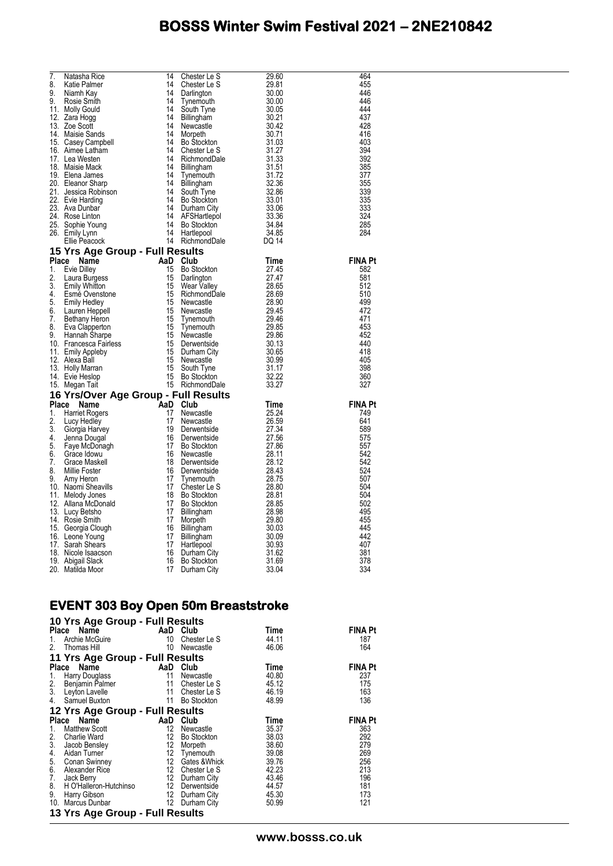| 7.           | Natasha Rice                                                                        | 14 | Chester Le S       | 29.60                                    | 464            |
|--------------|-------------------------------------------------------------------------------------|----|--------------------|------------------------------------------|----------------|
| 8.           | Katie Palmer                                                                        | 14 | Chester Le S       | 29.81                                    | 455            |
| 9.           | Niamh Kay                                                                           | 14 | Darlington         | 30.00                                    | 446            |
| 9.           | Rosie Smith                                                                         | 14 | I ynemouth         | 30.00                                    | 446            |
|              | 11. Molly Gould                                                                     | 14 | South Tyne         | 30.05                                    | 444            |
|              | 12. Zara Hogg                                                                       | 14 | Billingham         | 30.21                                    | 437            |
|              | 13. Zoe Scott                                                                       | 14 | Newcastle          | 30.42                                    | 428            |
|              | 14. Maisie Sands                                                                    | 14 | Morpeth            | 30.71                                    | 416            |
|              | 15. Casey Campbell                                                                  | 14 | Bo Stockton        | 31.03                                    | 403            |
|              | 16. Aimee Latham                                                                    | 14 | Chester Le S       | 31.27<br>31.33                           | 394            |
|              | 17. Lea Westen                                                                      | 14 | RichmondDale       |                                          | 392            |
|              | 18. Maisie Mack                                                                     | 14 | Billingham         | 31.51                                    | 385            |
|              | 19. Elena James                                                                     | 14 | Tynemouth          | 31.72                                    | 377            |
|              | 20. Eleanor Sharp                                                                   | 14 | Billingham         | 32.36                                    | 355            |
|              | 21. Jessica Robinson                                                                | 14 | South Tyne         | 32.86                                    | 339            |
|              | 22. Evie Harding                                                                    | 14 | <b>Bo Stockton</b> | $33.01$<br>$33.06$<br>$33.36$<br>$34.84$ | 335            |
|              | 23. Ava Dunbar                                                                      | 14 | Durham City        |                                          | 333            |
|              | 24. Rose Linton                                                                     | 14 | AFSHartlepol       |                                          | 324            |
|              | 25. Sophie Young                                                                    | 14 | Bo Stockton        |                                          | 285            |
|              | 26. Emily Lynn                                                                      | 14 | Hartlepool         | 34.85                                    | 284            |
|              | Ellie Peacock                                                                       |    | 14 RichmondDale    | DQ 14                                    |                |
|              | 15 Yrs Age Group - Full Results                                                     |    |                    |                                          |                |
| <b>Place</b> | Name                                                                                |    | AaD Club           | Time                                     | <b>FINA Pt</b> |
| 1.           | <b>Evie Dilley</b>                                                                  | 15 | Bo Stockton        | 27.45                                    | 582            |
| 2.           | Laura Burgess                                                                       | 15 | Darlington         | 27.47                                    | 581            |
| 3.           | <b>Emily Whitton</b>                                                                | 15 | Wear Valley        | 28.65                                    | 512            |
| 4            | Esmé Ovenstone                                                                      | 15 | RichmondDale       | 28.69                                    | 510            |
| 5.           | <b>Emily Hedley</b>                                                                 | 15 | Newcastle          | 28.90                                    | 499            |
| 6.           | Lauren Heppell                                                                      | 15 | Newcastle          | 29.45                                    | 472            |
| 7.           | Bethany Heron                                                                       | 15 | Tynemouth          | 29.46                                    | 471            |
| 8.           | Eva Clapperton                                                                      | 15 | Tynemouth          | 29.85                                    | 453            |
| 9.           | Hannah Sharpe                                                                       | 15 | Newcastle          | 29.86                                    | 452            |
|              | 10. Francesca Fairless                                                              | 15 | Derwentside        | 30.13                                    | 440            |
|              | 11. Emily Appleby                                                                   | 15 | Durham City        | 30.65                                    | 418            |
|              | 12. Alexa Ball                                                                      | 15 | Newcastle          | 30.99                                    | 405            |
|              | 13. Holly Marran                                                                    | 15 | South Tyne         | 31.17                                    | 398            |
|              | 14. Evie Heslop                                                                     | 15 | <b>Bo Stockton</b> | 32.22                                    | 360            |
|              | 15. Megan Tait                                                                      |    | 15 RichmondDale    | 33.27                                    | 327            |
|              | 16 Yrs/Over Age Group - Full Results<br>it<br><b>i</b> t<br>Group - I<br>AaD<br>AaD |    |                    |                                          |                |
|              | Place<br>Name                                                                       |    | Club               | Time                                     | <b>FINA Pt</b> |
| 1.           | <b>Harriet Rogers</b>                                                               |    | Newcastle          | 25.24                                    | 749            |
| 2.           | Lucy Hedley                                                                         |    | Newcastle          | 26.59                                    | 641            |
| 3.           | Giorgia Harvey                                                                      |    | Derwentside        | 27.34                                    | 589            |
| 4.           | Jenna Dougal                                                                        | 16 | Derwentside        | 27.56                                    | 575            |
| 5.           | Faye McDonagh                                                                       | 17 | Bo Stockton        | 27.86                                    | 557            |
| 6.           | Grace Idowu                                                                         | 16 | Newcastle          | 28.11                                    | 542            |
| 7.           | Grace Maskell                                                                       | 18 | Derwentside        | 28.12                                    | 542            |
| 8.           | Millie Foster                                                                       | 16 | Derwentside        | 28.43                                    | 524            |
| 9.           | Amy Heron                                                                           | 17 | Tynemouth          | 28.75                                    | 507            |
|              | 10. Naomi Sheavills                                                                 | 17 | Chester Le S       | 28.80                                    | 504            |
|              | 11. Melody Jones                                                                    | 18 | <b>Bo Stockton</b> | 28.81                                    | 504            |
|              | 12. Allana McDonald                                                                 | 17 | Bo Stockton        | 28.85                                    | 502            |
|              | 13. Lucy Betsho                                                                     | 17 | Billingham         | 28.98                                    | 495            |
|              | 14. Rosie Smith                                                                     | 17 | Morpeth            | 29.80                                    | 455            |
|              | 15. Georgia Clough                                                                  | 16 | Billingham         | 30.03                                    | 445            |
|              | 16. Leone Young                                                                     | 17 | Billingham         | 30.09                                    | 442            |
|              | 17. Sarah Shears                                                                    | 17 | Hartlepool         | 30.93                                    | 407            |
|              | 18. Nicole Isaacson                                                                 | 16 | Durham City        | 31.62                                    | 381            |
|              | 19. Abigail Slack                                                                   | 16 | Bo Stockton        | 31.69                                    | 378            |
|              | 20. Matilda Moor                                                                    | 17 | Durham City        | 33.04                                    | 334            |

#### **EVENT 303 Boy Open 50m Breaststroke**

|                 | 10 Yrs Age Group - Full Results                                                                                                                                       |                 |                  |       |                |  |  |  |  |
|-----------------|-----------------------------------------------------------------------------------------------------------------------------------------------------------------------|-----------------|------------------|-------|----------------|--|--|--|--|
|                 | Place Name                                                                                                                                                            |                 | AaD Club         | Time  | <b>FINA Pt</b> |  |  |  |  |
| 1.              | Archie McGuire                                                                                                                                                        | 10              | Chester Le S     | 44.11 | 187            |  |  |  |  |
| 2.              | Thomas Hill                                                                                                                                                           | 10              | Newcastle        | 46.06 | 164            |  |  |  |  |
|                 | 11 Yrs Age Group - Full Results                                                                                                                                       |                 |                  |       |                |  |  |  |  |
|                 | Place Name                                                                                                                                                            | AaD             | Club             | Time  | <b>FINA Pt</b> |  |  |  |  |
| $\frac{1}{2}$ . | Harry Douglass                                                                                                                                                        | 11              | Newcastle        | 40.80 | 237            |  |  |  |  |
|                 | Benjamin Palmer                                                                                                                                                       | 11              | Chester Le S     | 45.12 | 175            |  |  |  |  |
| 3.              | Leyton Lavelle                                                                                                                                                        | 11              | Chester Le S     | 46.19 | 163            |  |  |  |  |
|                 | 4. Samuel Buxton                                                                                                                                                      | 11              | Bo Stockton      | 48.99 | 136            |  |  |  |  |
|                 | 12 Yrs Age Group - Full Results                                                                                                                                       |                 |                  |       |                |  |  |  |  |
|                 | Place Name                                                                                                                                                            |                 | AaD Club         | Time  | <b>FINA Pt</b> |  |  |  |  |
| 1.              | Matthew Scott                                                                                                                                                         | 12              | Newcastle        | 35.37 | 363            |  |  |  |  |
|                 | 1. waa we south Ward<br>2. Charlie Ward<br>3. Jacob Bensley<br>4. Aidan Turner<br>5. Conan Swinney<br>6. Alexander Rice<br>7. Jack Berry<br>8. H O'Halleron-Hutchinso | 12 <sup>°</sup> | Bo Stockton      | 38.03 | 292            |  |  |  |  |
|                 |                                                                                                                                                                       | 12              | Morpeth          | 38.60 | 279            |  |  |  |  |
|                 |                                                                                                                                                                       |                 | 12 Tynemouth     | 39.08 | 269            |  |  |  |  |
|                 |                                                                                                                                                                       |                 | 12 Gates & Whick | 39.76 | 256            |  |  |  |  |
|                 |                                                                                                                                                                       |                 | 12 Chester Le S  | 42.23 | 213            |  |  |  |  |
|                 |                                                                                                                                                                       |                 | 12 Durham City   | 43.46 | 196            |  |  |  |  |
|                 |                                                                                                                                                                       |                 | 12 Derwentside   | 44.57 | 181            |  |  |  |  |
| 9.              | <b>Harry Gibson</b>                                                                                                                                                   |                 | 12 Durham City   | 45.30 | 173            |  |  |  |  |
|                 | 10. Marcus Dunbar                                                                                                                                                     | 12              | Durham City      | 50.99 | 121            |  |  |  |  |
|                 | 13 Yrs Age Group - Full Results                                                                                                                                       |                 |                  |       |                |  |  |  |  |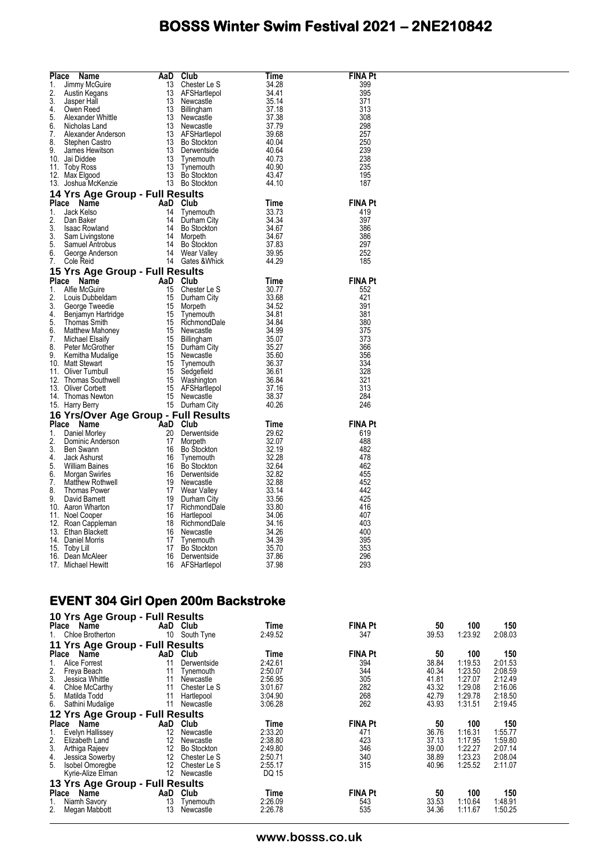| Place | Name                                                                                                                                                                                                                                                                          | AaD | Club                                                                                                                                                                                                                                                                   | Time  | <b>FINA Pt</b> |
|-------|-------------------------------------------------------------------------------------------------------------------------------------------------------------------------------------------------------------------------------------------------------------------------------|-----|------------------------------------------------------------------------------------------------------------------------------------------------------------------------------------------------------------------------------------------------------------------------|-------|----------------|
|       |                                                                                                                                                                                                                                                                               |     | Chester Le S                                                                                                                                                                                                                                                           | 34.28 | 399            |
|       |                                                                                                                                                                                                                                                                               |     |                                                                                                                                                                                                                                                                        |       | 395            |
|       |                                                                                                                                                                                                                                                                               |     |                                                                                                                                                                                                                                                                        |       | 371            |
|       |                                                                                                                                                                                                                                                                               |     |                                                                                                                                                                                                                                                                        |       | 313            |
|       |                                                                                                                                                                                                                                                                               |     |                                                                                                                                                                                                                                                                        |       | 308            |
|       |                                                                                                                                                                                                                                                                               |     |                                                                                                                                                                                                                                                                        |       | 298            |
|       |                                                                                                                                                                                                                                                                               |     |                                                                                                                                                                                                                                                                        |       | 257            |
|       |                                                                                                                                                                                                                                                                               |     |                                                                                                                                                                                                                                                                        |       | 250            |
|       |                                                                                                                                                                                                                                                                               |     |                                                                                                                                                                                                                                                                        |       | 239            |
|       |                                                                                                                                                                                                                                                                               |     |                                                                                                                                                                                                                                                                        |       | 238            |
|       |                                                                                                                                                                                                                                                                               |     |                                                                                                                                                                                                                                                                        |       | 235            |
|       |                                                                                                                                                                                                                                                                               |     |                                                                                                                                                                                                                                                                        |       | 195            |
|       | <b>Place Name AaD Club</b><br>1. Jimmy McGuire 13 Chester Le S<br>2. Austin Kegans 13 AFSHartlepol<br>3. Jasper Hall<br>4. Owen Reed 13 Newcastle<br>6. Nicholas Land 13 Newcastle<br>6. Nicholas Land 13 Newcastle<br>6. Nicholas Land 13 AFSHar                             |     | Chester Le S<br>AFSHartlepol<br>Newcastle<br>Newcastle<br>Sillingham<br>33.14<br>Newcastle<br>37.18<br>Newcastle<br>37.79<br>AFSHartlepol<br>40.04<br>Derwentside<br>Bo Stockton<br>Tynemouth<br>40.07<br>Tynemouth<br>Bo Stockton<br>Bo Stockton<br>40.07<br>Bo Stock |       | 187            |
|       | 14 Yrs Age Group - Full Results<br>Place Name Crown Presents<br>2. Dan Baker Man 21 University<br>2. Dan Baker 14 Tynemouth 33.73<br>3. Isaac Rowland 14 Bo Stockton 34.67<br>3. Sam Livingstone 14 Morpeth 34.67<br>5. Samuel Antrobus 14 Bo Stockton 37.83<br>6. George And |     |                                                                                                                                                                                                                                                                        |       |                |
|       |                                                                                                                                                                                                                                                                               |     |                                                                                                                                                                                                                                                                        |       | <b>FINA Pt</b> |
|       |                                                                                                                                                                                                                                                                               |     |                                                                                                                                                                                                                                                                        |       | 419            |
|       |                                                                                                                                                                                                                                                                               |     |                                                                                                                                                                                                                                                                        |       | 397            |
|       |                                                                                                                                                                                                                                                                               |     |                                                                                                                                                                                                                                                                        |       | 386            |
|       |                                                                                                                                                                                                                                                                               |     |                                                                                                                                                                                                                                                                        |       | 386<br>297     |
|       |                                                                                                                                                                                                                                                                               |     |                                                                                                                                                                                                                                                                        |       |                |
|       |                                                                                                                                                                                                                                                                               |     |                                                                                                                                                                                                                                                                        |       | 252<br>185     |
|       |                                                                                                                                                                                                                                                                               |     |                                                                                                                                                                                                                                                                        |       |                |
|       | 15 Yrs Age Group - Full Results                                                                                                                                                                                                                                               |     |                                                                                                                                                                                                                                                                        |       |                |
|       |                                                                                                                                                                                                                                                                               |     |                                                                                                                                                                                                                                                                        |       | <b>FINA Pt</b> |
|       |                                                                                                                                                                                                                                                                               |     |                                                                                                                                                                                                                                                                        |       | 552            |
|       |                                                                                                                                                                                                                                                                               |     |                                                                                                                                                                                                                                                                        |       | 421            |
|       |                                                                                                                                                                                                                                                                               |     |                                                                                                                                                                                                                                                                        |       | 391            |
|       |                                                                                                                                                                                                                                                                               |     |                                                                                                                                                                                                                                                                        |       | 381            |
|       |                                                                                                                                                                                                                                                                               |     |                                                                                                                                                                                                                                                                        |       | 380            |
|       |                                                                                                                                                                                                                                                                               |     |                                                                                                                                                                                                                                                                        |       | 375            |
|       |                                                                                                                                                                                                                                                                               |     |                                                                                                                                                                                                                                                                        |       | 373            |
|       |                                                                                                                                                                                                                                                                               |     |                                                                                                                                                                                                                                                                        |       | 366<br>356     |
|       |                                                                                                                                                                                                                                                                               |     |                                                                                                                                                                                                                                                                        |       | 334            |
|       |                                                                                                                                                                                                                                                                               |     |                                                                                                                                                                                                                                                                        |       | 328            |
|       |                                                                                                                                                                                                                                                                               |     |                                                                                                                                                                                                                                                                        |       | 321            |
|       |                                                                                                                                                                                                                                                                               |     |                                                                                                                                                                                                                                                                        |       | 313            |
|       |                                                                                                                                                                                                                                                                               |     |                                                                                                                                                                                                                                                                        |       | 284            |
|       |                                                                                                                                                                                                                                                                               |     |                                                                                                                                                                                                                                                                        |       | 246            |
|       |                                                                                                                                                                                                                                                                               |     |                                                                                                                                                                                                                                                                        |       |                |
|       | 15 Yrs Age Group - Full Results<br>2. Louis Dubeldam<br>2. Louis Dubeldam<br>2. Louis Dubeldam<br>3. George Tweedie<br>4. Benjamyn Hartridge<br>5. Thomas Smith<br>5. Thomas Smith<br>5. Thomas Smith<br>6. Matthew Mahoney<br>15 RichmondDale<br>15                          |     |                                                                                                                                                                                                                                                                        | Time  | <b>FINA Pt</b> |
|       |                                                                                                                                                                                                                                                                               |     |                                                                                                                                                                                                                                                                        |       | 619            |
|       |                                                                                                                                                                                                                                                                               |     |                                                                                                                                                                                                                                                                        |       | 488            |
|       |                                                                                                                                                                                                                                                                               |     |                                                                                                                                                                                                                                                                        |       | 482            |
|       |                                                                                                                                                                                                                                                                               |     |                                                                                                                                                                                                                                                                        |       | 478            |
|       |                                                                                                                                                                                                                                                                               |     |                                                                                                                                                                                                                                                                        |       | 462            |
|       |                                                                                                                                                                                                                                                                               |     |                                                                                                                                                                                                                                                                        |       | 455            |
|       |                                                                                                                                                                                                                                                                               |     |                                                                                                                                                                                                                                                                        |       | 452            |
|       |                                                                                                                                                                                                                                                                               |     |                                                                                                                                                                                                                                                                        |       | 442            |
|       |                                                                                                                                                                                                                                                                               |     |                                                                                                                                                                                                                                                                        |       | 425            |
|       |                                                                                                                                                                                                                                                                               |     |                                                                                                                                                                                                                                                                        |       | 416            |
|       |                                                                                                                                                                                                                                                                               |     |                                                                                                                                                                                                                                                                        |       | 407            |
|       |                                                                                                                                                                                                                                                                               |     |                                                                                                                                                                                                                                                                        |       | 403            |
|       |                                                                                                                                                                                                                                                                               |     |                                                                                                                                                                                                                                                                        |       | 400            |
|       |                                                                                                                                                                                                                                                                               |     |                                                                                                                                                                                                                                                                        |       | 395            |
|       |                                                                                                                                                                                                                                                                               |     |                                                                                                                                                                                                                                                                        |       | 353            |
|       |                                                                                                                                                                                                                                                                               |     |                                                                                                                                                                                                                                                                        |       | 296            |
|       | <b>16 Yrs/Over Age Group - Full R<br/> Place Name AaD Club<br/> 1. Daniel Morley 20 Denve<br/> 2. Dominic Anderson<br/> 3. Ben Swann 16 Bo Sto<br/> 3. Ben Swann 16 Bo Sto<br/> 4. Jack Ashurst 16 Tynem<br/> 5. William Baines 16 Bo Sto<br/> 5. William Baines</b>          |     | Club<br>Derwentside 29.62<br>Bo Stockton 32.07<br>Bo Stockton 32.28<br>Dynemouth 32.28<br>Derwentside 32.82<br>Newcastle 32.82<br>Newcastle 33.84<br>Newcastle 33.86<br>Newcastle 33.86<br>Hartlepool 34.06<br>RichmondDale 34.16<br>Newcastle 34.26<br>               |       | 293            |

#### **EVENT 304 Girl Open 200m Backstroke**

| 10 Yrs Age Group - Full Results |                   |                    |         |                |       |         |         |
|---------------------------------|-------------------|--------------------|---------|----------------|-------|---------|---------|
| Place Name                      |                   | AaD Club           | Time    | <b>FINA Pt</b> | 50    | 100     | 150     |
| Chloe Brotherton<br>1.          | 10                | South Tyne         | 2:49.52 | 347            | 39.53 | 1:23.92 | 2:08.03 |
| 11 Yrs Age Group - Full Results |                   |                    |         |                |       |         |         |
| Name<br><b>Place</b>            | AaD               | Club               | Time    | <b>FINA Pt</b> | 50    | 100     | 150     |
| Alice Forrest<br>1.             | 11                | Derwentside        | 2:42.61 | 394            | 38.84 | 1:19.53 | 2:01.53 |
| $\frac{2}{3}$ .<br>Freya Beach  | 11                | Tynemouth          | 2:50.07 | 344            | 40.34 | 1:23.50 | 2:08.59 |
| Jessica Whittle                 | 11                | Newcastle          | 2:56.95 | 305            | 41.81 | 1:27.07 | 2:12.49 |
| $\frac{4}{5}$<br>Chloe McCarthy | 11                | Chester Le S       | 3:01.67 | 282            | 43.32 | 1:29.08 | 2:16.06 |
| Matilda Todd                    | 11                | Hartlepool         | 3:04.90 | 268            | 42.79 | 1:29.78 | 2:18.50 |
| 6.<br>Sathini Mudalige          | 11                | Newcastle          | 3:06.28 | 262            | 43.93 | 1:31.51 | 2:19.45 |
| 12 Yrs Age Group - Full Results |                   |                    |         |                |       |         |         |
| Place<br>Name                   | AaD               | Club               | Time    | <b>FINA Pt</b> | 50    | 100     | 150     |
| Evelyn Hallissey<br>1.          | 12                | Newcastle          | 2:33.20 | 471            | 36.76 | 1:16.31 | 1:55.77 |
| 2.<br>Elizabeth Land            | 12                | Newcastle          | 2:38.80 | 423            | 37.13 | 1:17.95 | 1:59.80 |
| 3.<br>Arthiga Rajeev            | 12                | <b>Bo Stockton</b> | 2:49.80 | 346            | 39.00 | 1:22.27 | 2:07.14 |
| 4.<br>Jessica Sowerby           | $12 \overline{ }$ | Chester Le S       | 2:50.71 | 340            | 38.89 | 1:23.23 | 2:08.04 |
| 5.<br>Isobel Omoregbe           | $12 \overline{ }$ | Chester Le S       | 2:55.17 | 315            | 40.96 | 1:25.52 | 2:11.07 |
| Kyrie-Alize Elman               | $12 \overline{ }$ | Newcastle          | DQ 15   |                |       |         |         |
| 13 Yrs Age Group - Full Results |                   |                    |         |                |       |         |         |
| <b>Place</b><br>Name            | AaD               | Club               | Time    | <b>FINA Pt</b> | 50    | 100     | 150     |
| Niamh Savory<br>1.              | 13                | Tynemouth          | 2:26.09 | 543            | 33.53 | 1:10.64 | 1:48.91 |
| 2.<br>Megan Mabbott             | 13                | Newcastle          | 2:26.78 | 535            | 34.36 | 1:11.67 | 1:50.25 |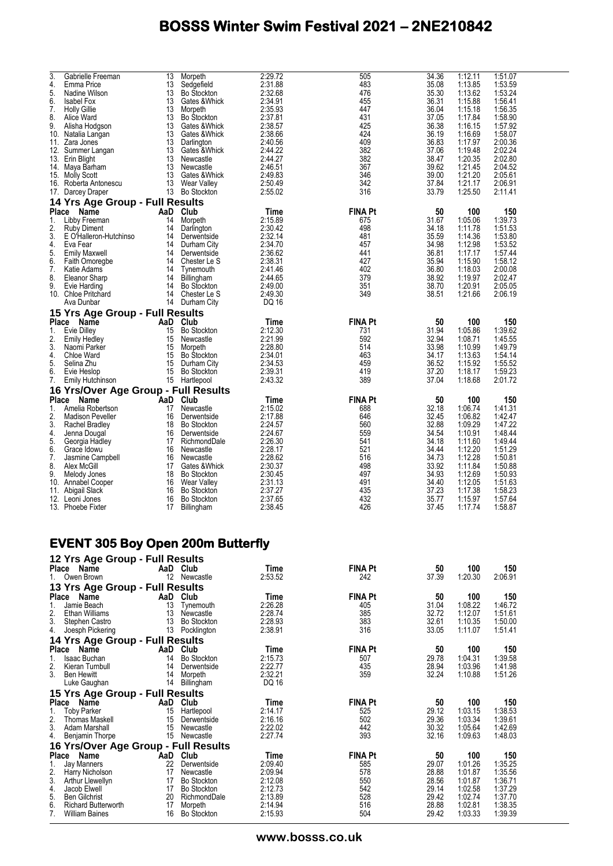| 3.           | Gabrielle Freeman                    | 13       | Morpeth                             | 2:29.72            | 505            | 34.36 | 1:12.11            | 1:51.07            |
|--------------|--------------------------------------|----------|-------------------------------------|--------------------|----------------|-------|--------------------|--------------------|
| 4.           | Emma Price                           | 13       | Sedgefield                          | 2:31.88            | 483            | 35.08 | 1:13.85            | 1:53.59            |
| 5.           | Nadine Wilson                        | 13       | <b>Bo Stockton</b>                  | 2:32.68            | 476            | 35.30 | 1:13.62            | 1:53.24            |
| 6.           | <b>Isabel Fox</b>                    | 13       | Gates & Whick                       | 2:34.91            | 455            | 36.31 | 1:15.88            | 1:56.41            |
| 7.           | <b>Holly Gillie</b>                  | 13       | Morpeth                             | 2:35.93            | 447            | 36.04 | 1:15.18            | 1:56.35            |
| 8.           | Alice Ward                           | 13       | <b>Bo Stockton</b>                  | 2:37.81            | 431            | 37.05 | 1:17.84            | 1:58.90            |
| 9.           | Alisha Hodgson                       | 13       | Gates & Whick                       | 2:38.57            | 425            | 36.38 | 1:16.15            | 1:57.92            |
| 10.          | Natalia Langan                       | 13       | Gates & Whick                       | 2:38.66            | 424            | 36.19 | 1:16.69            | 1:58.07            |
| 11.          | Zara Jones                           | 13       | Darlington                          | 2:40.56            | 409            | 36.83 | 1:17.97            | 2:00.36            |
| 12.          | Summer Langan                        | 13       | Gates & Whick                       | 2:44.22            | 382            | 37.06 | 1:19.48            | 2:02.24            |
|              | 13. Erin Blight                      | 13       | Newcastle                           | 2:44.27            | 382            | 38.47 | 1:20.35            | 2:02.80            |
|              | 14. Maya Barham                      | 13       | Newcastle                           | 2:46.51            | 367            | 39.62 | 1:21.45            | 2:04.52            |
|              | 15. Molly Scott                      | 13       | Gates & Whick                       | 2:49.83            | 346            | 39.00 | 1:21.20            | 2:05.61            |
|              | 16. Roberta Antonescu                | 13       | Wear Valley                         | 2:50.49            | 342            | 37.84 | 1:21.17            | 2:06.91            |
|              | 17. Darcey Draper                    | 13       | Bo Stockton                         | 2:55.02            | 316            | 33.79 | 1:25.50            | 2:11.41            |
|              |                                      |          |                                     |                    |                |       |                    |                    |
|              | 14 Yrs Age Group - Full Results      |          |                                     |                    |                |       |                    |                    |
| <b>Place</b> | Name                                 | AaD      | Club                                | Time               | <b>FINA Pt</b> | 50    | 100                | 150                |
| 1.           | Libby Freeman                        | 14       | Morpeth                             | 2:15.89            | 675            | 31.67 | 1:05.06            | 1:39.73            |
| 2.           | <b>Ruby Diment</b>                   | 14       | Darlington                          | 2:30.42            | 498            | 34.18 | 1:11.78            | 1:51.53            |
| 3.           | E O'Halleron-Hutchinso               | 14       | Derwentside                         | 2:32.14            | 481            | 35.59 | 1:14.36            | 1:53.80            |
| 4.           | Eva Fear                             | 14       | Durham City                         | 2:34.70            | 457            | 34.98 | 1:12.98            | 1:53.52            |
| 5.           | <b>Emily Maxwell</b>                 | 14       | Derwentside                         | 2:36.62            | 441            | 36.81 | 1:17.17            | 1:57.44            |
| 6.           | Faith Omoregbe                       | 14       | Chester Le S                        | 2:38.31            | 427            | 35.94 | 1:15.90            | 1:58.12            |
| 7.           | Katie Adams                          | 14       | Tynemouth                           | 2:41.46            | 402            | 36.80 | 1:18.03            | 2:00.08            |
| 8.           | Eleanor Sharp                        | 14       | <b>Billingham</b>                   | 2:44.65            | 379            | 38.92 | 1:19.97            | 2:02.47            |
| 9.           | Evie Harding                         | 14       | <b>Bo Stockton</b>                  | 2:49.00            | 351            | 38.70 | 1:20.91            | 2:05.05            |
|              | 10. Chloe Pritchard                  | 14       | Chester Le S                        | 2:49.30            | 349            | 38.51 | 1:21.66            | 2:06.19            |
|              | Ava Dunbar                           | 14       | Durham City                         | DQ 16              |                |       |                    |                    |
|              | 15 Yrs Age Group - Full Results      |          |                                     |                    |                |       |                    |                    |
| <b>Place</b> | <b>Name</b>                          | AaD      | Club                                | Time               | <b>FINA Pt</b> | 50    | 100                | 150                |
| 1.           | Evie Dilley                          | 15       | <b>Bo Stockton</b>                  | 2:12.30            | 731            | 31.94 | 1:05.86            | 1:39.62            |
| 2.           | <b>Emily Hedley</b>                  | 15       | Newcastle                           | 2:21.99            | 592            | 32.94 | 1:08.71            | 1:45.55            |
| 3.           | Naomi Parker                         | 15       | Morpeth                             | 2:28.80            | 514            | 33.98 | 1:10.99            | 1:49.79            |
| 4.           | Chloe Ward                           | 15       | <b>Bo Stockton</b>                  | 2:34.01            | 463            | 34.17 | 1:13.63            | 1:54.14            |
| 5.           |                                      | 15       |                                     |                    | 459            | 36.52 |                    |                    |
| 6.           | Selina Zhu                           | 15       | Durham City                         | 2:34.53<br>2:39.31 | 419            | 37.20 | 1:15.92<br>1:18.17 | 1:55.52<br>1:59.23 |
| 7.           | Evie Heslop                          |          | <b>Bo Stockton</b><br>15 Hartlepool | 2:43.32            | 389            | 37.04 | 1:18.68            | 2:01.72            |
|              | Emily Hutchinson                     |          |                                     |                    |                |       |                    |                    |
|              | 16 Yrs/Over Age Group - Full Results |          |                                     |                    |                |       |                    |                    |
| Place        | Name                                 | AaD Club |                                     | Time               | <b>FINA Pt</b> | 50    | 100                | 150                |
| 1.           | Amelia Robertson                     | 17       | Newcastle                           | 2:15.02            | 688            | 32.18 | 1:06.74            | 1:41.31            |
| 2.           | <b>Madison Peveller</b>              | 16       | Derwentside                         | 2:17.88            | 646            | 32.45 | 1:06.82            | 1:42.47            |
| 3.           | Rachel Bradley                       | 18       | <b>Bo Stockton</b>                  | 2:24.57            | 560            | 32.88 | 1:09.29            | 1:47.22            |
| 4.           | Jenna Dougal                         | 16       | Derwentside                         | 2:24.67            | 559            | 34.54 | 1:10.91            | 1:48.44            |
| 5.           | Georgia Hadley                       | 17       | RichmondDale                        | 2:26.30            | 541            | 34.18 | 1:11.60            | 1:49.44            |
| 6.           | Grace Idowu                          | 16       | Newcastle                           | 2:28.17            | 521            | 34.44 | 1:12.20            | 1:51.29            |
| 7.           | Jasmine Campbell                     | 16       | Newcastle                           | 2:28.62            | 516            | 34.73 | 1:12.28            | 1:50.81            |
| 8.           | Alex McGill                          | 17       | Gates & Whick                       | 2:30.37            | 498            | 33.92 | 1:11.84            | 1:50.88            |
| 9.           | Melody Jones                         | 18       | <b>Bo Stockton</b>                  | 2:30.45            | 497            | 34.93 | 1:12.69            | 1:50.93            |
| 10.          | Annabel Cooper                       | 16       | Wear Valley                         | 2:31.13            | 491            | 34.40 | 1:12.05            | 1:51.63            |
| 11.          | Abigail Slack                        | 16       | <b>Bo Stockton</b>                  | 2:37.27            | 435            | 37.23 | 1:17.38            | 1:58.23            |
|              | 12. Leoni Jones                      | 16       | <b>Bo Stockton</b>                  | 2:37.65            | 432            | 35.77 | 1:15.97            | 1:57.64            |
|              | 13. Phoebe Fixter                    | 17       | Billingham                          | 2:38.45            | 426            | 37.45 | 1:17.74            | 1:58.87            |
|              |                                      |          |                                     |                    |                |       |                    |                    |

#### **EVENT 305 Boy Open 200m Butterfly**

|                 | 12 Yrs Age Group - Full Results      |                   |                    |         |                |       |         |         |
|-----------------|--------------------------------------|-------------------|--------------------|---------|----------------|-------|---------|---------|
|                 | Place<br>Name                        |                   | AaD Club           | Time    | <b>FINA Pt</b> | 50    | 100     | 150     |
| 1.              | Owen Brown                           | $12 \overline{ }$ | Newcastle          | 2:53.52 | 242            | 37.39 | 1:20.30 | 2:06.91 |
|                 | 13 Yrs Age Group - Full Results      |                   |                    |         |                |       |         |         |
| <b>Place</b>    | Name                                 | AaD               | Club               | Time    | <b>FINA Pt</b> | 50    | 100     | 150     |
| 1.              | Jamie Beach                          | 13                | Tynemouth          | 2:26.28 | 405            | 31.04 | 1:08.22 | 1:46.72 |
|                 | Ethan Williams                       | 13                | Newcastle          | 2:28.74 | 385            | 32.72 | 1:12.07 | 1:51.61 |
| $\frac{2}{3}$ . | Stephen Castro                       | 13                | <b>Bo Stockton</b> | 2:28.93 | 383            | 32.61 | 1:10.35 | 1:50.00 |
| 4.              | Joesph Pickering                     | 13                | Pocklington        | 2:38.91 | 316            | 33.05 | 1:11.07 | 1:51.41 |
|                 | 14 Yrs Age Group - Full Results      |                   |                    |         |                |       |         |         |
| Place           | Name                                 | AaD               | Club               | Time    | <b>FINA Pt</b> | 50    | 100     | 150     |
| 1.              | Isaac Buchan                         | 14                | <b>Bo Stockton</b> | 2:15.73 | 507            | 29.78 | 1:04.31 | 1:39.58 |
| 2.              | Kieran Turnbull                      | 14                | Derwentside        | 2:22.77 | 435            | 28.94 | 1:03.96 | 1:41.98 |
| 3.              | <b>Ben Hewitt</b>                    | 14                | Morpeth            | 2:32.21 | 359            | 32.24 | 1:10.88 | 1:51.26 |
|                 | Luke Gaughan                         | 14                | Billingham         | DQ 16   |                |       |         |         |
|                 | 15 Yrs Age Group - Full Results      |                   |                    |         |                |       |         |         |
|                 | Place Name                           | AaD               | Club               | Time    | <b>FINA Pt</b> | 50    | 100     | 150     |
| 1.              | Toby Parker                          | 15                | Hartlepool         | 2:14.17 | 525            | 29.12 | 1:03.15 | 1:38.53 |
| 2.              | <b>Thomas Maskell</b>                | 15                | Derwentside        | 2:16.16 | 502            | 29.36 | 1:03.34 | 1:39.61 |
| 3.              | Adam Marshall                        | 15                | Newcastle          | 2:22.02 | 442            | 30.32 | 1:05.64 | 1:42.69 |
| 4.              | Benjamin Thorpe                      | 15                | Newcastle          | 2:27.74 | 393            | 32.16 | 1:09.63 | 1:48.03 |
|                 | 16 Yrs/Over Age Group - Full Results |                   |                    |         |                |       |         |         |
| Place           | Name                                 | `AaD              | Club               | Time    | <b>FINA Pt</b> | 50    | 100     | 150     |
| 1.              | Jay Manners                          | 22                | Derwentside        | 2:09.40 | 585            | 29.07 | 1:01.26 | 1:35.25 |
| $\frac{2}{3}$   | Harry Nicholson                      | 17                | Newcastle          | 2:09.94 | 578            | 28.88 | 1:01.87 | 1:35.56 |
|                 | Arthur Llewellyn                     | 17                | <b>Bo Stockton</b> | 2:12.08 | 550            | 28.56 | 1:01.87 | 1:36.71 |
| 4.              | Jacob Elwell                         | 17                | <b>Bo Stockton</b> | 2:12.73 | 542            | 29.14 | 1:02.58 | 1:37.29 |
| 5.              | <b>Ben Gilchrist</b>                 | 20                | RichmondDale       | 2:13.89 | 528            | 29.42 | 1:02.74 | 1:37.70 |
| 6.              | <b>Richard Butterworth</b>           | 17                | Morpeth            | 2:14.94 | 516            | 28.88 | 1:02.81 | 1:38.35 |
| 7.              | <b>William Baines</b>                | 16                | Bo Stockton        | 2:15.93 | 504            | 29.42 | 1:03.33 | 1:39.39 |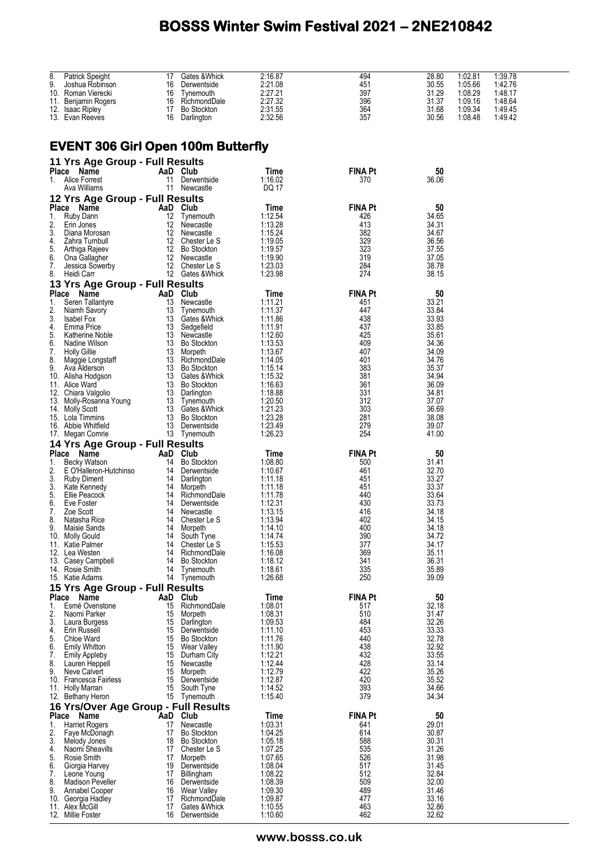| 8. |                                           |          |                                    |                    |                |                |         |         |  |
|----|-------------------------------------------|----------|------------------------------------|--------------------|----------------|----------------|---------|---------|--|
|    | Patrick Speight                           | 17       | Gates & Whick                      | 2:16.87            | 494            | 28.80          | 1:02.81 | 1:39.78 |  |
| 9. | Joshua Robinson                           |          | 16 Derwentside                     | 2:21.08            | 451            | 30.55          | 1:05.66 | 1:42.76 |  |
|    |                                           |          |                                    |                    |                |                |         |         |  |
|    | 10. Roman Vierecki                        |          | 16 Tynemouth                       | 2:27.21            | 397            | 31.29          | 1:08.29 | 1:48.17 |  |
|    | 11. Benjamin Rogers                       |          | 16 RichmondDale                    | 2:27.32            | 396            | 31.37          | 1:09.16 | 1:48.64 |  |
|    | 12. Isaac Ripley                          |          | 17 Bo Stockton                     | 2:31.55            | 364            | 31.68          | 1:09.34 | 1:49.45 |  |
|    | 13. Evan Reeves                           |          | 16 Darlington                      | 2:32.56            | 357            | 30.56          | 1:08.48 | 1:49.42 |  |
|    |                                           |          |                                    |                    |                |                |         |         |  |
|    |                                           |          |                                    |                    |                |                |         |         |  |
|    |                                           |          |                                    |                    |                |                |         |         |  |
|    | <b>EVENT 306 Girl Open 100m Butterfly</b> |          |                                    |                    |                |                |         |         |  |
|    |                                           |          |                                    |                    |                |                |         |         |  |
|    | 11 Yrs Age Group - Full Results           |          |                                    |                    |                |                |         |         |  |
|    | Place Name                                |          | AaD Club                           | Time               | <b>FINA Pt</b> | 50             |         |         |  |
|    | 1. Alice Forrest                          |          | 11 Derwentside                     | 1:16.02            | 370            | 36.06          |         |         |  |
|    |                                           |          |                                    |                    |                |                |         |         |  |
|    | Ava Williams                              |          | 11 Newcastle                       | DQ 17              |                |                |         |         |  |
|    | 12 Yrs Age Group - Full Results           |          |                                    |                    |                |                |         |         |  |
|    | Place Name                                |          | AaD Club                           | Time               | <b>FINA Pt</b> | 50             |         |         |  |
|    |                                           |          |                                    |                    |                |                |         |         |  |
| 1. | Ruby Dann                                 |          | 12 Tynemouth                       | 1:12.54            | 426            | 34.65          |         |         |  |
| 2. | Erin Jones                                |          | 12 Newcastle                       | 1:13.28            | 413            | 34.31          |         |         |  |
| 3. | Diana Morosan                             |          | 12 Newcastle                       | 1:15.24            | 382            | 34.67          |         |         |  |
| 4. | Zahra Turnbull                            |          | 12 Chester Le S                    | 1:19.05            | 329            | 36.56          |         |         |  |
| 5. | Arthiga Rajeev                            |          | 12 Bo Stockton                     | 1:19.57            | 323            | 37.55          |         |         |  |
|    |                                           |          |                                    |                    |                |                |         |         |  |
| 6. | Ona Gallagher                             |          | 12 Newcastle                       | 1:19.90            | 319            | 37.05          |         |         |  |
| 7. | Jessica Sowerby                           |          | 12 Chester Le S                    | 1:23.03            | 284            | 38.78          |         |         |  |
| 8. | Heidi Carr                                |          | 12 Gates & Whick                   | 1:23.98            | 274            | 38.15          |         |         |  |
|    | 13 Yrs Age Group - Full Results           |          |                                    |                    |                |                |         |         |  |
|    |                                           |          |                                    |                    |                |                |         |         |  |
|    | Place Name                                | AaD Club |                                    | Time               | <b>FINA Pt</b> | 50             |         |         |  |
| 1. | Seren Tallantyre                          |          | 13 Newcastle                       | 1:11.21            | 451            | 33.21          |         |         |  |
| 2. | Niamh Savory                              |          | 13 Tynemouth                       | 1:11.37            | 447            | 33.84          |         |         |  |
| 3. | Isabel Fox                                |          | 13 Gates & Whick                   | 1:11.86            | 438            | 33.93          |         |         |  |
| 4. | Emma Price                                |          | 13 Sedgefield                      | 1:11.91            | 437            | 33.85          |         |         |  |
| 5. |                                           |          | 13 Newcastle                       | 1:12.60            | 425            | 35.61          |         |         |  |
|    | Katherine Noble                           |          |                                    |                    |                |                |         |         |  |
| 6. | Nadine Wilson                             |          | 13 Bo Stockton                     | 1:13.53            | 409            | 34.36          |         |         |  |
| 7. | <b>Holly Gillie</b>                       |          | 13 Morpeth                         | 1:13.67            | 407            | 34.09          |         |         |  |
| 8. | Maggie Longstaff                          |          | 13 RichmondDale                    | 1:14.05            | 401            | 34.76          |         |         |  |
| 9. | Ava Alderson                              |          | 13 Bo Stockton                     | 1:15.14            | 383            | 35.37          |         |         |  |
|    | 10. Alisha Hodgson                        |          | 13 Gates & Whick<br>13 Bo Stockton | 1:15.32            | 381            | 34.94          |         |         |  |
|    |                                           |          |                                    |                    |                |                |         |         |  |
|    | 11. Alice Ward                            |          |                                    | 1:16.63            | 361            | 36.09          |         |         |  |
|    | 12. Chiara Valgolio                       |          | 13 Darlington                      | 1:18.88            | 331            | 34.81          |         |         |  |
|    | 13. Molly-Rosanna Young                   |          | 13 Tynemouth                       | 1:20.50            | 312            | 37.07          |         |         |  |
|    | 14. Molly Scott                           |          | 13 Gates & Whick                   | 1:21.23            | 303            | 36.69          |         |         |  |
|    | 15. Lola Timmins                          |          | 13 Bo Stockton                     | 1:23.28            | 281            | 38.08          |         |         |  |
|    | 16. Abbie Whitfield                       |          | 13 Derwentside                     | 1:23.49            | 279            | 39.07          |         |         |  |
|    |                                           |          |                                    |                    | 254            | 41.00          |         |         |  |
|    | 17. Megan Comrie                          |          | 13 Tynemouth                       | 1:26.23            |                |                |         |         |  |
|    | 14 Yrs Age Group - Full Results           |          |                                    |                    |                |                |         |         |  |
|    | Place Name                                | AaD Club |                                    | Time               | <b>FINA Pt</b> | 50             |         |         |  |
| 1. | <b>Becky Watson</b>                       |          | 14 Bo Stockton                     | 1:08.80            | 500            | 31.41          |         |         |  |
|    |                                           |          |                                    |                    |                |                |         |         |  |
| 2. | E O'Halleron-Hutchinso                    |          | 14 Derwentside                     | 1:10.67            | 461            | 32.70          |         |         |  |
| 3. | Ruby Diment                               |          | 14 Darlington                      | 1:11.18            | 451            | 33.27          |         |         |  |
| 3. | Kate Kennedy                              | 14       | Morpeth                            | 1:11.18            | 451            | 33.37          |         |         |  |
| 5. | Ellie Peacock                             |          | 14 RichmondDale                    | 1:11.78            | 440            | 33.64          |         |         |  |
| 6. | Eve Foster                                |          | 14 Derwentside                     | 1:12.31            | 430            | 33.73          |         |         |  |
| 7. | Zoe Scott                                 |          | 14 Newcastle                       | 1:13.15            | 416            | 34.18          |         |         |  |
|    | Natasha Rice                              |          |                                    |                    |                |                |         |         |  |
| 8. |                                           |          | 14 Chester Le S                    | 1:13.94            | 402            | 34.15          |         |         |  |
|    | 9. Maisie Sands                           |          | 14 Morpeth                         | 1:14.10            | 400            | 34.18          |         |         |  |
|    | 10. Molly Gould                           |          |                                    |                    |                |                |         |         |  |
|    |                                           | 14       | South Tyne                         | 1:14.74            | 390            | 34.72          |         |         |  |
|    | 11. Katie Palmer                          | 14       | Chester Le S                       | 1:15.53            | 377            | 34.17          |         |         |  |
|    |                                           |          |                                    |                    |                |                |         |         |  |
|    | 12. Lea Westen                            | 14       | RichmondDale                       | 1:16.08            | 369            | 35.11          |         |         |  |
|    | 13. Casey Campbell                        | 14       | <b>Bo Stockton</b>                 | 1:18.12            | 341            | 36.31          |         |         |  |
|    | 14. Rosie Smith                           |          | 14 Tynemouth                       | 1:18.61            | 335            | 35.89          |         |         |  |
|    | 15. Katie Adams                           |          | 14 Tynemouth                       | 1:26.68            | 250            | 39.09          |         |         |  |
|    |                                           |          |                                    |                    |                |                |         |         |  |
|    | 15 Yrs Age Group - Full Results           |          |                                    |                    |                |                |         |         |  |
|    | Place Name                                |          | AaD Club                           | Time               | FINA Pt        | 50             |         |         |  |
| 1. | Esmé Ovenstone                            | 15       | RichmondDale                       | 1:08.01            | 517            | 32.18          |         |         |  |
| 2. | Naomi Parker                              | 15       | Morpeth                            | 1:08.31            | 510            | 31.47          |         |         |  |
| 3. | Laura Burgess                             | 15       | Darlington                         | 1:09.53            | 484            | 32.26          |         |         |  |
| 4. | Erin Russell                              | 15       | Derwentside                        | 1:11.10            | 453            | 33.33          |         |         |  |
| 5. | Chloe Ward                                | 15       | <b>Bo Stockton</b>                 | 1:11.76            | 440            | 32.78          |         |         |  |
|    |                                           |          |                                    |                    |                |                |         |         |  |
| 6. | <b>Emily Whitton</b>                      | 15       | Wear Valley                        | 1:11.90            | 438            | 32.92          |         |         |  |
| 7. | <b>Emily Appleby</b>                      | 15       | Durham City                        | 1:12.21            | 432            | 33.55          |         |         |  |
| 8. | Lauren Heppell                            | 15       | Newcastle                          | 1:12.44            | 428            | 33.14          |         |         |  |
| 9. | Neve Calvert                              | 15       | Morpeth                            | 1:12.79            | 422            | 35.26          |         |         |  |
|    | 10. Francesca Fairless                    | 15       | Derwentside                        | 1:12.87            | 420            | 35.52          |         |         |  |
|    | 11. Holly Marran                          | 15       | South Tyne                         | 1:14.52            | 393            | 34.66          |         |         |  |
|    |                                           |          |                                    | 1:15.40            | 379            | 34.34          |         |         |  |
|    | 12. Bethany Heron                         |          | 15 Tynemouth                       |                    |                |                |         |         |  |
|    | 16 Yrs/Over Age Group - Full Results      |          |                                    |                    |                |                |         |         |  |
|    | Place Name                                | AaD Club |                                    | Time               | <b>FINA Pt</b> | 50             |         |         |  |
| 1. |                                           |          | 17 Newcastle                       |                    | 641            | 29.01          |         |         |  |
|    | <b>Harriet Rogers</b>                     |          |                                    | 1:03.31            |                |                |         |         |  |
| 2. | Faye McDonagh                             | 17       | <b>Bo Stockton</b>                 | 1:04.25            | 614            | 30.87          |         |         |  |
| 3. | Melody Jones                              |          | 18 Bo Stockton                     | 1:05.18            | 588            | 30.31          |         |         |  |
| 4. | Naomi Sheavills                           | 17       | Chester Le S                       | 1:07.25            | 535            | 31.26          |         |         |  |
| 5. | Rosie Smith                               | 17       | Morpeth                            | 1:07.65            | 526            | 31.98          |         |         |  |
| 6. | Giorgia Harvey                            | 19       | Derwentside                        | 1:08.04            | 517            | 31.45          |         |         |  |
| 7. | Leone Young                               | 17       | <b>Billingham</b>                  | 1:08.22            | 512            | 32.84          |         |         |  |
|    |                                           |          |                                    |                    |                |                |         |         |  |
| 8. | <b>Madison Peveller</b>                   | 16       | Derwentside                        | 1:08.39            | 509            | 32.00          |         |         |  |
| 9. | Annabel Cooper                            | 16       | Wear Valley                        | 1:09.30            | 489            | 31.46          |         |         |  |
|    | 10. Georgia Hadley                        | 17       | RichmondDale                       | 1:09.87            | 477            | 33.16          |         |         |  |
|    | 11. Alex McGill<br>12. Millie Foster      | 17<br>16 | Gates & Whick<br>Derwentside       | 1:10.55<br>1:10.60 | 463<br>462     | 32.86<br>32.62 |         |         |  |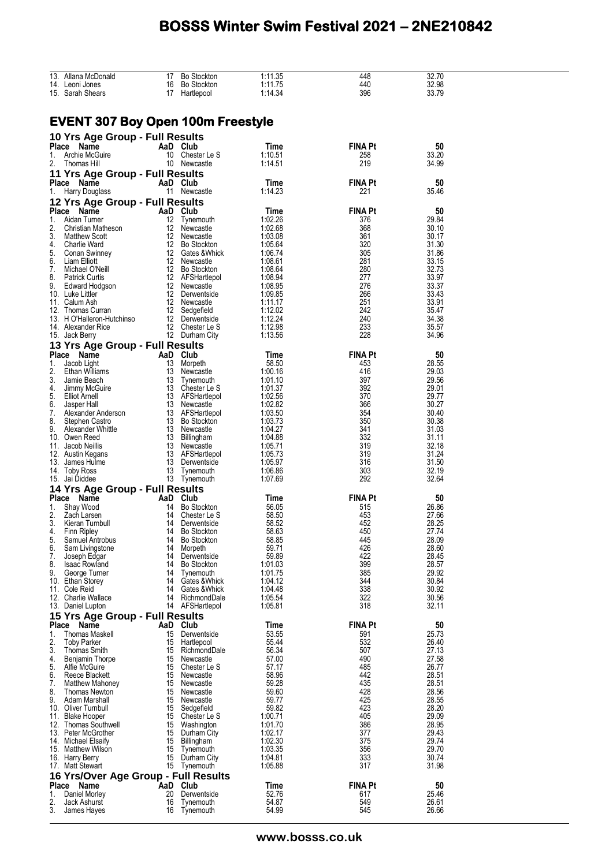|          | 13. Allana McDonald                       |          | 17 Bo Stockton                  | 1:11.35            | 448            | 32.70          |  |
|----------|-------------------------------------------|----------|---------------------------------|--------------------|----------------|----------------|--|
|          | 14. Leoni Jones                           |          | 16 Bo Stockton                  | 1:11.75            | 440            | 32.98          |  |
|          | 15. Sarah Shears                          |          | 17 Hartlepool                   | 1:14.34            | 396            | 33.79          |  |
|          |                                           |          |                                 |                    |                |                |  |
|          |                                           |          |                                 |                    |                |                |  |
|          | <b>EVENT 307 Boy Open 100m Freestyle</b>  |          |                                 |                    |                |                |  |
|          |                                           |          |                                 |                    |                |                |  |
|          | 10 Yrs Age Group - Full Results           |          |                                 |                    |                |                |  |
|          | Place Name                                |          | AaD Club                        | Time               | <b>FINA Pt</b> | 50             |  |
|          | 1. Archie McGuire                         |          | 10 Chester Le S                 | 1:10.51            | 258            | 33.20          |  |
|          | 2. Thomas Hill                            |          | 10 Newcastle                    | 1:14.51            | 219            | 34.99          |  |
|          |                                           |          |                                 |                    |                |                |  |
|          | 11 Yrs Age Group - Full Results           |          |                                 |                    |                |                |  |
|          | Place Name                                | AaD Club |                                 | Time               | <b>FINA Pt</b> | 50             |  |
|          | 1. Harry Douglass                         |          | 11 Newcastle                    | 1:14.23            | 221            | 35.46          |  |
|          | <b>12 Yrs Age Group - Full Results</b>    |          |                                 |                    |                |                |  |
|          |                                           |          |                                 |                    |                |                |  |
|          | Place Name                                | AaD Club |                                 | Time               | <b>FINA Pt</b> | 50             |  |
|          | 1. Aidan Turner                           |          | 12 Tynemouth                    | 1:02.26            | 376            | 29.84          |  |
| 2.       | Christian Matheson                        |          | 12 Newcastle                    | 1:02.68            | 368            | 30.10          |  |
| 3.       | Matthew Scott                             |          | 12 Newcastle                    | 1:03.08            | 361            | 30.17          |  |
|          | 4. Charlie Ward                           |          | 12 Bo Stockton                  | 1:05.64            | 320            | 31.30          |  |
| 5.       | Conan Swinney                             |          | 12 Gates & Whick                | 1:06.74            | 305            | 31.86          |  |
| 6.       | Liam Elliott                              |          | 12 Newcastle                    | 1:08.61            | 281            | 33.15          |  |
| 7.       | Michael O'Neill                           |          | 12 Bo Stockton                  | 1:08.64            | 280            | 32.73          |  |
|          | 8. Patrick Curtis                         |          | 12 AFSHartlepol                 | 1:08.94            | 277            | 33.97          |  |
|          | 9. Edward Hodgson                         |          | 12 Newcastle                    | 1:08.95            | 276            | 33.37          |  |
|          | 10. Luke Littler                          |          | 12 Derwentside                  | 1:09.85            | 266            | 33.43          |  |
|          | 11. Calum Ash                             |          | 12 Newcastle                    | 1:11.17            | 251            | 33.91          |  |
|          | 12. Thomas Curran                         |          | 12 Sedgefield                   | 1:12.02            | 242            | 35.47          |  |
|          | 13. H O'Halleron-Hutchinso                |          | 12 Derwentside                  | 1:12.24            | 240            | 34.38          |  |
|          | 14. Alexander Rice                        |          | 12 Chester Le S                 | 1:12.98            | 233            | 35.57          |  |
|          | 15. Jack Berry                            |          | 12 Durham City                  | 1:13.56            | 228            | 34.96          |  |
|          | 13 Yrs Age Group - Full Results           |          |                                 |                    |                |                |  |
|          |                                           |          |                                 |                    |                |                |  |
|          | Place Name                                | AaD Club |                                 | Time               | <b>FINA Pt</b> | 50             |  |
|          | 1. Jacob Light                            |          | 13 Morpeth                      | 58.50              | 453            | 28.55          |  |
|          | 2. Ethan Williams                         |          | 13 Newcastle                    | 1:00.16            | 416            | 29.03          |  |
| 3.       | Jamie Beach                               |          | 13 Tynemouth                    | 1:01.10            | 397            | 29.56          |  |
| 4.       | Jimmy McGuire                             |          | 13 Chester Le S                 | 1:01.37            | 392            | 29.01          |  |
| 5.<br>6. | Elliot Arnell                             |          | 13 AFSHartlepol<br>13 Newcastle | 1:02.56            | 370            | 29.77<br>30.27 |  |
|          | Jasper Hall                               |          | 13 AFSHartlepol                 | 1:02.82            | 366            | 30.40          |  |
| 7.       | Alexander Anderson                        |          |                                 | 1:03.50            | 354            |                |  |
|          | 8. Stephen Castro<br>9. Alexander Whittle |          | 13 Bo Stockton                  | 1:03.73<br>1:04.27 | 350            | 30.38          |  |
|          |                                           |          | 13 Newcastle<br>13 Billingham   | 1:04.88            | 341<br>332     | 31.03          |  |
|          | 10. Owen Reed                             |          | 13 Newcastle                    | 1:05.71            | 319            | 31.11<br>32.18 |  |
|          | 11. Jacob Neillis                         |          | 13 AFSHartlepol                 | 1:05.73            | 319            | 31.24          |  |
|          | 12. Austin Kegans                         |          | 13 Derwentside                  | 1:05.97            | 316            | 31.50          |  |
|          | 13. James Hulme                           |          |                                 |                    |                |                |  |
|          | 14. Toby Ross                             |          | 13 Tynemouth                    | 1:06.86            | 303            | 32.19          |  |
|          | 15. Jai Diddee                            |          | 13 Tynemouth                    | 1:07.69            | 292            | 32.64          |  |
|          | 14 Yrs Age Group - Full Results           |          |                                 |                    |                |                |  |
|          | Place Name                                | AaD Club |                                 | Time               | <b>FINA Pt</b> | 50             |  |
|          | 1. Shay Wood                              |          | 14 Bo Stockton                  | 56.05              | 515            | 26.86          |  |
|          | 2. Zach Larsen                            |          | 14 Chester Le S                 | 58.50              | 453            | 27.66          |  |
|          | 3. Kieran Turnbull                        |          | 14 Derwentside                  | 58.52              | 452            | 28.25          |  |
|          | 4. Finn Ripley                            |          | 14 Bo Stockton                  | 58.63              | 450            | 27.74          |  |
| 5.       | Samuel Antrobus                           | 14       | <b>Bo Stockton</b>              | 58.85              | 445            | 28.09          |  |
| 6.       | Sam Livingstone                           | 14       | Morpeth                         | 59.71              | 426            | 28.60          |  |
| 7.       | Joseph Edgar                              | 14       | Derwentside                     | 59.89              | 422            | 28.45          |  |
| 8.       | Isaac Rowland                             | 14       | <b>Bo Stockton</b>              | 1:01.03            | 399            | 28.57          |  |
| 9.       | George Turner                             | 14       | Tynemouth                       | 1:01.75            | 385            | 29.92          |  |
|          | 10. Ethan Storey                          | 14       | Gates & Whick                   | 1:04.12            | 344            | 30.84          |  |
|          | 11. Cole Reid                             | 14       | Gates &Whick                    | 1:04.48            | 338            | 30.92          |  |
|          | 12. Charlie Wallace                       |          | 14 RichmondDale                 | 1:05.54            | 322            | 30.56          |  |
|          | 13. Daniel Lupton                         |          | 14 AFSHartlepol                 | 1:05.81            | 318            | 32.11          |  |
|          | <b>15 Yrs Age Group - Full Results</b>    |          |                                 |                    |                |                |  |
|          | Place Name                                | AaD Club |                                 | Time               | <b>FINA Pt</b> | 50             |  |
| 1.       | <b>Thomas Maskell</b>                     | 15       | Derwentside                     | 53.55              | 591            | 25.73          |  |
| 2.       | <b>Toby Parker</b>                        | 15       | Hartlepool                      | 55.44              | 532            | 26.40          |  |
| 3.       | Thomas Smith                              |          | 15 RichmondDale                 | 56.34              | 507            | 27.13          |  |
|          |                                           |          | 15 Newcastle                    | 57.00              | 490            | 27.58          |  |
| 4.<br>5. | Benjamin Thorpe<br>Alfie McGuire          |          | 15 Chester Le S                 | 57.17              | 485            | 26.77          |  |
|          |                                           |          | 15 Newcastle                    | 58.96              | 442            | 28.51          |  |
| 6.<br>7. | Reece Blackett<br>Matthew Mahoney         |          | 15 Newcastle                    | 59.28              | 435            | 28.51          |  |
|          |                                           |          |                                 |                    |                |                |  |
| 8.       | Thomas Newton                             |          | 15 Newcastle                    | 59.60              | 428            | 28.56          |  |
| 9.       | Adam Marshall                             |          | 15 Newcastle                    | 59.77              | 425            | 28.55          |  |
|          | 10. Oliver Turnbull                       |          | 15 Sedgefield                   | 59.82              | 423            | 28.20          |  |
|          | 11. Blake Hooper                          |          | 15 Chester Le S                 | 1:00.71            | 405            | 29.09          |  |
|          | 12. Thomas Southwell                      |          | 15 Washington                   | 1:01.70            | 386            | 28.95          |  |
|          | 13. Peter McGrother                       |          | 15 Durham City                  | 1:02.17            | 377            | 29.43          |  |
|          | 14. Michael Elsaify                       |          | 15 Billingham                   | 1:02.30            | 375            | 29.74          |  |
|          | 15. Matthew Wilson                        |          | 15 Tynemouth                    | 1:03.35            | 356            | 29.70          |  |
|          | 16. Harry Berry                           |          | 15 Durham City                  | 1:04.81            | 333            | 30.74          |  |
|          | 17. Matt Stewart                          |          | 15 Tynemouth                    | 1:05.88            | 317            | 31.98          |  |
|          | 16 Yrs/Over Age Group - Full Results      |          |                                 |                    |                |                |  |
|          | Place Name                                | AaD Club |                                 | Time               | <b>FINA Pt</b> | 50             |  |
|          | 1. Daniel Morley                          | 20       | Derwentside                     | 52.76              | 617            | 25.46          |  |
| 2.       | Jack Ashurst                              | 16       | Tynemouth                       | 54.87              | 549            | 26.61          |  |
| 3.       | James Hayes                               |          | 16 Tynemouth                    | 54.99              | 545            | 26.66          |  |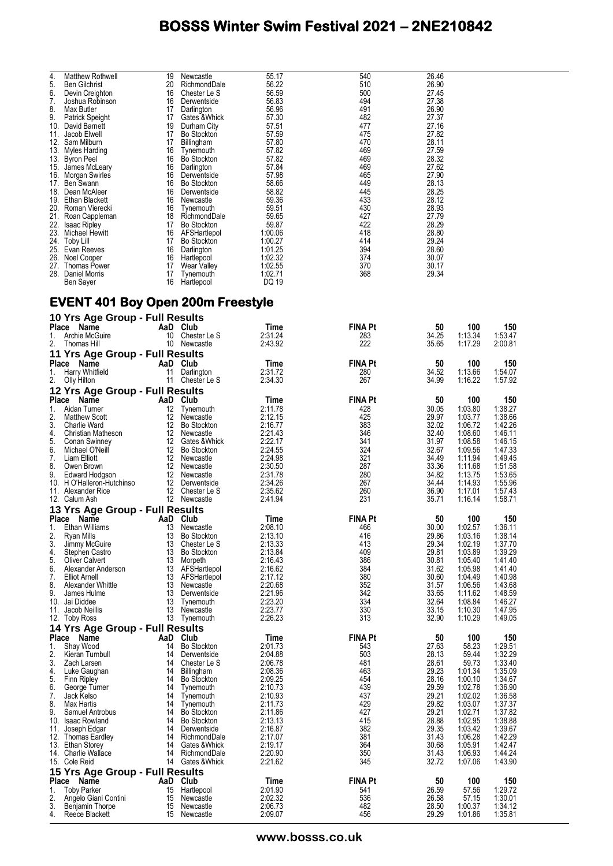| 4.  | <b>Matthew Rothwell</b> | 19 | Newcastle          | 55.17   | 540 | 26.46 |
|-----|-------------------------|----|--------------------|---------|-----|-------|
| 5.  | <b>Ben Gilchrist</b>    | 20 | RichmondDale       | 56.22   | 510 | 26.90 |
| 6.  | Devin Creighton         | 16 | Chester Le S       | 56.59   | 500 | 27.45 |
| 7.  | Joshua Robinson         | 16 | Derwentside        | 56.83   | 494 | 27.38 |
| 8.  | Max Butler              | 17 | Darlington         | 56.96   | 491 | 26.90 |
| 9.  | Patrick Speight         | 17 | Gates & Whick      | 57.30   | 482 | 27.37 |
| 10. | David Barnett           | 19 | Durham City        | 57.51   | 477 | 27.16 |
| 11. | Jacob Elwell            | 17 | <b>Bo Stockton</b> | 57.59   | 475 | 27.82 |
| 12. | Sam Milburn             | 17 | Billingham         | 57.80   | 470 | 28.11 |
| 13. | Myles Harding           | 16 | Tynemouth          | 57.82   | 469 | 27.59 |
| 13. | <b>Byron Peel</b>       | 16 | <b>Bo Stockton</b> | 57.82   | 469 | 28.32 |
|     | 15. James McLeary       | 16 | Darlington         | 57.84   | 469 | 27.62 |
| 16. | <b>Morgan Swirles</b>   | 16 | Derwentside        | 57.98   | 465 | 27.90 |
| 17. | Ben Swann               | 16 | <b>Bo Stockton</b> | 58.66   | 449 | 28.13 |
| 18. | Dean McAleer            | 16 | Derwentside        | 58.82   | 445 | 28.25 |
| 19. | <b>Ethan Blackett</b>   | 16 | Newcastle          | 59.36   | 433 | 28.12 |
| 20. | Roman Vierecki          | 16 | Tynemouth          | 59.51   | 430 | 28.93 |
| 21. | Roan Cappleman          | 18 | RichmondDale       | 59.65   | 427 | 27.79 |
| 22. | <b>Isaac Ripley</b>     | 17 | <b>Bo Stockton</b> | 59.87   | 422 | 28.29 |
| 23. | Michael Hewitt          | 16 | AFSHartlepol       | 1:00.06 | 418 | 28.80 |
| 24. | Toby Lill               | 17 | <b>Bo Stockton</b> | 1:00.27 | 414 | 29.24 |
| 25. | Evan Reeves             | 16 | Darlington         | 1:01.25 | 394 | 28.60 |
| 26. | Noel Cooper             | 16 | Hartlepool         | 1:02.32 | 374 | 30.07 |
| 27. | Thomas Power            | 17 | Wear Valley        | 1:02.55 | 370 | 30.17 |
| 28. | Daniel Morris           | 17 | Tynemouth          | 1:02.71 | 368 | 29.34 |
|     | Ben Sayer               | 16 | Hartlepool         | DQ 19   |     |       |
|     |                         |    |                    |         |     |       |

### **EVENT 401 Boy Open 200m Freestyle**

|          | 10 Yrs Age Group - Full Results           |                  |                                    |                    |                |                |                    |                    |
|----------|-------------------------------------------|------------------|------------------------------------|--------------------|----------------|----------------|--------------------|--------------------|
| Place    | Name                                      |                  | AaD Club                           | Time               | <b>FINA Pt</b> | 50             | 100                | 150                |
| 1.       | Archie McGuire                            |                  | 10 Chester Le S                    | 2:31.24            | 283            | 34.25          | 1:13.34            | 1:53.47            |
| 2.       | Thomas Hill                               |                  | 10 Newcastle                       | 2:43.92            | 222            | 35.65          | 1:17.29            | 2:00.81            |
|          | 11 Yrs Age Group - Full Results           |                  |                                    |                    |                |                |                    |                    |
| Place    | Name                                      |                  | AaD Club                           | Time               | <b>FINA Pt</b> | 50             | 100                | 150                |
| 1.       | Harry Whitfield                           | 11               | Darlington                         | 2:31.72            | 280            | 34.52          | 1:13.66            | 1:54.07            |
| 2.       | Olly Hilton                               |                  | 11 Chester Le S                    | 2:34.30            | 267            | 34.99          | 1:16.22            | 1:57.92            |
|          | 12 Yrs Age Group - Full Results           |                  |                                    |                    |                |                |                    |                    |
|          | Place Name                                |                  | AaD Club                           | Time               | <b>FINA Pt</b> | 50             | 100                | 150                |
| 1.       | Aidan Turner                              | 12               | Tynemouth                          | 2:11.78            | 428            | 30.05          | 1:03.80            | 1:38.27            |
| 2.       | Matthew Scott                             | 12               | Newcastle                          | 2:12.15            | 425            | 29.97          | 1:03.77            | 1:38.66            |
| 3.       | <b>Charlie Ward</b>                       | 12 <sup>12</sup> | <b>Bo Stockton</b>                 | 2:16.77            | 383            | 32.02          | 1:06.72            | 1:42.26            |
| 4.       | Christian Matheson                        | 12               | Newcastle                          | 2:21.43            | 346            | 32.40          | 1:08.60            | 1:46.11            |
| 5.       | Conan Swinney                             |                  | 12 Gates & Whick                   | 2:22.17            | 341<br>324     | 31.97          | 1:08.58            | 1:46.15            |
| 6.<br>7. | Michael O'Neill<br>Liam Elliott           | 12               | <b>Bo Stockton</b><br>12 Newcastle | 2:24.55<br>2:24.98 | 321            | 32.67<br>34.49 | 1:09.56            | 1:47.33<br>1:49.45 |
| 8.       | Owen Brown                                | 12 <sup>12</sup> | Newcastle                          | 2:30.50            | 287            | 33.36          | 1:11.94<br>1:11.68 | 1:51.58            |
| 9.       | Edward Hodgson                            | 12               | Newcastle                          | 2:31.78            | 280            | 34.82          | 1:13.75            | 1:53.65            |
|          | 10. H O'Halleron-Hutchinso                | 12 <sup>°</sup>  | Derwentside                        | 2:34.26            | 267            | 34.44          | 1:14.93            | 1:55.96            |
|          | 11. Alexander Rice                        | 12               | Chester Le S                       | 2:35.62            | 260            | 36.90          | 1:17.01            | 1:57.43            |
|          | 12. Calum Ash                             |                  | 12 Newcastle                       | 2:41.94            | 231            | 35.71          | 1:16.14            | 1:58.71            |
|          | 13 Yrs Age Group - Full Results           |                  |                                    |                    |                |                |                    |                    |
| Place    | Name                                      |                  | AaD Club                           | Time               | <b>FINA Pt</b> | 50             | 100                | 150                |
| 1.       | Ethan Williams                            | 13               | Newcastle                          | 2:08.10            | 466            | 30.00          | 1:02.57            | 1:36.11            |
| 2.       | Ryan Mills                                | 13               | <b>Bo Stockton</b>                 | 2:13.10            | 416            | 29.86          | 1:03.16            | 1:38.14            |
| 3.       | Jimmy McGuire                             | 13               | Chester Le S                       | 2:13.33            | 413            | 29.34          | 1:02.19            | 1:37.70            |
| 4.       | Stephen Castro                            | 13               | <b>Bo Stockton</b>                 | 2:13.84            | 409            | 29.81          | 1:03.89            | 1:39.29            |
| 5.       | <b>Oliver Calvert</b>                     | 13               | Morpeth                            | 2:16.43            | 386            | 30.81          | 1:05.40            | 1:41.40            |
| 6.       | Alexander Anderson                        |                  | 13 AFSHartlepol                    | 2:16.62            | 384            | 31.62          | 1:05.98            | 1:41.40            |
| 7.<br>8. | <b>Elliot Arnell</b><br>Alexander Whittle | 13               | 13 AFSHartlepol<br>Newcastle       | 2:17.12<br>2:20.68 | 380<br>352     | 30.60<br>31.57 | 1:04.49<br>1:06.56 | 1:40.98<br>1:43.68 |
| 9.       | James Hulme                               | 13               | Derwentside                        | 2:21.96            | 342            | 33.65          | 1:11.62            | 1:48.59            |
|          | 10. Jai Diddee                            | 13               | Tynemouth                          | 2:23.20            | 334            | 32.64          | 1:08.84            | 1:46.27            |
|          | 11. Jacob Neillis                         | 13               | Newcastle                          | 2:23.77            | 330            | 33.15          | 1:10.30            | 1:47.95            |
|          | 12. Toby Ross                             |                  | 13 Tynemouth                       | 2:26.23            | 313            | 32.90          | 1:10.29            | 1:49.05            |
|          | 14 Yrs Age Group - Full Results           |                  |                                    |                    |                |                |                    |                    |
|          | Place Name                                | AaD              | Club                               | Time               | <b>FINA Pt</b> | 50             | 100                | 150                |
| 1.       | Shay Wood                                 | 14               | <b>Bo Stockton</b>                 | 2:01.73            | 543            | 27.63          | 58.23              | 1:29.51            |
| 2.       | Kieran Turnbull                           | 14               | Derwentside                        | 2:04.88            | 503            | 28.13          | 59.44              | 1:32.29            |
| 3.       | Zach Larsen                               | 14               | Chester Le S                       | 2:06.78            | 481            | 28.61          | 59.73              | 1:33.40            |
| 4.       | Luke Gaughan                              | 14               | <b>Billingham</b>                  | 2:08.36            | 463            | 29.23          | 1:01.34            | 1:35.09            |
| 5.       | <b>Finn Ripley</b>                        | 14               | <b>Bo Stockton</b>                 | 2:09.25            | 454            | 28.16          | 1:00.10            | 1:34.67            |
| 6.       | George Turner                             | 14               | Tynemouth                          | 2:10.73            | 439            | 29.59          | 1:02.78            | 1:36.90            |
| 7.<br>8. | Jack Kelso<br>Max Hartis                  | 14<br>14         | Tynemouth<br>Tynemouth             | 2:10.93<br>2:11.73 | 437<br>429     | 29.21<br>29.82 | 1:02.02<br>1:03.07 | 1:36.58<br>1:37.37 |
| 9.       | Samuel Antrobus                           | 14               | <b>Bo Stockton</b>                 | 2:11.86            | 427            | 29.21          | 1:02.71            | 1:37.82            |
| 10.      | Isaac Rowland                             | 14               | <b>Bo Stockton</b>                 | 2:13.13            | 415            | 28.88          | 1:02.95            | 1:38.88            |
| 11.      | Joseph Edgar                              | 14               | Derwentside                        | 2:16.87            | 382            | 29.35          | 1:03.42            | 1:39.67            |
|          | 12. Thomas Eardley                        | 14               | RichmondDale                       | 2:17.07            | 381            | 31.43          | 1:06.28            | 1:42.29            |
|          | 13. Ethan Storey                          |                  | 14 Gates & Whick                   | 2:19.17            | 364            | 30.68          | 1:05.91            | 1:42.47            |
|          | 14. Charlie Wallace                       | 14               | RichmondDale                       | 2:20.90            | 350            | 31.43          | 1:06.93            | 1:44.24            |
|          | 15. Cole Reid                             |                  | 14 Gates & Whick                   | 2:21.62            | 345            | 32.72          | 1:07.06            | 1:43.90            |
|          | 15 Yrs Age Group - Full Results           |                  |                                    |                    |                |                |                    |                    |
|          | Place Name                                |                  | AaD Club                           | Time               | <b>FINA Pt</b> | 50             | 100                | 150                |
| 1.       | <b>Toby Parker</b>                        | 15               | Hartlepool                         | 2:01.90            | 541            | 26.59          | 57.56              | 1:29.72            |
| 2.       | Angelo Giani Contini                      | 15               | Newcastle                          | 2:02.32            | 536            | 26.58          | 57.15              | 1:30.01            |
| 3.<br>4. | Benjamin Thorpe<br>Reece Blackett         | 15<br>15         | Newcastle<br>Newcastle             | 2:06.73<br>2:09.07 | 482<br>456     | 28.50<br>29.29 | 1:00.37<br>1:01.86 | 1:34.12<br>1:35.81 |
|          |                                           |                  |                                    |                    |                |                |                    |                    |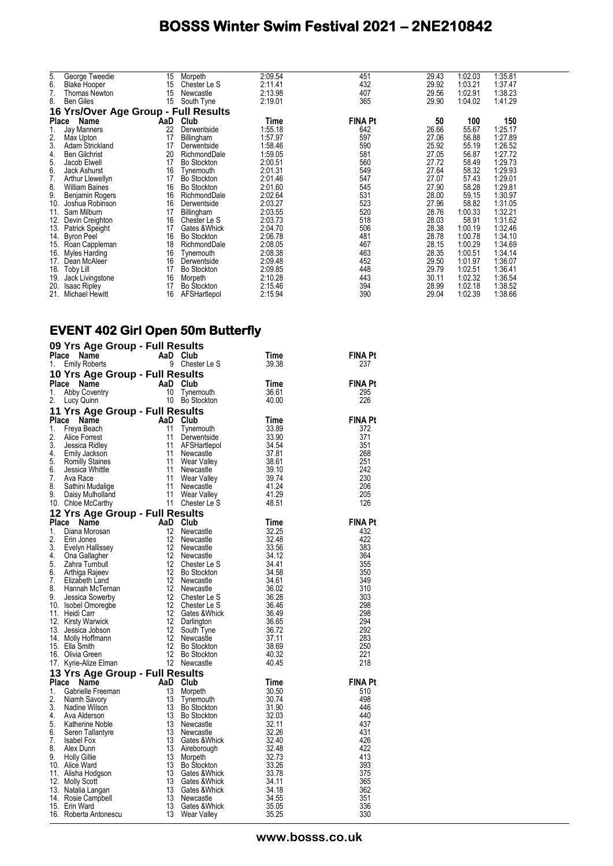| 5.    | George Tweedie                       | 15  | Morpeth            | 2:09.54 | 451            | 29.43 | 1:02.03 | 1:35.81 |
|-------|--------------------------------------|-----|--------------------|---------|----------------|-------|---------|---------|
| 6.    | <b>Blake Hooper</b>                  | 15  | Chester Le S       | 2:11.41 | 432            | 29.92 | 1:03.21 | 1:37.47 |
| 7.    | Thomas Newton                        | 15  | Newcastle          | 2:13.98 | 407            | 29.56 | 1:02.91 | 1:38.23 |
| 8.    | <b>Ben Giles</b>                     | 15  | South Tyne         | 2:19.01 | 365            | 29.90 | 1:04.02 | 1:41.29 |
|       | 16 Yrs/Over Age Group - Full Results |     |                    |         |                |       |         |         |
| Place | Name                                 | AaD | Club               | Time    | <b>FINA Pt</b> | 50    | 100     | 150     |
|       | <b>Jay Manners</b>                   | 22  | Derwentside        | 1:55.18 | 642            | 26.66 | 55.67   | 1:25.17 |
| 2.    | Max Upton                            | 17  | Billingham         | 1:57.97 | 597            | 27.06 | 56.88   | 1:27.89 |
| 3.    | Adam Strickland                      | 17  | Derwentside        | 1:58.46 | 590            | 25.92 | 55.19   | 1:26.52 |
| 4.    | <b>Ben Gilchrist</b>                 | 20  | RichmondDale       | 1:59.05 | 581            | 27.05 | 56.87   | 1:27.72 |
| 5.    | Jacob Elwell                         | 17  | <b>Bo Stockton</b> | 2:00.51 | 560            | 27.72 | 58.49   | 1:29.73 |
| 6.    | Jack Ashurst                         | 16  | Tynemouth          | 2:01.31 | 549            | 27.64 | 58.32   | 1:29.93 |
| 7.    | Arthur Llewellyn                     | 17  | <b>Bo Stockton</b> | 2:01.46 | 547            | 27.07 | 57.43   | 1:29.01 |
| 8.    | <b>William Baines</b>                | 16  | <b>Bo Stockton</b> | 2:01.60 | 545            | 27.90 | 58.28   | 1:29.81 |
| 9.    | Benjamin Rogers                      | 16  | RichmondDale       | 2:02.64 | 531            | 28.00 | 59.15   | 1:30.97 |
| 10.   | Joshua Robinson                      | 16  | Derwentside        | 2:03.27 | 523            | 27.96 | 58.82   | 1:31.05 |
| 11.   | Sam Milburn                          | 17  | Billingham         | 2:03.55 | 520            | 28.76 | 1:00.33 | 1:32.21 |
| 12.   | Devin Creighton                      | 16  | Chester Le S       | 2:03.73 | 518            | 28.03 | 58.91   | 1:31.62 |
| 13.   | Patrick Speight                      | 17  | Gates &Whick       | 2:04.70 | 506            | 28.38 | 1:00.19 | 1:32.46 |
| 14.   | <b>Byron Peel</b>                    | 16  | <b>Bo Stockton</b> | 2:06.78 | 481            | 28.78 | 1:00.78 | 1:34.10 |
| 15.   | Roan Cappleman                       | 18  | RichmondDale       | 2:08.05 | 467            | 28.15 | 1:00.29 | 1:34.69 |
| 16.   | Myles Harding                        | 16  | Tynemouth          | 2:08.38 | 463            | 28.35 | 1:00.51 | 1:34.14 |
| 17.   | Dean McAleer                         | 16  | Derwentside        | 2:09.48 | 452            | 29.50 | 1:01.97 | 1:36.07 |
| 18.   | Toby Lill                            | 17  | <b>Bo Stockton</b> | 2:09.85 | 448            | 29.79 | 1:02.51 | 1:36.41 |
| 19.   | Jack Livingstone                     | 16  | Morpeth            | 2:10.28 | 443            | 30.11 | 1:02.32 | 1:36.54 |
| 20.   | <b>Isaac Ripley</b>                  | 17  | <b>Bo Stockton</b> | 2:15.46 | 394            | 28.99 | 1:02.18 | 1:38.52 |
| 21.   | Michael Hewitt                       | 16  | AFSHartlepol       | 2:15.94 | 390            | 29.04 | 1:02.39 | 1:38.66 |

#### **EVENT 402 Girl Open 50m Butterfly**

|              | 09 Yrs Age Group - Full Results                                                                                                                                                      |                                                         |                                                                                                                    |                |                |
|--------------|--------------------------------------------------------------------------------------------------------------------------------------------------------------------------------------|---------------------------------------------------------|--------------------------------------------------------------------------------------------------------------------|----------------|----------------|
| Place        | Name                                                                                                                                                                                 | AaD Club                                                |                                                                                                                    | Time           | FINA Pt        |
| 1.           | <b>Emily Roberts</b>                                                                                                                                                                 | 9                                                       | Chester Le S                                                                                                       | 39.38          | 237            |
|              | 10 Yrs Age Group - Full Results                                                                                                                                                      |                                                         |                                                                                                                    |                |                |
|              | Place Name                                                                                                                                                                           | $\begin{array}{c}\n\text{AaD} \\ 10 \\ 10\n\end{array}$ | Club                                                                                                               | Time           | <b>FINA Pt</b> |
| 1.           | Abby Coventry                                                                                                                                                                        |                                                         | Tynemouth                                                                                                          | 36.61          | 295            |
| 2.           | Lucy Quinn                                                                                                                                                                           |                                                         | 10 Bo Stockton                                                                                                     | 40.00          | 226            |
|              | 11 Yrs Age Group - Full Results                                                                                                                                                      |                                                         |                                                                                                                    |                |                |
| <b>Place</b> | Name                                                                                                                                                                                 | AaD Club                                                |                                                                                                                    | Time           | <b>FINA Pt</b> |
| 1.           | Freya Beach                                                                                                                                                                          | 11                                                      | Tynemouth                                                                                                          | 33.89          | 372            |
| 2.<br>3.     | Alice Forrest                                                                                                                                                                        | 11<br>11                                                | Derwentside                                                                                                        | 33.90<br>34.54 | 371<br>351     |
| 4.           | Jessica Ridley                                                                                                                                                                       | 11                                                      | AFSHartlepol<br>Newcastle                                                                                          | -37.81         | 268            |
| 5.           | Emily Jackson<br>Romilly Staines                                                                                                                                                     | 11                                                      | Wear Valley                                                                                                        | 38.61          | 251            |
| 6.           | Jessica Whittle                                                                                                                                                                      | 11                                                      | Newcastle                                                                                                          | 39.10          | 242            |
| 7.           | Ava Race                                                                                                                                                                             |                                                         |                                                                                                                    | 39.74          | 230            |
| 8.           | Sathini Mudalige                                                                                                                                                                     |                                                         |                                                                                                                    | 41.24          | 206            |
| 9.           | Daisy Mulholland                                                                                                                                                                     |                                                         |                                                                                                                    | 41.29          | 205            |
|              | 10. Chloe McCarthy                                                                                                                                                                   |                                                         | 11 Wear valley<br>11 Newcastle<br>11 Wear Valley<br>11 Chester Le S                                                | 48.51          | 126            |
|              | 12 Yrs Age Group - Full Results                                                                                                                                                      |                                                         |                                                                                                                    |                |                |
| <b>Place</b> | Name                                                                                                                                                                                 | AaD                                                     | Club                                                                                                               | Time           | <b>FINA Pt</b> |
| 1.           | Diana Morosan                                                                                                                                                                        | 12                                                      | Newcastle                                                                                                          | 32.25          | 432            |
| 2.           | Erin Jones                                                                                                                                                                           | 12                                                      | Newcastle                                                                                                          | 32.48          | 422            |
| 3.           | Evelyn Hallissey                                                                                                                                                                     | 12                                                      | Newcastle                                                                                                          | 33.56          | 383            |
| 4.           | Ona Gallagher                                                                                                                                                                        | 12                                                      | Newcastle                                                                                                          | 34.12          | 364            |
| 5.           | Zahra Turnbull                                                                                                                                                                       | $12 \overline{ }$                                       | Chester Le S                                                                                                       | 34.41          | 355            |
| 6.<br>7.     | Arthiga Rajeev                                                                                                                                                                       | 12<br>12                                                | Bo Stockton                                                                                                        | 34.58<br>34.61 | 350<br>349     |
| 8.           | Elizabeth Land<br>Hannah McTernan                                                                                                                                                    | 12                                                      | Newcastle<br>Newcastle                                                                                             | 36.02          | 310            |
| 9.           | Jessica Sowerby                                                                                                                                                                      | 12                                                      | Chester Le S                                                                                                       | 36.28          | 303            |
|              | 10. Isobel Omoregbe                                                                                                                                                                  | 12                                                      | Chester Le S                                                                                                       | 36.46          | 298            |
|              | 11. Heidi Carr                                                                                                                                                                       | 12                                                      | Gates & Whick                                                                                                      | 36.49          | 298            |
|              | 12. Kirsty Warwick                                                                                                                                                                   |                                                         |                                                                                                                    | 36.65          | 294            |
|              | 13. Jessica Jobson                                                                                                                                                                   |                                                         | South Tyne                                                                                                         | 36.72          | 292            |
|              | 14. Molly Hoffmann                                                                                                                                                                   |                                                         |                                                                                                                    | 37.11          | 283            |
|              | 15. Ella Smith                                                                                                                                                                       |                                                         | <b>Bo Stockton</b>                                                                                                 | 38.69          | 250            |
|              | 16. Olivia Green                                                                                                                                                                     |                                                         | Bo Stockton                                                                                                        | 40.32          | 221            |
|              | 17. Kyrie-Alize Elman                                                                                                                                                                |                                                         | 12 Gates & www.<br>12 South Tyne<br>12 Newcastle<br>12 Bo Stockto<br>12 Bo Stockto<br>12 Newcastle<br>11 Newcastle | 40.45          | 218            |
|              | 13 Yrs Age Group - Full Results<br>Traine Control Capital Cub<br>Cabrielle Freeman<br>Niamh Savory 13 Tynem<br>Nadine Wilson 13 Bo Stock<br>And Alderson 13 Bo Stock<br>And Alderson |                                                         |                                                                                                                    |                |                |
| Place        |                                                                                                                                                                                      |                                                         |                                                                                                                    | Time           | <b>FINA Pt</b> |
| 1.<br>2.     |                                                                                                                                                                                      |                                                         | Morpeth                                                                                                            | 30.50          | 510<br>498     |
| 3.           |                                                                                                                                                                                      |                                                         | Tynemouth<br>Bo Stockton                                                                                           | 30.74<br>31.90 | 446            |
| 4.           |                                                                                                                                                                                      |                                                         | <b>Bo Stockton</b>                                                                                                 | 32.03          | 440            |
| 5.           | Katherine Noble                                                                                                                                                                      | 13                                                      | Newcastle                                                                                                          | 32.11          | 437            |
| 6.           | Seren Tallantyre                                                                                                                                                                     | 13                                                      | Newcastle                                                                                                          | 32.26          | 431            |
| 7.           | Isabel Fox                                                                                                                                                                           | 13                                                      | Gates &Whick                                                                                                       | 32.40          | 426            |
| 8.           | Alex Dunn                                                                                                                                                                            | 13                                                      | Aireborough                                                                                                        | 32.48          | 422            |
| 9.           | <b>Holly Gillie</b>                                                                                                                                                                  | 13                                                      | Morpeth                                                                                                            | 32.73          | 413            |
|              | 10. Alice Ward                                                                                                                                                                       | 13                                                      | <b>Bo Stockton</b>                                                                                                 | 33.26          | 393            |
|              | 11. Alisha Hodgson                                                                                                                                                                   | 13                                                      | Gates &Whick                                                                                                       | 33.78          | 375            |
|              | 12. Molly Scott                                                                                                                                                                      | 13                                                      | Gates & Whick                                                                                                      | 34.11          | 365            |
|              | 13. Natalia Langan                                                                                                                                                                   | 13                                                      | Gates & Whick                                                                                                      | 34.18          | 362            |
|              | 14. Rosie Campbell                                                                                                                                                                   | 13<br>13                                                | Newcastle                                                                                                          | 34.55          | 351<br>336     |
|              | 15. Erin Ward<br>16. Roberta Antonescu                                                                                                                                               | 13                                                      | Gates &Whick<br>Wear Valley                                                                                        | 35.05<br>35.25 | 330            |
|              |                                                                                                                                                                                      |                                                         |                                                                                                                    |                |                |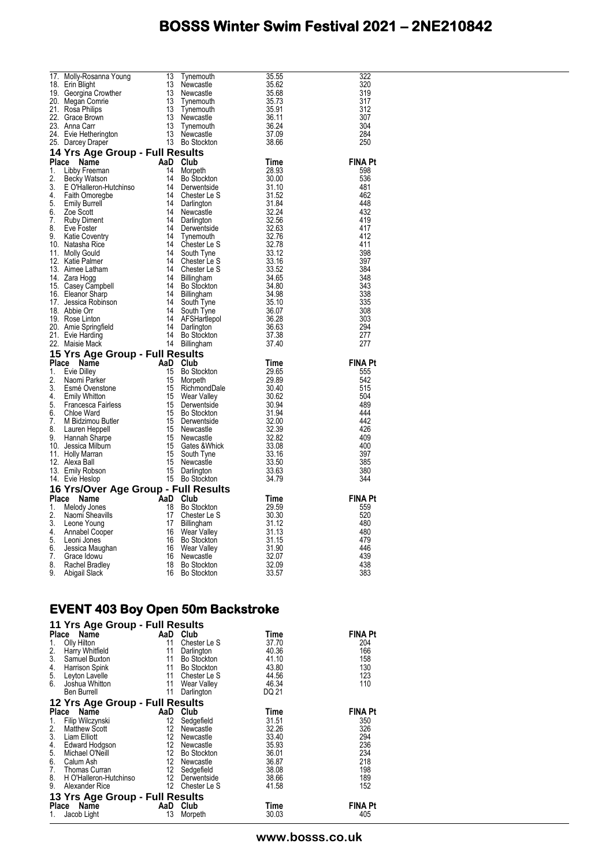| 17. Molly-Rosanna Young<br>18. Erin Blight<br>18. Erin Blight<br>19. Georgina Crowther<br>19. Georgina Crowther<br>21. Rosa Philips<br>21. Rosa Philips<br>22. Grace Brown<br>13. Newcastle<br>23. Anna Carr<br>24. Evie Hetherington<br>25. Darcey | Tynemouth<br>Newcastle<br>Newcastle<br>Tynemouth<br>Tynemouth<br>Newcastle<br>Bo Stockton<br>Bo Stockton<br>La Stockton | 35.55                                                       | 322            |
|-----------------------------------------------------------------------------------------------------------------------------------------------------------------------------------------------------------------------------------------------------|-------------------------------------------------------------------------------------------------------------------------|-------------------------------------------------------------|----------------|
|                                                                                                                                                                                                                                                     |                                                                                                                         | 35.62                                                       | 320            |
|                                                                                                                                                                                                                                                     |                                                                                                                         | 35.68<br>35.73<br>35.73<br>36.24<br>36.24<br>37.09<br>38.66 | 319            |
|                                                                                                                                                                                                                                                     |                                                                                                                         |                                                             | 317            |
|                                                                                                                                                                                                                                                     |                                                                                                                         |                                                             | 312            |
|                                                                                                                                                                                                                                                     |                                                                                                                         |                                                             | 307            |
|                                                                                                                                                                                                                                                     |                                                                                                                         |                                                             | 304            |
|                                                                                                                                                                                                                                                     |                                                                                                                         |                                                             | 284            |
|                                                                                                                                                                                                                                                     |                                                                                                                         | 38.66                                                       | 250            |
|                                                                                                                                                                                                                                                     |                                                                                                                         |                                                             |                |
|                                                                                                                                                                                                                                                     |                                                                                                                         |                                                             | <b>FINA Pt</b> |
|                                                                                                                                                                                                                                                     |                                                                                                                         |                                                             | 598            |
|                                                                                                                                                                                                                                                     |                                                                                                                         |                                                             | 536            |
|                                                                                                                                                                                                                                                     |                                                                                                                         |                                                             | 481            |
|                                                                                                                                                                                                                                                     |                                                                                                                         |                                                             | 462            |
|                                                                                                                                                                                                                                                     |                                                                                                                         |                                                             | 448            |
|                                                                                                                                                                                                                                                     |                                                                                                                         |                                                             | 432            |
|                                                                                                                                                                                                                                                     |                                                                                                                         |                                                             | 419            |
|                                                                                                                                                                                                                                                     |                                                                                                                         |                                                             | 417            |
|                                                                                                                                                                                                                                                     |                                                                                                                         |                                                             | 412            |
|                                                                                                                                                                                                                                                     |                                                                                                                         |                                                             | 411            |
|                                                                                                                                                                                                                                                     |                                                                                                                         |                                                             | 398            |
|                                                                                                                                                                                                                                                     |                                                                                                                         |                                                             | 397            |
|                                                                                                                                                                                                                                                     |                                                                                                                         |                                                             | 384            |
|                                                                                                                                                                                                                                                     |                                                                                                                         |                                                             | 348            |
|                                                                                                                                                                                                                                                     |                                                                                                                         |                                                             | 343            |
|                                                                                                                                                                                                                                                     |                                                                                                                         |                                                             | 338            |
|                                                                                                                                                                                                                                                     |                                                                                                                         |                                                             | 335            |
|                                                                                                                                                                                                                                                     |                                                                                                                         |                                                             | 308            |
|                                                                                                                                                                                                                                                     |                                                                                                                         |                                                             | 303<br>294     |
|                                                                                                                                                                                                                                                     |                                                                                                                         |                                                             | 277            |
|                                                                                                                                                                                                                                                     |                                                                                                                         |                                                             | 277            |
|                                                                                                                                                                                                                                                     |                                                                                                                         |                                                             |                |
|                                                                                                                                                                                                                                                     |                                                                                                                         |                                                             | <b>FINA Pt</b> |
|                                                                                                                                                                                                                                                     |                                                                                                                         |                                                             | 555            |
|                                                                                                                                                                                                                                                     |                                                                                                                         |                                                             | 542            |
|                                                                                                                                                                                                                                                     |                                                                                                                         |                                                             | 515            |
|                                                                                                                                                                                                                                                     |                                                                                                                         |                                                             |                |
|                                                                                                                                                                                                                                                     |                                                                                                                         |                                                             |                |
|                                                                                                                                                                                                                                                     |                                                                                                                         |                                                             | 504            |
|                                                                                                                                                                                                                                                     |                                                                                                                         |                                                             | 489            |
|                                                                                                                                                                                                                                                     |                                                                                                                         |                                                             | 444            |
|                                                                                                                                                                                                                                                     |                                                                                                                         |                                                             | 442            |
|                                                                                                                                                                                                                                                     |                                                                                                                         |                                                             | 426            |
|                                                                                                                                                                                                                                                     |                                                                                                                         |                                                             | 409            |
|                                                                                                                                                                                                                                                     |                                                                                                                         |                                                             | 400            |
|                                                                                                                                                                                                                                                     |                                                                                                                         |                                                             | 397            |
|                                                                                                                                                                                                                                                     |                                                                                                                         |                                                             | 385            |
|                                                                                                                                                                                                                                                     |                                                                                                                         |                                                             | 380            |
|                                                                                                                                                                                                                                                     |                                                                                                                         |                                                             | 344            |
|                                                                                                                                                                                                                                                     |                                                                                                                         |                                                             | <b>FINA Pt</b> |
|                                                                                                                                                                                                                                                     |                                                                                                                         |                                                             | 559            |
|                                                                                                                                                                                                                                                     |                                                                                                                         |                                                             | 520            |
|                                                                                                                                                                                                                                                     |                                                                                                                         |                                                             | 480            |
|                                                                                                                                                                                                                                                     |                                                                                                                         |                                                             | 480            |
|                                                                                                                                                                                                                                                     |                                                                                                                         |                                                             | 479            |
|                                                                                                                                                                                                                                                     |                                                                                                                         |                                                             | 446            |
|                                                                                                                                                                                                                                                     |                                                                                                                         |                                                             | 439            |
| 23. Antia Garris Content and Bostock (1988)<br>24. Evid Helherington<br>24. Evid Helherington<br>24. David Content 13. Webcastle<br>24. David Helherington<br>14 Of Ts Age Group - Full Results<br>25. Beckhy Watson<br>3. Eccly Watson<br>2.       |                                                                                                                         |                                                             | 438<br>383     |

#### **EVENT 403 Boy Open 50m Backstroke**

| 11 Yrs Age Group - Full Results                             |     |              |       |                |
|-------------------------------------------------------------|-----|--------------|-------|----------------|
| Place<br>Name                                               | AaD | Club         | Time  | <b>FINA Pt</b> |
| Olly Hilton<br>1.<br>2.<br>3.                               | 11  | Chester Le S | 37.70 | 204            |
| Harry Whitfield                                             | 11  | Darlington   | 40.36 | 166            |
| Samuel Buxton                                               | 11  | Bo Stockton  | 41.10 | 158            |
| 4. Harrison Spink<br>5. Leyton Lavelle<br>6. Joshua Whitton | 11  | Bo Stockton  | 43.80 | 130            |
|                                                             | 11  | Chester Le S | 44.56 | 123            |
| Joshua Whitton                                              | 11  | Wear Valley  | 46.34 | 110            |
| Ben Burrell                                                 | 11  | Darlington   | DQ 21 |                |
| 12 Yrs Age Group - Full Results                             |     |              |       |                |
| Place<br>Name                                               | AaD | Club         | Time  | <b>FINA Pt</b> |
| Filip Wilczynski<br>1.<br>2.                                | 12  | Sedgefield   | 31.51 | 350            |
| Matthew Scott                                               | 12  | Newcastle    | 32.26 | 326            |
| 3. Liam Elliott<br>4. Edward Hodgson<br>5. Michael O'Neill  | 12  | Newcastle    | 33.40 | 294            |
|                                                             | 12  | Newcastle    | 35.93 | 236            |
|                                                             | 12  | Bo Stockton  | 36.01 | 234            |
| 6. Calum Ash                                                | 12  | Newcastle    | 36.87 | 218            |
| 7. Thomas Curran                                            | 12  | Sedgefield   | 38.08 | 198            |
| 8.<br>H O'Halleron-Hutchinso                                | 12  | Derwentside  | 38.66 | 189            |
| 9.<br>Alexander Rice                                        | 12  | Chester Le S | 41.58 | 152            |
| 13 Yrs Age Group - Full Results                             |     |              |       |                |
| Place Name                                                  | AaD | Club         | Time  | <b>FINA Pt</b> |
| 1.<br>Jacob Light                                           | 13  | Morpeth      | 30.03 | 405            |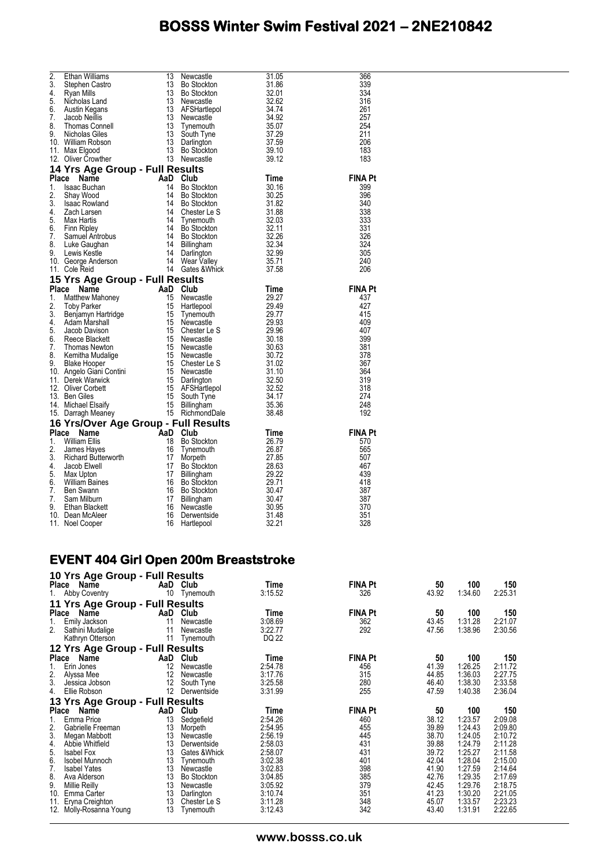| 2.<br>3.<br>4.<br>5.<br>6.<br>7.<br>8.<br>9. | Ethan Williams<br>Stephen Castro<br>Ryan Mills<br>Nicholas Land<br>Austin Kegans<br>Jacob Neillis<br><b>Thomas Connell</b><br>Nicholas Giles<br>10. William Robson<br>11. Max Elgood<br>12. Oliver Crowther                                                                                  | 13<br>13<br>13<br>13<br>13<br>13<br>13<br>13<br>13<br>13 | Newcastle<br><b>Bo Stockton</b><br>Bo Stockton<br>Newcastle<br>AFSHartlepol<br>Newcastle<br>Tynemouth<br>South Tyne<br>Darlington<br>Bo Stockton<br>13 Newcastle | 31.05<br>31.86<br>32.01<br>32.62<br>34.74<br>34.92<br>35.07<br>37.29<br>$\frac{37.59}{37.59}$<br>39.10<br>39.12 | 366<br>339<br>334<br>316<br>261<br>257<br>254<br>211<br>206<br>183<br>183 |
|----------------------------------------------|----------------------------------------------------------------------------------------------------------------------------------------------------------------------------------------------------------------------------------------------------------------------------------------------|----------------------------------------------------------|------------------------------------------------------------------------------------------------------------------------------------------------------------------|-----------------------------------------------------------------------------------------------------------------|---------------------------------------------------------------------------|
|                                              | 14 Yrs Age Group - Full Results<br><b>14 Yrs Age Group - Tan Text</b><br>Pla <b>ce Name AaD Club</b><br>14 Bo Stockton<br>2. Shay Wood 14 Bo Stockton<br>3. Isaac Rowland 14 Bo Stockton<br>4. Zach Larsen 14 Chester Le S<br>5. Max Hartis 14 Tynemouth<br>6. Finn Ripley<br>7. Samuel Antr |                                                          |                                                                                                                                                                  |                                                                                                                 |                                                                           |
|                                              |                                                                                                                                                                                                                                                                                              |                                                          |                                                                                                                                                                  | Time                                                                                                            | <b>FINA Pt</b>                                                            |
|                                              |                                                                                                                                                                                                                                                                                              |                                                          |                                                                                                                                                                  | 30.16                                                                                                           | 399                                                                       |
|                                              |                                                                                                                                                                                                                                                                                              |                                                          |                                                                                                                                                                  | 30.25                                                                                                           | 396                                                                       |
|                                              |                                                                                                                                                                                                                                                                                              |                                                          |                                                                                                                                                                  | 31.82<br>31.88                                                                                                  | 340<br>338                                                                |
|                                              |                                                                                                                                                                                                                                                                                              |                                                          |                                                                                                                                                                  | 32.03                                                                                                           | 333                                                                       |
|                                              |                                                                                                                                                                                                                                                                                              |                                                          |                                                                                                                                                                  | $\frac{32.03}{32.11}$                                                                                           | 331                                                                       |
|                                              |                                                                                                                                                                                                                                                                                              |                                                          |                                                                                                                                                                  |                                                                                                                 | 326                                                                       |
|                                              |                                                                                                                                                                                                                                                                                              |                                                          |                                                                                                                                                                  | $\begin{array}{r} 32.26 \\ 32.34 \\ 32.99 \\ 37.74 \end{array}$                                                 | 324                                                                       |
|                                              |                                                                                                                                                                                                                                                                                              |                                                          |                                                                                                                                                                  |                                                                                                                 | 305                                                                       |
|                                              |                                                                                                                                                                                                                                                                                              |                                                          | 14 Danmigton<br>14 Wear Valley<br>14 Gates & Whick                                                                                                               | 35.71                                                                                                           | 240                                                                       |
|                                              | Sole.<br><b>Yrs Age</b><br><b>Le Name</b><br>Mathew Mahoney<br>Toby Parker<br>Benjamyn Hartridge<br>Adam Marshall<br>Jacob Davison<br>15 Newcaste.<br>Adam Marshall<br>Jacob Davison<br>15 Chester Le S<br>Rece Blackett<br>Thomas Newton<br>15 Newcastle<br>15 Newca                        |                                                          |                                                                                                                                                                  | 37.58                                                                                                           | 206                                                                       |
|                                              |                                                                                                                                                                                                                                                                                              |                                                          |                                                                                                                                                                  |                                                                                                                 |                                                                           |
|                                              |                                                                                                                                                                                                                                                                                              |                                                          |                                                                                                                                                                  | Time                                                                                                            | <b>FINA Pt</b>                                                            |
|                                              |                                                                                                                                                                                                                                                                                              |                                                          |                                                                                                                                                                  | 29.27                                                                                                           | 437                                                                       |
|                                              |                                                                                                                                                                                                                                                                                              |                                                          |                                                                                                                                                                  | 29.49                                                                                                           | 427                                                                       |
|                                              |                                                                                                                                                                                                                                                                                              |                                                          |                                                                                                                                                                  | 29.77                                                                                                           | 415                                                                       |
|                                              |                                                                                                                                                                                                                                                                                              |                                                          |                                                                                                                                                                  | 29.93<br>29.96                                                                                                  | 409<br>407                                                                |
|                                              |                                                                                                                                                                                                                                                                                              |                                                          |                                                                                                                                                                  | 30.18                                                                                                           | 399                                                                       |
|                                              |                                                                                                                                                                                                                                                                                              |                                                          |                                                                                                                                                                  | 30.63                                                                                                           | 381                                                                       |
|                                              |                                                                                                                                                                                                                                                                                              |                                                          |                                                                                                                                                                  | 30.72                                                                                                           | 378                                                                       |
|                                              |                                                                                                                                                                                                                                                                                              |                                                          | 15 Chester Le S<br>15 Newcastle                                                                                                                                  | 31.02                                                                                                           | 367                                                                       |
|                                              |                                                                                                                                                                                                                                                                                              |                                                          |                                                                                                                                                                  | 31.10                                                                                                           | 364                                                                       |
|                                              |                                                                                                                                                                                                                                                                                              |                                                          |                                                                                                                                                                  | 32.50                                                                                                           | 319                                                                       |
|                                              |                                                                                                                                                                                                                                                                                              |                                                          | AFSHartlepol<br>South Tyne<br>Billingham                                                                                                                         | 32.52<br>34.17<br>35.36                                                                                         | 318                                                                       |
|                                              |                                                                                                                                                                                                                                                                                              |                                                          |                                                                                                                                                                  |                                                                                                                 | 274                                                                       |
|                                              |                                                                                                                                                                                                                                                                                              |                                                          |                                                                                                                                                                  | 35.36                                                                                                           | 248                                                                       |
|                                              |                                                                                                                                                                                                                                                                                              |                                                          |                                                                                                                                                                  | 38.48                                                                                                           | 192                                                                       |
|                                              | 16 Yrs/Over Age Group - Full Results                                                                                                                                                                                                                                                         |                                                          |                                                                                                                                                                  |                                                                                                                 |                                                                           |
|                                              | Ce Name<br>William Ellis 18 Bo St<br>James Hayes 16 Tynem<br>Richard Butterworth 17 Morpe<br>Jacob Flwell                                                                                                                                                                                    |                                                          |                                                                                                                                                                  | Time                                                                                                            | <b>FINA Pt</b>                                                            |
|                                              |                                                                                                                                                                                                                                                                                              |                                                          |                                                                                                                                                                  | 26.79                                                                                                           | 570                                                                       |
| 2.<br>3.                                     |                                                                                                                                                                                                                                                                                              |                                                          | Tynemouth                                                                                                                                                        | 26.87<br>27.85                                                                                                  | 565<br>507                                                                |
| 4.                                           | Jacob Elwell                                                                                                                                                                                                                                                                                 | 17                                                       | Morpeth<br>Bo Stockton                                                                                                                                           | 28.63                                                                                                           | 467                                                                       |
| 5.                                           | Max Upton                                                                                                                                                                                                                                                                                    | 17                                                       | Billingham                                                                                                                                                       | 29.22                                                                                                           | 439                                                                       |
| 6.                                           | William Baines                                                                                                                                                                                                                                                                               | 16                                                       | <b>Bo Stockton</b>                                                                                                                                               | 29.71                                                                                                           | 418                                                                       |
| 7.                                           | Ben Swann                                                                                                                                                                                                                                                                                    | 16                                                       | Bo Stockton                                                                                                                                                      | 30.47                                                                                                           | 387                                                                       |
| 7.                                           | Sam Milburn                                                                                                                                                                                                                                                                                  | 17                                                       | Billingham                                                                                                                                                       | 30.47                                                                                                           | 387                                                                       |
| 9.                                           | Ethan Blackett                                                                                                                                                                                                                                                                               | 16                                                       | Newcastle                                                                                                                                                        | 30.95                                                                                                           | 370                                                                       |
|                                              | 10. Dean McAleer                                                                                                                                                                                                                                                                             | 16                                                       | Derwentside                                                                                                                                                      | 31.48                                                                                                           | 351                                                                       |
|                                              | 11. Noel Cooper                                                                                                                                                                                                                                                                              | 16                                                       | Hartlepool                                                                                                                                                       | 32.21                                                                                                           | 328                                                                       |

### **EVENT 404 Girl Open 200m Breaststroke**

| 10 Yrs Age Group - Full Results |          |                    |                    |                |                |                    |                    |
|---------------------------------|----------|--------------------|--------------------|----------------|----------------|--------------------|--------------------|
| Place Name                      | AaD      | Club               | Time               | <b>FINA Pt</b> | 50             | 100                | 150                |
| 1.<br>Abby Coventry             | 10       | Tynemouth          | 3:15.52            | 326            | 43.92          | 1:34.60            | 2:25.31            |
| 11 Yrs Age Group - Full Results |          |                    |                    |                |                |                    |                    |
| Place<br>Name                   | AaD      | Club               | Time               | <b>FINA Pt</b> | 50             | 100                | 150                |
| Emily Jackson<br>1.             | 11       | Newcastle          | 3:08.69            | 362            | 43.45          | 1:31.28            | 2:21.07            |
| 2.<br>Sathini Mudalige          | 11       | Newcastle          | 3:22.77            | 292            | 47.56          | 1:38.96            | 2:30.56            |
| Kathryn Otterson                | 11       | Tynemouth          | DQ 22              |                |                |                    |                    |
| 12 Yrs Age Group - Full Results |          |                    |                    |                |                |                    |                    |
| Place Name                      | AaD      | Club               | Time               | <b>FINA Pt</b> | 50             | 100                | 150                |
| Erin Jones                      | 12       | Newcastle          | 2:54.78            | 456            | 41.39          | 1:26.25            | 2:11.72            |
| $\frac{2}{3}$<br>Alyssa Mee     | 12       | Newcastle          | 3:17.76            | 315            | 44.85          | 1:36.03            | 2:27.75            |
| Jessica Jobson                  | 12       | South Tyne         | 3:25.58            | 280            | 46.40          | 1:38.30            | 2:33.58            |
| 4.<br>Ellie Robson              | 12       | Derwentside        | 3:31.99            | 255            | 47.59          | 1:40.38            | 2:36.04            |
| 13 Yrs Age Group - Full Results |          |                    |                    |                |                |                    |                    |
| Place<br>Name                   | AaD      | Club               | Time               | <b>FINA Pt</b> | 50             | 100                | 150                |
| Emma Price<br>1.                | 13       | Sedgefield         | 2:54.26            | 460            | 38.12          | 1:23.57            | 2:09.08            |
| 2.<br>Gabrielle Freeman         | 13       | Morpeth            | 2:54.95            | 455            | 39.89          | 1:24.43            | 2:09.80            |
| 3.<br>Megan Mabbott             | 13       | Newcastle          | 2:56.19            | 445            | 38.70          | 1:24.05            | 2:10.72            |
| 4.<br>Abbie Whitfield           | 13       | Derwentside        | 2:58.03            | 431            | 39.88          | 1:24.79            | 2:11.28            |
| 5.<br><b>Isabel Fox</b>         | 13       | Gates & Whick      | 2:58.07            | 431            | 39.72          | 1:25.27            | 2:11.58            |
| 6.<br>Isobel Munnoch            | 13       | Tynemouth          | 3:02.38            | 401            | 42.04          | 1:28.04            | 2:15.00            |
| 7.<br><b>Isabel Yates</b>       | 13       | Newcastle          | 3:02.83            | 398            | 41.90          | 1:27.59            | 2:14.64            |
| 8.<br>Ava Alderson              | 13       | <b>Bo Stockton</b> | 3:04.85            | 385            | 42.76          | 1:29.35            | 2:17.69            |
| 9.<br>Millie Reilly             | 13       | Newcastle          | 3:05.92            | 379            | 42.45          | 1:29.76            | 2:18.75            |
| 10.<br>Emma Carter              | 13       | Darlington         | 3:10.74            | 351            | 41.23          | 1:30.20            | 2:21.05            |
| 11.<br>Eryna Creighton<br>12.   | 13<br>13 | Chester Le S       | 3:11.28<br>3:12.43 | 348<br>342     | 45.07<br>43.40 | 1:33.57<br>1:31.91 | 2:23.23<br>2:22.65 |
| Molly-Rosanna Young             |          | Tynemouth          |                    |                |                |                    |                    |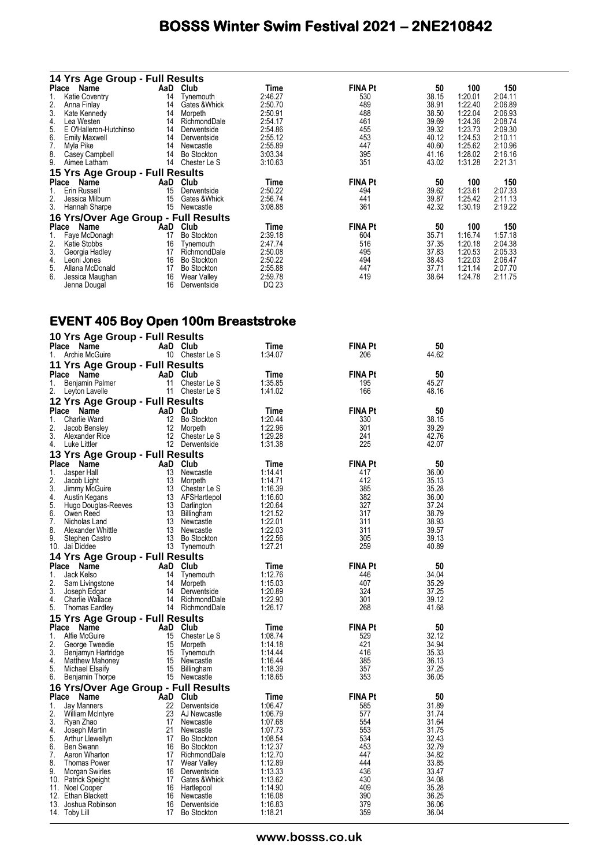|                 | 14 Yrs Age Group - Full Results      |     |                    |         |                |       |         |         |
|-----------------|--------------------------------------|-----|--------------------|---------|----------------|-------|---------|---------|
|                 | Place Name                           | AaD | Club               | Time    | <b>FINA Pt</b> | 50    | 100     | 150     |
| 1.              | Katie Coventry                       | 14  | Tynemouth          | 2:46.27 | 530            | 38.15 | 1:20.01 | 2:04.11 |
| $\frac{2}{3}$ . | Anna Finlay                          | 14  | Gates & Whick      | 2:50.70 | 489            | 38.91 | 1:22.40 | 2:06.89 |
|                 | Kate Kennedy                         | 14  | Morpeth            | 2:50.91 | 488            | 38.50 | 1:22.04 | 2:06.93 |
| 4.              | Lea Westen                           | 14  | RichmondDale       | 2:54.17 | 461            | 39.69 | 1:24.36 | 2:08.74 |
| 5.              | E O'Halleron-Hutchinso               | 14  | Derwentside        | 2:54.86 | 455            | 39.32 | 1:23.73 | 2:09.30 |
|                 | <b>Emily Maxwell</b>                 | 14  | Derwentside        | 2:55.12 | 453            | 40.12 | 1:24.53 | 2:10.11 |
| 6.<br>7.        | Myla Pike                            | 14  | Newcastle          | 2:55.89 | 447            | 40.60 | 1:25.62 | 2:10.96 |
| $\frac{8}{9}$   | Casey Campbell                       | 14  | <b>Bo Stockton</b> | 3:03.34 | 395            | 41.16 | 1:28.02 | 2:16.16 |
|                 | Aimee Latham                         | 14  | Chester Le S       | 3:10.63 | 351            | 43.02 | 1:31.28 | 2:21.31 |
|                 | 15 Yrs Age Group - Full Results      |     |                    |         |                |       |         |         |
| Place           | Name                                 | AaD | Club               | Time    | <b>FINA Pt</b> | 50    | 100     | 150     |
| 1.              | Erin Russell                         | 15  | Derwentside        | 2:50.22 | 494            | 39.62 | 1:23.61 | 2:07.33 |
| 2.              | Jessica Milburn                      | 15  | Gates & Whick      | 2:56.74 | 441            | 39.87 | 1:25.42 | 2:11.13 |
| 3.              | Hannah Sharpe                        | 15  | Newcastle          | 3:08.88 | 361            | 42.32 | 1:30.19 | 2:19.22 |
|                 | 16 Yrs/Over Age Group - Full Results |     |                    |         |                |       |         |         |
| Place           | Name                                 | AaD | Club               | Time    | <b>FINA Pt</b> | 50    | 100     | 150     |
| 1.              | Faye McDonagh                        | 17  | Bo Stockton        | 2:39.18 | 604            | 35.71 | 1:16.74 | 1:57.18 |
| 2.              | Katie Stobbs                         | 16  | Tynemouth          | 2:47.74 | 516            | 37.35 | 1:20.18 | 2:04.38 |
| 3.              | Georgia Hadley                       | 17  | RichmondDale       | 2:50.08 | 495            | 37.83 | 1:20.53 | 2:05.33 |
| 4.              | Leoni Jones                          | 16  | <b>Bo Stockton</b> | 2:50.22 | 494            | 38.43 | 1:22.03 | 2:06.47 |
| 5.              | Allana McDonald                      | 17  | <b>Bo Stockton</b> | 2:55.88 | 447            | 37.71 | 1:21.14 | 2:07.70 |
| 6.              | Jessica Maughan                      | 16  | Wear Valley        | 2:59.78 | 419            | 38.64 | 1:24.78 | 2:11.75 |
|                 | Jenna Dougal                         | 16  | Derwentside        | DQ 23   |                |       |         |         |

### **EVENT 405 Boy Open 100m Breaststroke**

|              | 10 Yrs Age Group - Full Results      |                 |                                 |                    |                |                |
|--------------|--------------------------------------|-----------------|---------------------------------|--------------------|----------------|----------------|
| <b>Place</b> | Name                                 |                 | AaD Club                        | Time               | <b>FINA Pt</b> | 50             |
| 1.           | Archie McGuire                       |                 | 10 Chester Le S                 | 1:34.07            | 206            | 44.62          |
|              | 11 Yrs Age Group - Full Results      |                 |                                 |                    |                |                |
| <b>Place</b> | Name                                 |                 | AaD Club                        | Time               | <b>FINA Pt</b> | 50             |
| 1.           | Benjamin Palmer                      | 11              | Chester Le S                    | 1:35.85            | 195            | 45.27          |
| 2.           | Leyton Lavelle                       |                 | 11 Chester Le S                 | 1:41.02            | 166            | 48.16          |
|              | 12 Yrs Age Group - Full Results      |                 |                                 |                    |                |                |
| Place        | Name                                 |                 | AaD Club                        | Time               | <b>FINA Pt</b> | 50             |
| 1.           | <b>Charlie Ward</b>                  | 12 <sup>2</sup> | Bo Stockton                     | 1:20.44            | 330            | 38.15          |
| 2.           | Jacob Bensley                        | 12              | Morpeth                         | 1:22.96            | 301            | 39.29          |
| 3.           | Alexander Rice                       |                 | 12 Chester Le S                 | 1:29.28            | 241            | 42.76          |
| 4.           | Luke Littler                         |                 | 12 Derwentside                  | 1:31.38            | 225            | 42.07          |
|              | 13 Yrs Age Group - Full Results      |                 |                                 |                    |                |                |
| Place        | Name                                 |                 | AaD Club                        | Time               | <b>FINA Pt</b> | 50             |
| 1.           | Jasper Hall                          | 13              | Newcastle                       | 1:14.41            | 417<br>412     | 36.00          |
| 2.<br>3.     | Jacob Light<br>Jimmy McGuire         | 13<br>13        | Morpeth<br>Chester Le S         | 1:14.71<br>1:16.39 | 385            | 35.13<br>35.28 |
| 4.           | Austin Kegans                        | 13              | AFSHartlepol                    | 1:16.60            | 382            | 36.00          |
| 5.           | Hugo Douglas-Reeves                  | 13              | Darlington                      | 1:20.64            | 327            | 37.24          |
| 6.           | Owen Reed                            | 13              | Billingham                      | 1:21.52            | 317            | 38.79          |
| 7.           | Nicholas Land                        | 13              | Newcastle                       | 1:22.01            | 311            | 38.93          |
| 8.           | Alexander Whittle                    | 13              | Newcastle                       | 1:22.03            | 311            | 39.57          |
| 9            | Stephen Castro                       | 13              | <b>Bo Stockton</b>              | 1:22.56            | 305            | 39.13          |
|              | 10. Jai Diddee                       |                 | 13 Tynemouth                    | 1:27.21            | 259            | 40.89          |
|              | 14 Yrs Age Group - Full Results      |                 |                                 |                    |                |                |
| Place        | Name                                 | AaD             | Club                            | Time               | <b>FINA Pt</b> | 50             |
| 1.           | Jack Kelso                           | 14              | Tynemouth                       | 1:12.76            | 446            | 34.04          |
| 2.<br>3.     | Sam Livingstone                      | 14<br>14        | Morpeth                         | 1:15.03<br>1:20.89 | 407<br>324     | 35.29<br>37.25 |
| 4.           | Joseph Edgar<br>Charlie Wallace      |                 | Derwentside<br>14 RichmondDale  | 1:22.90            | 301            | 39.12          |
| 5.           | <b>Thomas Eardley</b>                |                 | 14 RichmondDale                 | 1:26.17            | 268            | 41.68          |
|              | 15 Yrs Age Group - Full Results      |                 |                                 |                    |                |                |
| <b>Place</b> | Name                                 |                 | AaD Club                        | Time               | <b>FINA Pt</b> | 50             |
| 1.           | Alfie McGuire                        | 15              | Chester Le S                    | 1:08.74            | 529            | 32.12          |
| 2.           | George Tweedie                       | 15              | Morpeth                         | 1:14.18            | 421            | 34.94          |
| 3.           | Benjamyn Hartridge                   | 15              | Tynemouth                       | 1:14.44            | 416            | 35.33          |
| 4.           | Matthew Mahoney                      | 15              | Newcastle                       | 1:16.44            | 385            | 36.13          |
| 5.           | Michael Elsaify                      | 15              | Billingham                      | 1:18.39            | 357            | 37.25          |
| 6.           | Benjamin Thorpe                      |                 | 15 Newcastle                    | 1:18.65            | 353            | 36.05          |
|              | 16 Yrs/Over Age Group - Full Results |                 |                                 |                    |                |                |
| Place        | Name                                 | AaD             | Club                            | Time               | <b>FINA Pt</b> | 50             |
| 1.           | Jay Manners                          | 22              | Derwentside                     | 1:06.47            | 585            | 31.89          |
| 2.           | <b>William McIntyre</b>              | 23              | AJ Newcastle                    | 1:06.79            | 577            | 31.74          |
| 3.           | Ryan Zhao                            | 17              | Newcastle                       | 1:07.68            | 554            | 31.64          |
| 4.<br>5.     | Joseph Martin<br>Arthur Llewellyn    | 21<br>17        | Newcastle<br><b>Bo Stockton</b> | 1:07.73<br>1:08.54 | 553<br>534     | 31.75<br>32.43 |
| 6.           | Ben Swann                            | 16              | <b>Bo Stockton</b>              | 1:12.37            | 453            | 32.79          |
| 7.           | Aaron Wharton                        | 17              | RichmondDale                    | 1:12.70            | 447            | 34.82          |
| 8.           | <b>Thomas Power</b>                  | 17              | Wear Valley                     | 1:12.89            | 444            | 33.85          |
| 9.           | Morgan Swirles                       | 16              | Derwentside                     | 1:13.33            | 436            | 33.47          |
|              | 10. Patrick Speight                  | 17              | Gates & Whick                   | 1:13.62            | 430            | 34.08          |
|              | 11. Noel Cooper                      | 16              | Hartlepool                      | 1:14.90            | 409            | 35.28          |
|              | 12. Ethan Blackett                   | 16              | Newcastle                       | 1:16.08            | 390            | 36.25          |
|              | 13. Joshua Robinson                  | 16<br>17        | Derwentside                     | 1:16.83            | 379<br>359     | 36.06<br>36.04 |
|              | 14. Toby Lill                        |                 | <b>Bo Stockton</b>              | 1:18.21            |                |                |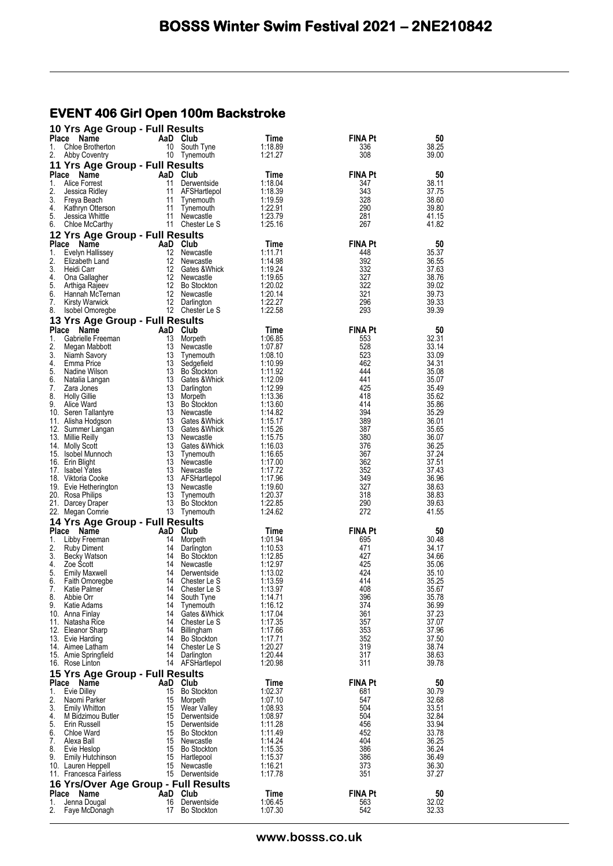#### **EVENT 406 Girl Open 100m Backstroke**

|                    | 10 Yrs Age Group - Full Results              |                |                                    |                    |                       |                |
|--------------------|----------------------------------------------|----------------|------------------------------------|--------------------|-----------------------|----------------|
| Place<br>1.        | Name<br>Chloe Brotherton                     | 10             | AaD Club<br>South Tyne             | Time<br>1:18.89    | <b>FINA Pt</b><br>336 | 50<br>38.25    |
| 2.                 | Abby Coventry                                |                | 10 Tynemouth                       | 1:21.27            | 308                   | 39.00          |
|                    | 11 Yrs Age Group - Full Results              |                |                                    |                    |                       |                |
| Place<br>1.        | Name<br>Alice Forrest                        | 11             | AaD Club<br>Derwentside            | Time<br>1:18.04    | <b>FINA Pt</b><br>347 | 50<br>38.11    |
| 2.                 | Jessica Ridley                               | 11             | AFSHartlepol                       | 1:18.39            | 343                   | 37.75          |
| 3.                 | Freya Beach                                  | 11             | Tynemouth                          | 1:19.59            | 328                   | 38.60          |
| 4.<br>5.           | Kathryn Otterson                             |                | 11 Tynemouth<br>11 Newcastle       | 1:22.91<br>1:23.79 | 290<br>281            | 39.80<br>41.15 |
| 6.                 | Jessica Whittle<br>Chloe McCarthy            |                | 11 Chester Le S                    | 1:25.16            | 267                   | 41.82          |
|                    | 12 Yrs Age Group - Full Results              |                |                                    |                    |                       |                |
|                    | Place Name                                   |                | AaD Club                           | Time               | <b>FINA Pt</b>        | 50             |
| 1.<br>2.           | Evelyn Hallissey<br>Elizabeth Land           | 12<br>12       | Newcastle                          | 1:11.71<br>1:14.98 | 448<br>392            | 35.37<br>36.55 |
| 3.                 | Heidi Carr                                   | 12             | Newcastle<br>Gates & Whick         | 1:19.24            | 332                   | 37.63          |
| 4.                 | Ona Gallagher                                |                | 12 Newcastle                       | 1:19.65            | 327                   | 38.76          |
| 5.<br>6.           | Arthiga Rajeev                               |                | 12 Bo Stockton<br>12 Newcastle     | 1:20.02<br>1:20.14 | 322<br>321            | 39.02<br>39.73 |
| 7.                 | Hannah McTernan<br><b>Kirsty Warwick</b>     |                | 12 Darlington                      | 1:22.27            | 296                   | 39.33          |
| 8.                 | Isobel Omoregbe                              |                | 12 Chester Le S                    | 1:22.58            | 293                   | 39.39          |
|                    | 13 Yrs Age Group - Full Results              |                |                                    |                    |                       |                |
| <b>Place</b><br>1. | Name                                         | AaD Club<br>13 |                                    | Time               | <b>FINA Pt</b>        | 50<br>32.31    |
| 2.                 | Gabrielle Freeman<br>Megan Mabbott           | 13             | Morpeth<br>Newcastle               | 1:06.85<br>1:07.87 | 553<br>528            | 33.14          |
| 3.                 | Niamh Savory                                 | 13             | Tynemouth                          | 1:08.10            | 523                   | 33.09          |
| 4.                 | Emma Price                                   |                | 13 Sedgefield                      | 1:10.99            | 462                   | 34.31          |
| 5.<br>6.           | Nadine Wilson<br>Natalia Langan              |                | 13 Bo Stockton<br>13 Gates & Whick | 1:11.92<br>1:12.09 | 444<br>441            | 35.08<br>35.07 |
| 7.                 | Zara Jones                                   | 13             | Darlington                         | 1:12.99            | 425                   | 35.49          |
| 8.                 | <b>Holly Gillie</b>                          | 13             | Morpeth                            | 1:13.36            | 418                   | 35.62          |
| 9.                 | Alice Ward<br>10. Seren Tallantyre           | 13             | 13 Bo Stockton<br>Newcastle        | 1:13.60<br>1:14.82 | 414<br>394            | 35.86<br>35.29 |
|                    | 11. Alisha Hodgson                           | 13             | Gates & Whick                      | 1:15.17            | 389                   | 36.01          |
|                    | 12. Summer Langan                            | 13             | Gates & Whick                      | 1:15.26            | 387                   | 35.65          |
|                    | 13. Millie Reilly<br>14. Molly Scott         | 13<br>13       | Newcastle<br>Gates & Whick         | 1:15.75<br>1:16.03 | 380<br>376            | 36.07<br>36.25 |
|                    | 15. Isobel Munnoch                           | 13             | Tynemouth                          | 1:16.65            | 367                   | 37.24          |
|                    | 16. Erin Blight                              |                | 13 Newcastle                       | 1:17.00            | 362                   | 37.51          |
|                    | 17. Isabel Yates<br>18. Viktoria Cooke       | 13             | Newcastle<br>13 AFSHartlepol       | 1:17.72<br>1:17.96 | 352<br>349            | 37.43<br>36.96 |
|                    | 19. Evie Hetherington                        | 13             | Newcastle                          | 1:19.60            | 327                   | 38.63          |
|                    | 20. Rosa Philips                             | 13             | Tynemouth                          | 1:20.37            | 318                   | 38.83          |
|                    | 21. Darcey Draper<br>22. Megan Comrie        |                | 13 Bo Stockton<br>13 Tynemouth     | 1:22.85<br>1:24.62 | 290<br>272            | 39.63<br>41.55 |
|                    | 14 Yrs Age Group - Full Results              |                |                                    |                    |                       |                |
|                    | Place Name                                   |                | AaD Club                           | Time               | <b>FINA Pt</b>        | 50             |
| 1.                 | Libby Freeman                                | 14             | Morpeth                            | 1:01.94            | 695                   | 30.48          |
| 2.<br>3.           | <b>Ruby Diment</b>                           |                | 14 Darlington<br>14 Bo Stockton    | 1:10.53            | 471<br>427            | 34.17<br>34.66 |
| 4.                 | Becky Watson<br>Zoe Scott                    | 14             | Newcastle                          | 1:12.85<br>1:12.97 | 425                   | 35.06          |
| 5.                 | <b>Emily Maxwell</b>                         | 14             | Derwentside                        | 1:13.02            | 424                   | 35.10          |
| 6.                 | Faith Omoregbe                               | 14<br>14       | Chester Le S                       | 1:13.59            | 414                   | 35.25          |
| 7.<br>8.           | Katie Palmer<br>Abbie Orr                    | 14             | Chester Le S<br>South Tyne         | 1:13.97<br>1:14.71 | 408<br>396            | 35.67<br>35.78 |
| 9.                 | Katie Adams                                  | 14             | Tynemouth                          | 1:16.12            | 374                   | 36.99          |
|                    | 10. Anna Finlay                              | 14             | Gates & Whick                      | 1:17.04            | 361                   | 37.23          |
|                    | 11. Natasha Rice<br>12. Eleanor Sharp        | 14<br>14       | Chester Le S<br>Billingham         | 1:17.35<br>1:17.66 | 357<br>353            | 37.07<br>37.96 |
|                    | 13. Evie Harding                             | 14             | <b>Bo Stockton</b>                 | 1:17.71            | 352                   | 37.50          |
|                    | 14. Aimee Latham                             | 14             | Chester Le S                       | 1:20.27            | 319                   | 38.74          |
|                    | 15. Amie Springfield<br>16. Rose Linton      | 14<br>14       | Darlington<br>AFSHartlepol         | 1:20.44<br>1:20.98 | 317<br>311            | 38.63<br>39.78 |
|                    | 15 Yrs Age Group - Full Results              |                |                                    |                    |                       |                |
|                    | Place<br>Name                                |                | AaD Club                           | Time               | <b>FINA Pt</b>        | 50             |
| 1.                 | <b>Evie Dilley</b>                           | 15             | <b>Bo Stockton</b>                 | 1:02.37            | 681                   | 30.79          |
| 2.<br>3.           | Naomi Parker<br><b>Emily Whitton</b>         | 15<br>15       | Morpeth<br>Wear Valley             | 1:07.10<br>1:08.93 | 547<br>504            | 32.68<br>33.51 |
| 4.                 | M Bidzimou Butler                            | 15             | Derwentside                        | 1:08.97            | 504                   | 32.84          |
| 5.                 | Erin Russell                                 | 15             | Derwentside                        | 1:11.28            | 456                   | 33.94          |
| 6.<br>7.           | Chloe Ward<br>Alexa Ball                     | 15<br>15       | <b>Bo Stockton</b><br>Newcastle    | 1:11.49<br>1:14.24 | 452<br>404            | 33.78<br>36.25 |
| 8.                 | Evie Heslop                                  | 15             | <b>Bo Stockton</b>                 | 1:15.35            | 386                   | 36.24          |
| 9.                 | Emily Hutchinson                             |                | 15 Hartlepool                      | 1:15.37            | 386                   | 36.49          |
|                    | 10. Lauren Heppell<br>11. Francesca Fairless | 15             | Newcastle<br>15 Derwentside        | 1:16.21<br>1:17.78 | 373<br>351            | 36.30<br>37.27 |
|                    | 16 Yrs/Over Age Group - Full Results         |                |                                    |                    |                       |                |
|                    | Place Name                                   |                | AaD Club                           | Time               | <b>FINA Pt</b>        | 50             |
| 1.                 | Jenna Dougal                                 | 16             | Derwentside                        | 1:06.45            | 563                   | 32.02          |
| 2.                 | Faye McDonagh                                | 17             | <b>Bo Stockton</b>                 | 1:07.30            | 542                   | 32.33          |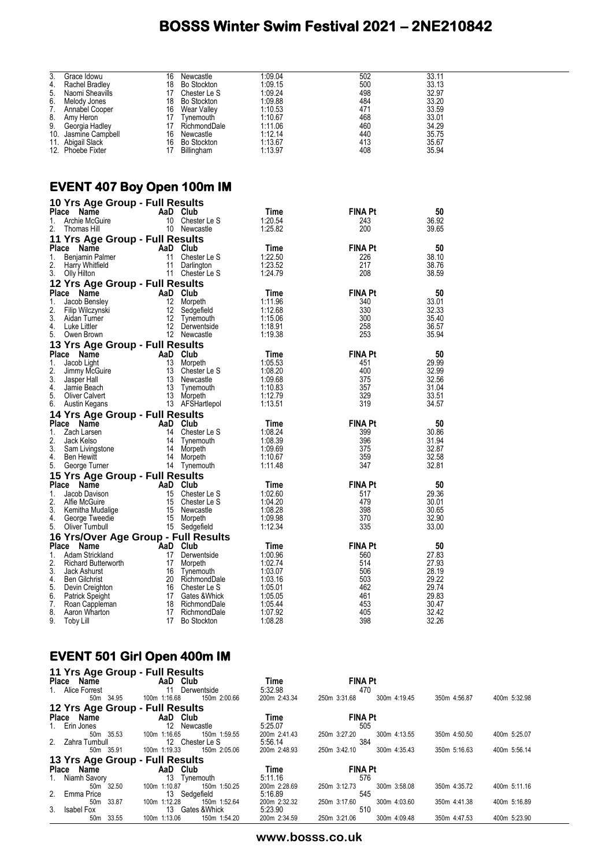| 3.<br>Grace Idowu                                      | 16<br>Newcastle                  | 1:09.04            | 502            | 33.11          |  |
|--------------------------------------------------------|----------------------------------|--------------------|----------------|----------------|--|
| 4.<br>Rachel Bradley                                   | 18<br>Bo Stockton                | 1:09.15            | 500            | 33.13          |  |
| 5.<br>Naomi Sheavills                                  | 17 Chester Le S                  | 1:09.24            | 498<br>484     | 32.97<br>33.20 |  |
| 6.<br>Melody Jones<br>7.<br>Annabel Cooper             | 18 Bo Stockton<br>16 Wear Valley | 1:09.88<br>1:10.53 | 471            | 33.59          |  |
| 8.<br>Amy Heron                                        | 17 Tynemouth                     | 1:10.67            | 468            | 33.01          |  |
| 9.<br>Georgia Hadley                                   | 17 RichmondDale                  | 1:11.06            | 460            | 34.29          |  |
| 10. Jasmine Campbell                                   | 16 Newcastle                     | 1:12.14            | 440            | 35.75          |  |
| 11. Abigail Slack                                      | 16 Bo Stockton                   | 1:13.67            | 413            | 35.67          |  |
| 12. Phoebe Fixter                                      | 17 Billingham                    | 1:13.97            | 408            | 35.94          |  |
|                                                        |                                  |                    |                |                |  |
|                                                        |                                  |                    |                |                |  |
| <b>EVENT 407 Boy Open 100m IM</b>                      |                                  |                    |                |                |  |
| 10 Yrs Age Group - Full Results                        |                                  |                    |                |                |  |
| Place Name                                             | AaD Club                         | Time               | <b>FINA Pt</b> | 50             |  |
| 1.<br>Archie McGuire                                   | 10 Chester Le S                  | 1:20.54            | 243            | 36.92          |  |
| 2.<br>Thomas Hill                                      | 10 Newcastle                     | 1:25.82            | 200            | 39.65          |  |
| 11 Yrs Age Group - Full Results                        |                                  |                    |                |                |  |
| Place Name                                             | AaD Club                         | Time               | <b>FINA Pt</b> | 50             |  |
| 1.<br>Benjamin Palmer                                  | 11 Chester Le S                  | 1:22.50            | 226            | 38.10          |  |
| 2.<br>Harry Whitfield                                  | 11 Darlington                    | 1:23.52            | 217            | 38.76          |  |
| 3.<br>Olly Hilton                                      | 11 Chester Le S                  | 1:24.79            | 208            | 38.59          |  |
| 12 Yrs Age Group - Full Results                        |                                  |                    |                |                |  |
| Place Name                                             | AaD Club                         | Time               | <b>FINA Pt</b> | 50             |  |
| Jacob Bensley<br>1.                                    | 12 Morpeth                       | 1:11.96            | 340            | 33.01          |  |
| 2.<br>Filip Wilczynski<br>3.<br>Aidan Turner           | 12 Sedgefield<br>12 Tynemouth    | 1:12.68<br>1:15.06 | 330<br>300     | 32.33<br>35.40 |  |
| Luke Littler<br>4.                                     | 12 Derwentside                   | 1:18.91            | 258            | 36.57          |  |
| 5.<br>Owen Brown                                       | 12 Newcastle                     | 1:19.38            | 253            | 35.94          |  |
| 13 Yrs Age Group - Full Results                        |                                  |                    |                |                |  |
| Place Name                                             | AaD Club                         | Time               | <b>FINA Pt</b> | 50             |  |
| Jacob Light<br>1.                                      | 13 Morpeth                       | 1:05.53            | 451            | 29.99          |  |
| 2.<br>Jimmy McGuire                                    | 13 Chester Le S                  | 1:08.20            | 400            | 32.99          |  |
| 3.<br>Jasper Hall                                      | 13 Newcastle                     | 1:09.68            | 375            | 32.56          |  |
| Jamie Beach<br>4.<br>5.                                | 13 Tynemouth<br>13 Morpeth       | 1:10.83<br>1:12.79 | 357<br>329     | 31.04<br>33.51 |  |
| <b>Oliver Calvert</b><br>6.<br>Austin Kegans           | 13 AFSHartlepol                  | 1:13.51            | 319            | 34.57          |  |
| 14 Yrs Age Group - Full Results                        |                                  |                    |                |                |  |
| Place Name                                             | AaD Club                         | Time               | <b>FINA Pt</b> | 50             |  |
| Zach Larsen<br>1.                                      | 14 Chester Le S                  | 1:08.24            | 399            | 30.86          |  |
| 2.<br>Jack Kelso                                       | 14<br>Tynemouth                  | 1:08.39            | 396            | 31.94          |  |
| 3.<br>Sam Livingstone                                  | 14<br>Morpeth                    | 1:09.69            | 375            | 32.87          |  |
| 4.<br>Ben Hewitt                                       | 14 Morpeth                       | 1:10.67            | 359            | 32.58          |  |
| 5.<br>George Turner                                    | 14 Tynemouth                     | 1:11.48            | 347            | 32.81          |  |
| 15 Yrs Age Group - Full Results                        |                                  |                    | <b>FINA Pt</b> |                |  |
| Place Name<br>Jacob Davison<br>1.                      | AaD Club<br>15 Chester Le S      | Time<br>1:02.60    | 517            | 50<br>29.36    |  |
| 2.<br>Alfie McGuire                                    | 15 Chester Le S                  | 1:04.20            | 479            | 30.01          |  |
| 3.<br>Kemitha Mudalige                                 | 15 Newcastle                     | 1:08.28            | 398            | 30.65          |  |
| 4.<br>George Tweedie                                   | 15 Morpeth                       | 1:09.98            | 370            | 32.90          |  |
| 5.<br>Oliver Turnbull                                  | 15 Sedgefield                    | 1:12.34            | 335            | 33.00          |  |
| 16 Yrs/Over Age Group - Full Results                   |                                  |                    |                |                |  |
| Place Name                                             | AaD Club                         | <b>Time</b>        | <b>FINA Pt</b> | 50             |  |
| Adam Strickland<br>1.                                  | 17 <sup>17</sup><br>Derwentside  | 1:00.96<br>1:02.74 | 560<br>514     | 27.83<br>27.93 |  |
| 2.<br><b>Richard Butterworth</b><br>3.<br>Jack Ashurst | 17<br>Morpeth<br>Tynemouth<br>16 | 1:03.07            | 506            | 28.19          |  |
| <b>Ben Gilchrist</b><br>4.                             | RichmondDale<br>20               | 1:03.16            | 503            | 29.22          |  |
| 5.<br>Devin Creighton                                  | 16<br>Chester Le S               | 1:05.01            | 462            | 29.74          |  |
| 6.<br>Patrick Speight                                  | Gates & Whick<br>17              | 1:05.05            | 461            | 29.83          |  |
| 7.<br>Roan Cappleman                                   | 18<br>RichmondDale               | 1:05.44            | 453            | 30.47          |  |
| Aaron Wharton<br>8.                                    | 17<br>RichmondDale               | 1:07.92            | 405            | 32.42          |  |
| 9.<br>Toby Lill                                        | <b>Bo Stockton</b><br>17         | 1:08.28            | 398            | 32.26          |  |

## **EVENT 501 Girl Open 400m IM**

| 11 Yrs Age Group - Full Results |                                |              |                              |              |              |
|---------------------------------|--------------------------------|--------------|------------------------------|--------------|--------------|
| Place Name                      | AaD Club                       | Time         | <b>FINA Pt</b>               |              |              |
| 1. Alice Forrest                | 11<br>Derwentside              | 5:32.98      | 470                          |              |              |
| 50m 34.95                       | 150m 2:00.66<br>100m 1:16.68   | 200m 2:43.34 | 300m 4:19.45<br>250m 3:31.68 | 350m 4:56.87 | 400m 5:32.98 |
| 12 Yrs Age Group - Full Results |                                |              |                              |              |              |
| Place Name                      | AaD Club                       | Time         | <b>FINA Pt</b>               |              |              |
| 1. Erin Jones                   | $12 \overline{ }$<br>Newcastle | 5:25.07      | 505                          |              |              |
| 50m 35.53                       | 100m 1:16.65<br>150m 1:59.55   | 200m 2:41.43 | 300m 4:13.55<br>250m 3:27.20 | 350m 4:50.50 | 400m 5:25.07 |
| 2. Zahra Turnbull               | 12 Chester Le S                | 5:56.14      | 384                          |              |              |
| 50m 35.91                       | 150m 2:05.06<br>100m 1:19.33   | 200m 2:48.93 | 250m 3:42.10<br>300m 4:35.43 | 350m 5:16.63 | 400m 5:56.14 |
| 13 Yrs Age Group - Full Results |                                |              |                              |              |              |
| Place Name                      | AaD Club                       | Time         | <b>FINA Pt</b>               |              |              |
| 1. Niamh Savory                 | 13<br>Tynemouth                | 5:11.16      | 576                          |              |              |
| 50m 32.50                       | 100m 1:10.87<br>150m 1:50.25   | 200m 2:28.69 | 300m 3:58.08<br>250m 3:12.73 | 350m 4:35.72 | 400m 5:11.16 |
| 2. Emma Price                   | 13<br>Sedgefield               | 5:16.89      | 545                          |              |              |
| 33.87<br>50 <sub>m</sub>        | 100m 1:12.28<br>150m 1:52.64   | 200m 2:32.32 | 250m 3:17.60<br>300m 4:03.60 | 350m 4:41.38 | 400m 5:16.89 |
| 3. Isabel Fox                   | 13 Gates & Whick               | 5:23.90      | 510                          |              |              |
| 33.55<br>50m                    | 100m 1:13.06<br>150m 1:54.20   | 200m 2:34.59 | 250m 3:21.06<br>300m 4:09.48 | 350m 4:47.53 | 400m 5:23.90 |

**www.bosss.co.uk**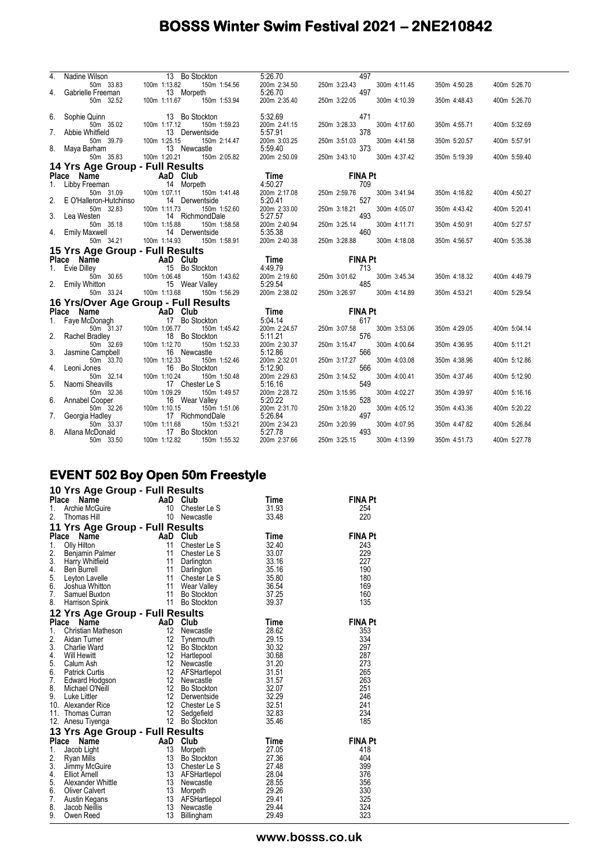| 4. | Nadine Wilson<br>Wilson 13 E<br>50m 33.83 100m 1:13.82<br>e Freeman 13 M                     | 13 Bo Stockton                                                                                        | 5:26.70                                                                                    | 497                                 |              |              |
|----|----------------------------------------------------------------------------------------------|-------------------------------------------------------------------------------------------------------|--------------------------------------------------------------------------------------------|-------------------------------------|--------------|--------------|
|    |                                                                                              | 150m 1:54.56                                                                                          | 200m 2:34.50                                                                               | 250m 3:23.43<br>300m 4:11.45        | 350m 4:50.28 | 400m 5:26.70 |
|    | 4. Gabrielle Freeman                                                                         | 13 Morpeth                                                                                            | 5:26.70                                                                                    | 497                                 |              |              |
|    | 50m 32.52                                                                                    | 100m 1:11.67<br>150m 1:53.94                                                                          | 200m 2:35.40                                                                               | 250m 3:22.05<br>300m 4:10.39        | 350m 4:48.43 | 400m 5:26.70 |
|    |                                                                                              |                                                                                                       |                                                                                            |                                     |              |              |
|    | 6. Sophie Quinn                                                                              | 13 Bo Stockton                                                                                        | 5:32.69                                                                                    | 471                                 |              |              |
|    | 50m 35.02                                                                                    | 100m 1:17.12<br>150m 1:59.23                                                                          | 200m 2:41.15                                                                               | 250m 3:28.33<br>300m 4:17.60        | 350m 4:55.71 | 400m 5:32.69 |
|    | 7. Abbie Whitfield                                                                           | 13 Derwentside                                                                                        | 5:57.91                                                                                    | 378                                 |              |              |
|    | 50m 39.79                                                                                    | 100m 1:25.15<br>150m 2:14.47<br>13 Newcastle                                                          | 200m 3:03.25<br>5:59.40                                                                    | 250m 3:51.03<br>300m 4:41.58<br>373 | 350m 5:20.57 | 400m 5:57.91 |
|    | 8. Maya Barham<br>50m 35.83                                                                  | 100m 1:20.21<br>150m 2:05.82                                                                          | 200m 2:50.09                                                                               | 250m 3:43.10<br>300m 4:37.42        | 350m 5:19.39 | 400m 5:59.40 |
|    |                                                                                              |                                                                                                       |                                                                                            |                                     |              |              |
|    | 14 Yrs Age Group - Full Results                                                              |                                                                                                       |                                                                                            |                                     |              |              |
|    | <b>Prace Name AaD Club</b><br>1. Libby Freeman <b>AaD Club</b><br>50m 31.09 100m 1:07.11 150 |                                                                                                       | <b>Time</b><br>4:50.27                                                                     | <b>FINA Pt</b>                      |              |              |
|    |                                                                                              |                                                                                                       |                                                                                            | 709                                 |              |              |
|    | 2. E O'Halleron-Hutchinso                                                                    | 150m 1:41.48<br>14 Derwentside                                                                        | 200m 2:17.08<br>5:20.41                                                                    | 300m 3:41.94<br>250m 2:59.76<br>527 | 350m 4:16.82 | 400m 4:50.27 |
|    | 50m 32.83                                                                                    | 150m 1:52.60<br>100m 1:11.73                                                                          | 200m 2:33.00                                                                               | 250m 3:18.21<br>300m 4:05.07        | 350m 4:43.42 | 400m 5:20.41 |
|    | 3. Lea Westen                                                                                | 14 RichmondDale                                                                                       | 5:27.57                                                                                    | 493                                 |              |              |
|    | sten<br>50m 35.18 100m<br>axwell                                                             | 100m 1:15.88<br>150m 1:58.58                                                                          |                                                                                            | 250m 3:25.14<br>300m 4:11.71        | 350m 4:50.91 | 400m 5:27.57 |
|    | 4. Emily Maxwell                                                                             | 14 Derwentside                                                                                        |                                                                                            | 460                                 |              |              |
|    | 50m 34.21                                                                                    | 100m 1:14.93 150m 1:58.91                                                                             | 0.27.07<br>200m 2:40.94 250m 3:<br>5:35.38 200m 2:40.38 250m 3:                            | 250m 3:28.88<br>300m 4:18.08        | 350m 4:56.57 | 400m 5:35.38 |
|    | 15 Yrs Age Group - Full Results                                                              |                                                                                                       |                                                                                            |                                     |              |              |
|    | Place Name                                                                                   |                                                                                                       | $\begin{array}{r}\n\textbf{Time} \\ 4:49.79 \\ 200 \text{ m} \quad 2:19.60 \\ \end{array}$ | <b>FINA Pt</b>                      |              |              |
|    | 1. Evie Dilley                                                                               | <b>The Club</b><br>ley 15 Bo Sto<br>$\frac{15}{15}$ Bo Sto<br>$\frac{100m}{106.48}$<br>15 Bo Stockton |                                                                                            | 713                                 |              |              |
|    |                                                                                              | 150m 1:43.62                                                                                          |                                                                                            | 250m 3:01.62<br>300m 3:45.34        | 350m 4:18.32 | 400m 4:49.79 |
|    | 2. Emily Whitton                                                                             | 15 Wear Valley                                                                                        | 5:29.54                                                                                    | 485                                 |              |              |
|    | 50m 33.24                                                                                    | 100m 1:13.68<br>150m 1:56.29                                                                          | 200m 2:38.02                                                                               | 250m 3:26.97<br>300m 4:14.89        | 350m 4:53.21 | 400m 5:29.54 |
|    |                                                                                              | 16 Yrs/Over Age Group - Full Results                                                                  |                                                                                            |                                     |              |              |
|    | Place Name                                                                                   | - Tap Club                                                                                            | <b>Time</b>                                                                                | <b>FINA Pt</b>                      |              |              |
|    | 1. Faye McDonagh                                                                             | 17 Bo Stockton                                                                                        | 5:04.14                                                                                    | 617                                 |              |              |
|    | 50m 31.37                                                                                    | 150m 1:45.42<br>100m 1:06.77                                                                          | 200m 2:24.57                                                                               | 250m 3:07.58<br>300m 3:53.06        | 350m 4:29.05 | 400m 5:04.14 |
|    | 2. Rachel Bradley                                                                            | 18 Bo Stockton                                                                                        | 5:11.21                                                                                    | 576                                 |              |              |
|    | 50m 32.69                                                                                    | 100m 1:12.70<br>150m 1:52.33                                                                          | 200m 2:30.37                                                                               | 300m 4:00.64<br>250m 3:15.47        | 350m 4:36.95 | 400m 5:11.21 |
|    | 3. Jasmine Campbell                                                                          | 16 Newcastle                                                                                          | 5:12.86                                                                                    | 566                                 |              |              |
|    | 50m 33.70                                                                                    | 150m 1:52.46<br>100m 1:12.33                                                                          | 200m 2:32.01                                                                               | 250m 3:17.27<br>300m 4:03.08        | 350m 4:38.96 | 400m 5:12.86 |
| 4. | Leoni Jones                                                                                  | 16 Bo Stockton                                                                                        | 5:12.90                                                                                    | 566                                 |              |              |
|    | 50m 32.14                                                                                    | 100m 1:10.24<br>150m 1:50.48                                                                          | 200m 2:29.63                                                                               | 250m 3:14.52<br>300m 4:00.41        | 350m 4:37.46 | 400m 5:12.90 |
| 5. | Naomi Sheavills                                                                              | 17 Chester Le S                                                                                       | 5:16.16                                                                                    | 549                                 |              |              |
| 6. | 50m 32.36                                                                                    | 100m 1:09.29<br>150m 1:49.57                                                                          | 200m 2:28.72<br>5:20.22                                                                    | 250m 3:15.95<br>300m 4:02.27<br>528 | 350m 4:39.97 | 400m 5:16.16 |
|    | Annabel Cooper                                                                               | 16 Wear Valley<br>100m 1:10.15<br>150m 1:51.06                                                        | 200m 2:31.70                                                                               | 250m 3:18.20<br>300m 4:05.12        |              |              |
|    | 50m 32.26                                                                                    |                                                                                                       |                                                                                            | 497                                 | 350m 4:43.36 | 400m 5:20.22 |
|    |                                                                                              |                                                                                                       |                                                                                            |                                     |              |              |
| 7. | Georgia Hadley                                                                               | 17 RichmondDale                                                                                       | 5:26.84                                                                                    |                                     |              |              |
|    | 50m 33.37<br>8. Allana McDonald                                                              | 100m 1:11.68<br>150m 1:53.21<br>17 Bo Stockton                                                        | 200m 2:34.23<br>5:27.78                                                                    | 250m 3:20.99<br>300m 4:07.95<br>493 | 350m 4:47.82 | 400m 5:26.84 |

## **EVENT 502 Boy Open 50m Freestyle**

|  |  |  |  |  | 10 Yrs Age Group - Full Results |
|--|--|--|--|--|---------------------------------|
|--|--|--|--|--|---------------------------------|

|    | iv iis Ago Oroup - i un nosuns                                                                                                                                                                                                                                                 |          |                 |             |                |
|----|--------------------------------------------------------------------------------------------------------------------------------------------------------------------------------------------------------------------------------------------------------------------------------|----------|-----------------|-------------|----------------|
|    | Place<br>Ce Name<br>Archie McGuire<br>Theman Hill                                                                                                                                                                                                                              |          | AaD Club        | Time        | <b>FINA Pt</b> |
| 1. |                                                                                                                                                                                                                                                                                |          | 10 Chester Le S | 31.93       | 254            |
| 2. | Thomas Hill                                                                                                                                                                                                                                                                    |          | 10 Newcastle    | 33.48       | 220            |
|    | 11 Yrs Age Group - Full Results                                                                                                                                                                                                                                                |          |                 |             |                |
|    | Place<br>Name                                                                                                                                                                                                                                                                  |          | AaD Club        | <b>Time</b> | <b>FINA Pt</b> |
|    |                                                                                                                                                                                                                                                                                |          | Chester Le S    | 32.40       | 243            |
|    |                                                                                                                                                                                                                                                                                |          | Chester Le S    | 33.07       | 229            |
|    |                                                                                                                                                                                                                                                                                |          | Darlington      | 33.16       | 227            |
|    | 1. July Hilton<br>2. Benjamin Palmer<br>3. Harry Whitfield<br>4. Ben Burrell<br>5. Levisn Loughs<br>11                                                                                                                                                                         |          | Darlington      | 35.16       | 190            |
| 5. | Leyton Lavelle <b>11</b>                                                                                                                                                                                                                                                       |          | Chester Le S    | 35.80       | 180            |
| 6. | Joshua Whitton 11                                                                                                                                                                                                                                                              |          | Wear Valley     | 36.54       | 169            |
| 7. | Samuel Buxton                                                                                                                                                                                                                                                                  | 11       | Bo Stockton     | 37.25       | 160            |
| 8. | Harrison Spink                                                                                                                                                                                                                                                                 |          | 11 Bo Stockton  | 39.37       | 135            |
|    | 12 Yrs Age Group - Full Results                                                                                                                                                                                                                                                |          |                 |             |                |
|    | Place Name                                                                                                                                                                                                                                                                     | AaD Club |                 | Time        | <b>FINA Pt</b> |
| 1. | Christian Matheson<br>Aidan Turner 12<br>Charlie Ward 12                                                                                                                                                                                                                       | 12       | Newcastle       | 28.62       | 353            |
| 2. |                                                                                                                                                                                                                                                                                |          | Tynemouth       | 29.15       | 334            |
| 3. |                                                                                                                                                                                                                                                                                | 12       | Bo Stockton     | 30.32       | 297            |
| 4. | Will Hewitt                                                                                                                                                                                                                                                                    |          | 12 Hartlepool   | 30.68       | 287            |
| 5. | Calum Ash                                                                                                                                                                                                                                                                      |          |                 | 31.20       | 273            |
| 6. | <b>Patrick Curtis</b>                                                                                                                                                                                                                                                          |          | 12 AFSHartlepol | 31.51       | 265            |
| 7. | Edward Hodgson                                                                                                                                                                                                                                                                 |          |                 | 31.57       | 263            |
| 8. | Michael O'Neill                                                                                                                                                                                                                                                                |          |                 | 32.07       | 251            |
| 9. | Luke Littler                                                                                                                                                                                                                                                                   |          |                 | 32.29       | 246            |
|    | 10. Alexander Rice                                                                                                                                                                                                                                                             |          |                 | 32.51       | 241            |
|    | 11. Thomas Curran                                                                                                                                                                                                                                                              |          |                 | 32.83       | 234            |
|    | 12 Newcastle<br>12 AFSHartlepol<br>12 Newcastle<br>12 Bo Stockton<br>12 Derwentside<br>22 Sedgefield<br>12 Sedgefield<br>12 Bo Stockton<br>12 Po Stockton<br>12 Derwentside<br>12 Derwentside<br>12 Derwentside<br>12 Derwentside<br>12 Derwentside<br>12<br>12. Anesu Tiyenga |          |                 | 35.46       | 185            |
|    | 13 Yrs Age Group - Full Results                                                                                                                                                                                                                                                |          |                 |             |                |
|    | Place Name<br>AaD Club<br>13 Morpe                                                                                                                                                                                                                                             |          |                 | Time        | <b>FINA Pt</b> |
| 1. | Jacob Light                                                                                                                                                                                                                                                                    |          | Morpeth         | 27.05       | 418            |
| 2. | Ryan Mills                                                                                                                                                                                                                                                                     |          | Bo Stockton     | 27.36       | 404            |
| 3. | Jimmy McGuire                                                                                                                                                                                                                                                                  | 13       | Chester Le S    | 27.48       | 399            |
| 4. | <b>Elliot Arnell</b>                                                                                                                                                                                                                                                           |          | 13 AFSHartlepol | 28.04       | 376            |
| 5. | Alexander Whittle                                                                                                                                                                                                                                                              | 13       | Newcastle       | 28.55       | 356            |
| 6. | <b>Oliver Calvert</b>                                                                                                                                                                                                                                                          | 13       | Morpeth         | 29.26       | 330            |
|    | 7. Austin Kegans                                                                                                                                                                                                                                                               |          | 13 AFSHartlepol | 29.41       | 325            |
| 8. | Jacob Neillis                                                                                                                                                                                                                                                                  | 13       | Newcastle       | 29.44       | 324            |
| 9. | Owen Reed                                                                                                                                                                                                                                                                      | 13       | Billingham      | 29.49       | 323            |

**www.bosss.co.uk**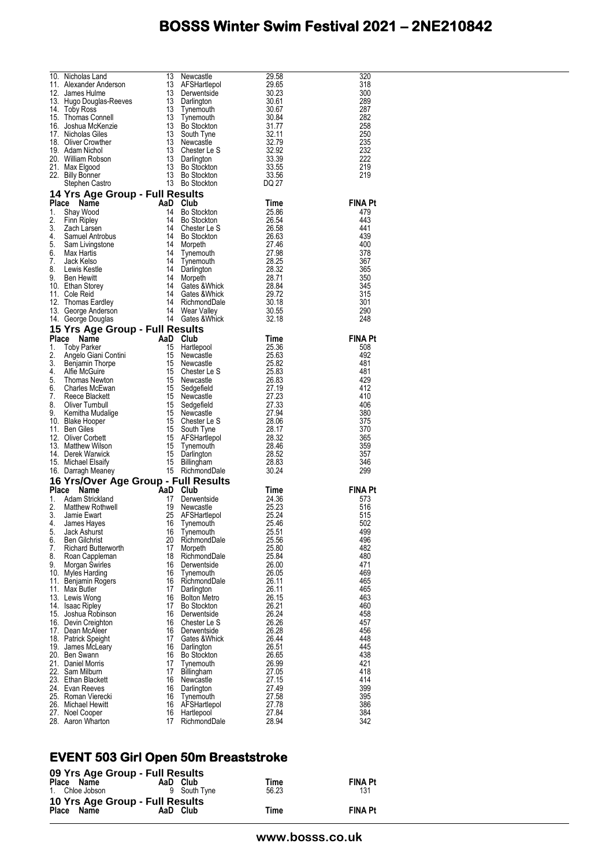|    |                                                                                                                                                                                                                                                          |          |                                                                                                                                                                                                                                                                |                | 320            |
|----|----------------------------------------------------------------------------------------------------------------------------------------------------------------------------------------------------------------------------------------------------------|----------|----------------------------------------------------------------------------------------------------------------------------------------------------------------------------------------------------------------------------------------------------------------|----------------|----------------|
|    |                                                                                                                                                                                                                                                          |          |                                                                                                                                                                                                                                                                |                | 318            |
|    |                                                                                                                                                                                                                                                          |          |                                                                                                                                                                                                                                                                |                | 300<br>289     |
|    |                                                                                                                                                                                                                                                          |          |                                                                                                                                                                                                                                                                |                | 287            |
|    |                                                                                                                                                                                                                                                          |          |                                                                                                                                                                                                                                                                |                | 282            |
|    |                                                                                                                                                                                                                                                          |          |                                                                                                                                                                                                                                                                |                | 258            |
|    |                                                                                                                                                                                                                                                          |          |                                                                                                                                                                                                                                                                |                | 250            |
|    |                                                                                                                                                                                                                                                          |          |                                                                                                                                                                                                                                                                |                | 235            |
|    |                                                                                                                                                                                                                                                          |          |                                                                                                                                                                                                                                                                |                | 232<br>222     |
|    |                                                                                                                                                                                                                                                          |          |                                                                                                                                                                                                                                                                |                | 219            |
|    |                                                                                                                                                                                                                                                          |          |                                                                                                                                                                                                                                                                |                | 219            |
|    | 10. Nicholas Land 13 Newcastle 29.58<br>11. Alexander Anderson 13 AFSHartlepol 29.65<br>12. James Hulme 13 Derventside 30.23<br>13 Hugo Douglas-Reeves 13 Darlington 30.61<br>14. Toby Ross 13 Darlington 30.67<br>15. Thomas Connell 13                 |          |                                                                                                                                                                                                                                                                |                |                |
|    | Stephen Castro 13 Bo Stockton DQ 27<br>14 Yrs Age Group - Full Results<br>Place Name AaD Club Time<br>2. Show 14 Bo Stockton 25.86<br>2. Finn Ripley 14 Bo Stockton 26.58<br>3. Zach Larsen 14 Ghester Le S 26.58<br>4. Samuel Antrobus 14               |          |                                                                                                                                                                                                                                                                |                |                |
|    |                                                                                                                                                                                                                                                          |          |                                                                                                                                                                                                                                                                |                | <b>FINA Pt</b> |
|    |                                                                                                                                                                                                                                                          |          |                                                                                                                                                                                                                                                                |                | 479            |
|    |                                                                                                                                                                                                                                                          |          |                                                                                                                                                                                                                                                                |                | 443            |
|    |                                                                                                                                                                                                                                                          |          |                                                                                                                                                                                                                                                                |                | 441            |
|    |                                                                                                                                                                                                                                                          |          |                                                                                                                                                                                                                                                                |                | 439<br>400     |
|    |                                                                                                                                                                                                                                                          |          |                                                                                                                                                                                                                                                                |                | 378            |
|    |                                                                                                                                                                                                                                                          |          |                                                                                                                                                                                                                                                                |                | 367            |
|    |                                                                                                                                                                                                                                                          |          |                                                                                                                                                                                                                                                                |                | 365            |
|    |                                                                                                                                                                                                                                                          |          |                                                                                                                                                                                                                                                                |                | 350            |
|    |                                                                                                                                                                                                                                                          |          |                                                                                                                                                                                                                                                                |                | 345            |
|    |                                                                                                                                                                                                                                                          |          |                                                                                                                                                                                                                                                                |                | 315            |
|    |                                                                                                                                                                                                                                                          |          |                                                                                                                                                                                                                                                                |                | 301            |
|    |                                                                                                                                                                                                                                                          |          |                                                                                                                                                                                                                                                                |                | 290<br>248     |
|    |                                                                                                                                                                                                                                                          |          |                                                                                                                                                                                                                                                                |                |                |
|    | 14. George Douglas<br>15 Yrs Age Group - Full Results<br>15 Yrs Age Group - Full Results<br>15 Yrs Age Group - Full Results<br>16. Time<br>16. The McGuire<br>16. Hardepool<br>16. Hardepool<br>16. Newcastle<br>25.58<br>25.63<br>25.63<br>25.63<br>25. |          |                                                                                                                                                                                                                                                                |                | <b>FINA Pt</b> |
|    |                                                                                                                                                                                                                                                          |          |                                                                                                                                                                                                                                                                |                | 508            |
|    |                                                                                                                                                                                                                                                          |          |                                                                                                                                                                                                                                                                |                | 492            |
|    |                                                                                                                                                                                                                                                          |          |                                                                                                                                                                                                                                                                |                | 481            |
|    |                                                                                                                                                                                                                                                          |          |                                                                                                                                                                                                                                                                |                | 481            |
|    |                                                                                                                                                                                                                                                          |          |                                                                                                                                                                                                                                                                |                | 429            |
|    |                                                                                                                                                                                                                                                          |          |                                                                                                                                                                                                                                                                |                | 412            |
|    |                                                                                                                                                                                                                                                          |          |                                                                                                                                                                                                                                                                |                | 410<br>406     |
|    |                                                                                                                                                                                                                                                          |          |                                                                                                                                                                                                                                                                |                | 380            |
|    |                                                                                                                                                                                                                                                          |          |                                                                                                                                                                                                                                                                |                | 375            |
|    |                                                                                                                                                                                                                                                          |          |                                                                                                                                                                                                                                                                |                | 370            |
|    |                                                                                                                                                                                                                                                          |          |                                                                                                                                                                                                                                                                |                | 365            |
|    |                                                                                                                                                                                                                                                          |          |                                                                                                                                                                                                                                                                |                | 359            |
|    |                                                                                                                                                                                                                                                          |          |                                                                                                                                                                                                                                                                |                | 357            |
|    |                                                                                                                                                                                                                                                          |          |                                                                                                                                                                                                                                                                |                | 346<br>299     |
|    |                                                                                                                                                                                                                                                          |          |                                                                                                                                                                                                                                                                |                |                |
|    |                                                                                                                                                                                                                                                          |          |                                                                                                                                                                                                                                                                |                | <b>FINA Pt</b> |
|    |                                                                                                                                                                                                                                                          |          |                                                                                                                                                                                                                                                                |                | 573            |
|    |                                                                                                                                                                                                                                                          |          |                                                                                                                                                                                                                                                                |                | 516            |
|    |                                                                                                                                                                                                                                                          |          |                                                                                                                                                                                                                                                                |                | 515            |
|    |                                                                                                                                                                                                                                                          |          |                                                                                                                                                                                                                                                                |                |                |
| 5. |                                                                                                                                                                                                                                                          |          |                                                                                                                                                                                                                                                                |                | 502            |
| 6. | Jack Ashurst                                                                                                                                                                                                                                             | 16       | <b>16 Yrs/Over Age Group - Full Results<br/> Place Name AaD Club Time<br/> 1. Adam Strickland 17 Derwentside 24.36<br/> 2. Matthew Rothwell 19 Newcastle 25.23<br/> 4. James Hayes 16 Tynemouth 25.46<br/> 5. Jack Ashurst 16 Tynemouth 25.51</b><br>Tynemouth | 25.51          | 499            |
|    | <b>Ben Gilchrist</b>                                                                                                                                                                                                                                     | 20       | RichmondDale                                                                                                                                                                                                                                                   | 25.56          | 496            |
| 7. | <b>Richard Butterworth</b>                                                                                                                                                                                                                               | 17       | Morpeth                                                                                                                                                                                                                                                        | 25.80          | 482            |
| 8. | Roan Cappleman                                                                                                                                                                                                                                           | 18<br>16 | RichmondDale                                                                                                                                                                                                                                                   | 25.84          | 480<br>471     |
| 9. | Morgan Swirles<br>10. Myles Harding                                                                                                                                                                                                                      | 16       | Derwentside<br>Tynemouth                                                                                                                                                                                                                                       | 26.00<br>26.05 | 469            |
|    | 11. Benjamin Rogers                                                                                                                                                                                                                                      | 16       | RichmondDale                                                                                                                                                                                                                                                   | 26.11          | 465            |
|    | 11. Max Butler                                                                                                                                                                                                                                           | 17       | Darlington                                                                                                                                                                                                                                                     | 26.11          | 465            |
|    | 13. Lewis Wong                                                                                                                                                                                                                                           | 16       | <b>Bolton Metro</b>                                                                                                                                                                                                                                            | 26.15          | 463            |
|    | 14. Isaac Ripley                                                                                                                                                                                                                                         | 17       | <b>Bo Stockton</b>                                                                                                                                                                                                                                             | 26.21          | 460            |
|    | 15. Joshua Robinson                                                                                                                                                                                                                                      | 16       | Derwentside                                                                                                                                                                                                                                                    | 26.24          | 458            |
|    | 16. Devin Creighton                                                                                                                                                                                                                                      | 16<br>16 | Chester Le S<br>Derwentside                                                                                                                                                                                                                                    | 26.26<br>26.28 | 457<br>456     |
|    | 17. Dean McAleer<br>18. Patrick Speight                                                                                                                                                                                                                  | 17       | Gates &Whick                                                                                                                                                                                                                                                   | 26.44          | 448            |
|    | 19. James McLeary                                                                                                                                                                                                                                        | 16       | Darlington                                                                                                                                                                                                                                                     | 26.51          | 445            |
|    | 20. Ben Swann                                                                                                                                                                                                                                            | 16       | Bo Stockton                                                                                                                                                                                                                                                    | 26.65          | 438            |
|    | 21. Daniel Morris                                                                                                                                                                                                                                        | 17       | Tynemouth                                                                                                                                                                                                                                                      | 26.99          | 421            |
|    | 22. Sam Milburn                                                                                                                                                                                                                                          | 17       | Billingham                                                                                                                                                                                                                                                     | 27.05          | 418            |
|    | 23. Ethan Blackett                                                                                                                                                                                                                                       | 16       | Newcastle                                                                                                                                                                                                                                                      | 27.15          | 414            |
|    | 24. Evan Reeves<br>25. Roman Vierecki                                                                                                                                                                                                                    | 16<br>16 | Darlington                                                                                                                                                                                                                                                     | 27.49<br>27.58 | 399<br>395     |
|    | 26. Michael Hewitt                                                                                                                                                                                                                                       | 16       | Tynemouth<br>AFSHartlepol                                                                                                                                                                                                                                      | 27.78          | 386            |
|    | 27. Noel Cooper<br>28. Aaron Wharton                                                                                                                                                                                                                     | 16<br>17 | Hartlepool<br>RichmondDale                                                                                                                                                                                                                                     | 27.84<br>28.94 | 384<br>342     |

#### **EVENT 503 Girl Open 50m Breaststroke**

| 09 Yrs Age Group - Full Results |              |       |                |
|---------------------------------|--------------|-------|----------------|
| Place Name                      | AaD Club     | Time  | <b>FINA Pt</b> |
| 1. Chloe Jobson                 | 9 South Tyne | 56.23 | 131            |
| 10 Yrs Age Group - Full Results |              |       |                |
| Place Name                      | AaD Club     | Time  | <b>FINA Pt</b> |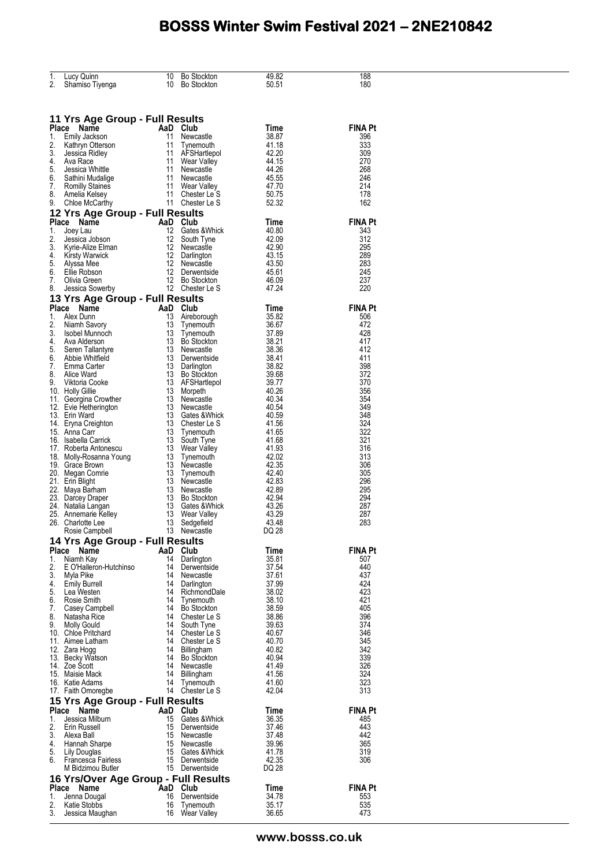| 1.       | Lucy Quinn                                                                                             | 10       | <b>Bo Stockton</b>              | 49.82          | 188            |
|----------|--------------------------------------------------------------------------------------------------------|----------|---------------------------------|----------------|----------------|
| 2.       | Shamiso Tiyenga                                                                                        | 10       | <b>Bo Stockton</b>              | 50.51          | 180            |
|          |                                                                                                        |          |                                 |                |                |
|          |                                                                                                        |          |                                 |                |                |
|          | 11 Yrs Age Group - Full Results                                                                        |          |                                 |                |                |
| Place    | Name<br>AaD Club                                                                                       |          |                                 | Time           | <b>FINA Pt</b> |
| 1.       | <b>:e</b><br>Emily Jackson<br>Kathryn Otterson<br><sup>Inci</sup> sica Ridley                          | 11       | Newcastle                       | 38.87          | 396            |
| 2.       |                                                                                                        | 11       | Tynemouth                       | 41.18          | 333            |
| 3.<br>4. | Ava Race                                                                                               | 11       | AFSHartlepol<br>11 Wear Valley  | 42.20<br>44.15 | 309<br>270     |
| 5.       | Jessica Whittle                                                                                        | 11       | Newcastle                       | 44.26          | 268            |
| 6.       | Sathini Mudalige                                                                                       | 11       | Newcastle                       | 45.55          | 246            |
|          | 7. Romilly Staines                                                                                     |          | 11 Wear Valley                  | 47.70          | 214            |
| 8.<br>9. | Amelia Kelsey<br>Chloe McCarthy                                                                        | 11       | Chester Le S<br>11 Chester Le S | 50.75<br>52.32 | 178<br>162     |
|          | 12 Yrs Age Group - Full Results                                                                        |          |                                 |                |                |
| Place    | Name                                                                                                   |          | AaD Club                        | Time           | <b>FINA Pt</b> |
| 1.       | Joey Lau                                                                                               | 12       | Gates &Whick                    | 40.80          | 343            |
| 2.       | Jessica Jobson                                                                                         | 12       | South Tyne                      | 42.09          | 312            |
| 3.       | Jessica<br>Kyrie-Alize Elman                                                                           | 12       | Newcastle                       | 42.90          | 295            |
| 4.<br>5. | Kirsty Warwick<br>Alyssa Mee                                                                           | 12<br>12 | Darlington<br>Newcastle         | 43.15<br>43.50 | 289<br>283     |
| 6.       | Ellie Robson                                                                                           | 12       | Derwentside                     | 45.61          | 245            |
| 7.       | Olivia Green                                                                                           | 12       | Bo Stockton                     | 46.09          | 237            |
| 8.       | Jessica Sowerby                                                                                        |          | 12 Chester Le S                 | 47.24          | 220            |
|          | 13 Yrs Age Group - Full Results                                                                        |          |                                 |                |                |
| Place    | Name                                                                                                   |          | AaD Club                        | Time           | <b>FINA Pt</b> |
| 1.       | Alex Dunn                                                                                              | 13       | Aireborough                     | 35.82          | 506            |
| 2.       | Niamh Savory<br>3. Isobel Munnoch                                                                      | 13<br>13 | Tynemouth<br>Tynemouth          | 36.67<br>37.89 | 472<br>428     |
| 4.       | Ava Alderson                                                                                           | 13       | Bo Stockton                     | 38.21          | 417            |
| 5.       | Seren Tallantyre                                                                                       | 13       | Newcastle                       | 38.36          | 412            |
|          | 6. Abbie Whitfield                                                                                     | 13       | Derwentside                     | 38.41          | 411            |
| 7.       | Emma Carter                                                                                            | 13       | Darlington                      | 38.82          | 398            |
| 8.       | Alice Ward<br>9. Viktoria Cooke                                                                        | 13<br>13 | Bo Stockton<br>AFSHartlepol     | 39.68<br>39.77 | 372<br>370     |
|          | 10. Holly Gillie                                                                                       | 13       | Morpeth                         | 40.26          | 356            |
|          | 11. Georgina Crowther                                                                                  | 13       | Newcastle                       | 40.34          | 354            |
|          | 12. Evie Hetherington                                                                                  | 13       | Newcastle                       | 40.54          | 349            |
|          | 13. Erin Ward                                                                                          | 13       | Gates & Whick                   | 40.59<br>41.56 | 348<br>324     |
|          | 14. Eryna Creighton<br>15. Anna Carr                                                                   | 13<br>13 | Chester Le S<br>Tynemouth       | 41.65          | 322            |
|          | 16. Isabella Carrick                                                                                   | 13       | South Tyne                      | 41.68          | 321            |
|          | Nuuerta Antonescu<br>18. Molly-Rosanna Young<br>19. Grace Brown<br>20. Megan Comrie<br>21. Erin Blight | 13       | Wear Valley                     | 41.93          | 316            |
|          |                                                                                                        | 13       | Tynemouth                       | 42.02          | 313            |
|          |                                                                                                        | 13<br>13 | Newcastle                       | 42.35<br>42.40 | 306<br>305     |
|          |                                                                                                        | 13       | Tynemouth<br>Newcastle          | 42.83          | 296            |
|          | 22. Maya Barham                                                                                        | 13       | Newcastle                       | 42.89          | 295            |
|          | 23. Darcey Draper                                                                                      | 13       | <b>Bo Stockton</b>              | 42.94          | 294            |
|          | 24. Natalia Langan                                                                                     | 13       | Gates &Whick                    | 43.26          | 287            |
|          | 24. Ivalana Langun<br>25. Annemarie Kelley<br>26. Charlotte Lee                                        | 13<br>13 | Wear Valley<br>Sedgefield       | 43.29<br>43.48 | 287<br>283     |
|          | Rosie Campbell                                                                                         |          | 13 Newcastle                    | DQ 28          |                |
|          | 14 Yrs Age Group - Full Results                                                                        |          |                                 |                |                |
|          | Place Name                                                                                             |          | AaD Club                        | Time           | <b>FINA Pt</b> |
| 1.       | Niamh Kay                                                                                              | 14       | Darlington                      | 35.81          | 507            |
| 2.       | E O'Halleron-Hutchinso                                                                                 | 14       | Derwentside                     | 37.54          | 440            |
| 3.<br>4. | Myla Pike                                                                                              | 14<br>14 | Newcastle<br>Darlington         | 37.61<br>37.99 | 437<br>424     |
|          | <b>Emily Burrell</b><br>5. Lea Westen                                                                  | 14       | RichmondDale                    | 38.02          | 423            |
| 6.       | Rosie Smith                                                                                            |          | 14 Tynemouth                    | 38.10          | 421            |
| 7.       | Casey Campbell                                                                                         |          | 14 Bo Stockton                  | 38.59          | 405            |
|          | 8. Natasha Rice<br>9. Molly Gould                                                                      | 14       | 14 Chester Le S                 | 38.86<br>39.63 | 396<br>374     |
|          | 10. Chloe Pritchard                                                                                    |          | South Tyne<br>14 Chester Le S   | 40.67          | 346            |
|          | 11. Aimee Latham                                                                                       |          | 14 Chester Le S                 | 40.70          | 345            |
|          | 12. Zara Hogg                                                                                          |          | 14 Billingham                   | 40.82          | 342            |
|          | 13. Becky Watson                                                                                       | 14       | Bo Stockton                     | 40.94          | 339            |
|          | 14. Zoe Scott<br>15. Maisie Mack                                                                       | 14       | Newcastle<br>14 Billingham      | 41.49<br>41.56 | 326<br>324     |
|          | 16. Katie Adams                                                                                        | 14       | Tynemouth                       | 41.60          | 323            |
|          | 17. Faith Omoregbe                                                                                     |          | 14 Chester Le S                 | 42.04          | 313            |
|          | 15 Yrs Age Group - Full Results                                                                        |          |                                 |                |                |
|          | Place Name                                                                                             |          | AaD Club                        | Time           | <b>FINA Pt</b> |
| 1.       | Jessica Milburn                                                                                        | 15       | Gates & Whick                   | 36.35          | 485            |
| 2.       | Erin Russell                                                                                           | 15       | Derwentside                     | 37.46          | 443            |
|          | 3. Alexa Ball<br>4. Hannah Sharpe                                                                      |          | 15 Newcastle<br>15 Newcastle    | 37.48<br>39.96 | 442<br>365     |
|          | 5. Lily Douglas                                                                                        |          | 15 Gates & Whick                | 41.78          | 319            |
|          | 6. Francesca Fairless                                                                                  |          | 15 Derwentside                  | 42.35          | 306            |
|          | M Bidzimou Butler                                                                                      |          | 15 Derwentside                  | DQ 28          |                |
|          | 16 Yrs/Over Age Group - Full Results                                                                   |          |                                 |                |                |
|          | Place Name                                                                                             |          | AaD Club                        | Time           | <b>FINA Pt</b> |
| 1.<br>2. | Jenna Dougal<br>Katie Stobbs                                                                           | 16<br>16 | Derwentside                     | 34.78<br>35.17 | 553<br>535     |
| 3.       | Jessica Maughan                                                                                        | 16       | Tynemouth<br>Wear Valley        | 36.65          | 473            |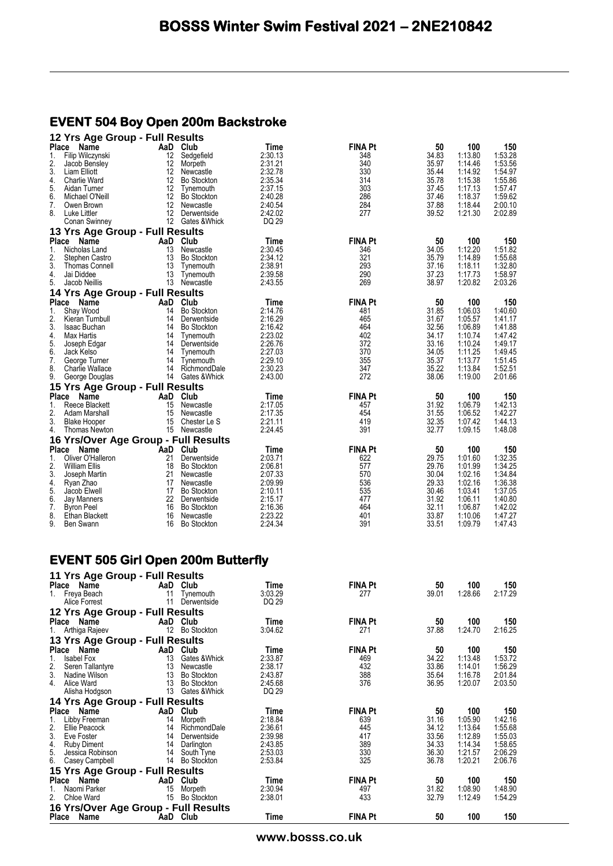#### **EVENT 504 Boy Open 200m Backstroke**

| 12 Yrs Age Group - Full Results           |          |                    |         |                |       |         |         |
|-------------------------------------------|----------|--------------------|---------|----------------|-------|---------|---------|
| <b>Place</b><br>Name                      | AaD      | Club               | Time    | <b>FINA Pt</b> | 50    | 100     | 150     |
| 1.<br>Filip Wilczynski                    | 12       | Sedgefield         | 2:30.13 | 348            | 34.83 | 1:13.80 | 1:53.28 |
| 2.<br>Jacob Bensley                       | 12       | Morpeth            | 2:31.21 | 340            | 35.97 | 1:14.46 | 1:53.56 |
| 3.<br>Liam Elliott                        | 12       | Newcastle          | 2:32.78 | 330            | 35.44 | 1:14.92 | 1:54.97 |
| 4.<br>Charlie Ward                        | 12       | <b>Bo Stockton</b> | 2:35.34 | 314            | 35.78 | 1:15.38 | 1:55.86 |
| 5.<br>Aidan Turner                        | 12       | Tynemouth          | 2:37.15 | 303            | 37.45 | 1:17.13 | 1:57.47 |
| 6.<br>Michael O'Neill                     | 12       | <b>Bo Stockton</b> | 2:40.28 | 286            | 37.46 | 1:18.37 | 1:59.62 |
| 7.<br>Owen Brown                          | 12       | Newcastle          | 2:40.54 | 284            | 37.88 | 1:18.44 | 2:00.10 |
| 8.<br>Luke Littler                        | 12       | Derwentside        | 2:42.02 | 277            | 39.52 | 1:21.30 | 2:02.89 |
| Conan Swinney                             |          | 12 Gates & Whick   | DQ 29   |                |       |         |         |
| 13 Yrs Age Group - Full Results           |          |                    |         |                |       |         |         |
| Place<br>Name                             | AaD      | Club               | Time    | <b>FINA Pt</b> | 50    | 100     | 150     |
| 1.<br>Nicholas Land                       | 13       | Newcastle          | 2:30.45 | 346            | 34.05 | 1:12.20 | 1:51.82 |
| 2.<br>Stephen Castro                      | 13       | <b>Bo Stockton</b> | 2:34.12 | 321            | 35.79 | 1:14.89 | 1:55.68 |
| 3.<br><b>Thomas Connell</b>               | 13       | Tynemouth          | 2:38.91 | 293            | 37.16 | 1:18.11 | 1:32.80 |
| 4.<br>Jai Diddee                          | 13       | Tynemouth          | 2:39.58 | 290            | 37.23 | 1:17.73 | 1:58.97 |
| 5.<br>Jacob Neillis                       |          | 13 Newcastle       | 2:43.55 | 269            | 38.97 | 1:20.82 | 2:03.26 |
|                                           |          |                    |         |                |       |         |         |
| 14 Yrs Age Group - Full Results           |          |                    |         |                |       |         |         |
| <b>Place</b><br>Name                      | AaD      | Club               | Time    | <b>FINA Pt</b> | 50    | 100     | 150     |
| 1.<br>Shay Wood                           | 14       | <b>Bo Stockton</b> | 2:14.76 | 481            | 31.85 | 1:06.03 | 1:40.60 |
| 2.<br>Kieran Turnbull                     | 14       | Derwentside        | 2:16.29 | 465            | 31.67 | 1:05.57 | 1:41.17 |
| 3.<br>Isaac Buchan                        | 14       | <b>Bo Stockton</b> | 2:16.42 | 464            | 32.56 | 1:06.89 | 1:41.88 |
| 4.<br>Max Hartis                          | 14       | Tynemouth          | 2:23.02 | 402            | 34.17 | 1:10.74 | 1:47.42 |
| 5.<br>Joseph Edgar                        | 14       | Derwentside        | 2:26.76 | 372            | 33.16 | 1:10.24 | 1:49.17 |
| 6.<br>Jack Kelso                          | 14       | Tynemouth          | 2:27.03 | 370            | 34.05 | 1:11.25 | 1:49.45 |
| 7.<br>George Turner                       | 14       | Tynemouth          | 2:29.10 | 355            | 35.37 | 1:13.77 | 1:51.45 |
| 8.<br><b>Charlie Wallace</b>              | 14       | RichmondDale       | 2:30.23 | 347            | 35.22 | 1:13.84 | 1:52.51 |
| 9.<br>George Douglas                      | 14       | Gates & Whick      | 2:43.00 | 272            | 38.06 | 1:19.00 | 2:01.66 |
| 15 Yrs Age Group - Full Results           |          |                    |         |                |       |         |         |
| <b>Place</b><br>Name                      | AaD      | Club               | Time    | <b>FINA Pt</b> | 50    | 100     | 150     |
| Reece Blackett<br>1.                      | 15       | Newcastle          | 2:17.05 | 457            | 31.92 | 1:06.79 | 1:42.13 |
| 2.<br>Adam Marshall                       | 15       | Newcastle          | 2:17.35 | 454            | 31.55 | 1:06.52 | 1:42.27 |
| 3.<br><b>Blake Hooper</b>                 | 15       | Chester Le S       | 2:21.11 | 419            | 32.35 | 1:07.42 | 1:44.13 |
| 4.<br>Thomas Newton                       |          | 15 Newcastle       | 2:24.45 | 391            | 32.77 | 1:09.15 | 1:48.08 |
| 16 Yrs/Over Age Group - Full Results      |          |                    |         |                |       |         |         |
| <b>Place</b><br>Name                      | AaD      | Club               | Time    | <b>FINA Pt</b> | 50    | 100     | 150     |
| 1.<br>Oliver O'Halleron                   | 21       | Derwentside        | 2:03.71 | 622            | 29.75 | 1:01.60 | 1:32.35 |
| 2.<br><b>William Ellis</b>                | 18       | <b>Bo Stockton</b> | 2:06.81 | 577            | 29.76 | 1:01.99 | 1:34.25 |
| 3.<br>Joseph Martin                       | 21       | Newcastle          | 2:07.33 | 570            | 30.04 | 1:02.16 | 1:34.84 |
| 4.<br>Ryan Zhao                           | 17       | Newcastle          | 2:09.99 | 536            | 29.33 | 1:02.16 | 1:36.38 |
| 5.<br>Jacob Elwell                        | 17       | <b>Bo Stockton</b> | 2:10.11 | 535            | 30.46 | 1:03.41 | 1:37.05 |
| 6.<br>Jay Manners                         | 22       | Derwentside        | 2:15.17 | 477            | 31.92 | 1:06.11 | 1:40.80 |
| 7.<br><b>Byron Peel</b>                   | 16       | <b>Bo Stockton</b> | 2:16.36 | 464            | 32.11 | 1:06.87 | 1:42.02 |
| 8.<br>Ethan Blackett                      | 16       | Newcastle          | 2:23.22 | 401            | 33.87 | 1:10.06 | 1:47.27 |
| 9.<br><b>Ben Swann</b>                    | 16       | <b>Bo Stockton</b> | 2:24.34 | 391            | 33.51 | 1:09.79 | 1:47.43 |
|                                           |          |                    |         |                |       |         |         |
| <b>EVENT 505 Girl Open 200m Butterfly</b> |          |                    |         |                |       |         |         |
|                                           |          |                    |         |                |       |         |         |
| 11 Yrs Age Group - Full Results           |          |                    |         |                |       |         |         |
| <b>Place</b><br>Name                      | AaD Club |                    | Time    | <b>FINA Pt</b> | 50    | 100     | 150     |
| 1.<br>Freya Beach                         | 11       | Tynemouth          | 3:03.29 | 277            | 39.01 | 1:28.66 | 2:17.29 |
| Alice Forrest                             |          | 11 Derwentside     | DQ 29   |                |       |         |         |
| 12 Yrs Age Group - Full Results           |          |                    |         |                |       |         |         |
| Place Name                                | AaD Club |                    | Time    | <b>FINA Pt</b> | 50    | 100     | 150     |
| 1.                                        |          | 12 Bo Stockton     | 3:04.62 | 271            | 37.88 | 1:24.70 | 2:16.25 |
| Arthiga Rajeev                            |          |                    |         |                |       |         |         |
| 13 Yrs Age Group - Full Results           |          |                    |         |                |       |         |         |
| Place Name                                | AaD Club |                    | Time    | <b>FINA Pt</b> | 50    | 100     | 150     |
| 1.<br>Isabel Fox                          | 13       | Gates &Whick       | 2:33.87 | 469            | 34.22 | 1:13.48 | 1:53.72 |
| 2.<br>Seren Tallantyre                    | 13       | Newcastle          | 2:38.17 | 432            | 33.86 | 1:14.01 | 1:56.29 |
| 3.<br>Nadine Wilson                       | 13       | Bo Stockton        | 2:43.87 | 388            | 35.64 | 1:16.78 | 2:01.84 |
| 4. Alice Ward                             |          | 13 Bo Stockton     | 2:45.68 | 376            | 36.95 | 1:20.07 | 2:03.50 |
| Alisha Hodgson                            |          | 13 Gates & Whick   | DQ 29   |                |       |         |         |
| 14 Yrs Age Group - Full Results           |          |                    |         |                |       |         |         |
| Place Name                                | AaD Club |                    | Time    | <b>FINA Pt</b> | 50    | 100     | 150     |
| Libby Freeman<br>1.                       | 14       | Morpeth            | 2:18.84 | 639            | 31.16 | 1:05.90 | 1:42.16 |
| 2.<br>Ellie Peacock                       | 14       | RichmondDale       | 2:36.61 | 445            | 34.12 | 1:13.64 | 1:55.68 |
| 3.<br>Eve Foster                          | 14       | Derwentside        | 2:39.98 | 417            | 33.56 | 1:12.89 | 1:55.03 |
| 4.<br>Ruby Diment                         | 14       | Darlington         | 2:43.85 | 389            | 34.33 | 1:14.34 | 1:58.65 |
| 5.<br>Jessica Robinson                    | 14       | South Tyne         | 2:53.03 | 330            | 36.30 | 1:21.57 | 2:06.29 |
| 6.<br>Casey Campbell                      |          | 14 Bo Stockton     | 2:53.84 | 325            | 36.78 | 1:20.21 | 2:06.76 |
| 15 Yrs Age Group - Full Results           |          |                    |         |                |       |         |         |
| Place Name                                | AaD Club |                    | Time    | <b>FINA Pt</b> | 50    | 100     | 150     |
| 1.<br>Naomi Parker                        |          | 15 Morpeth         | 2:30.94 | 497            | 31.82 | 1:08.90 | 1:48.90 |
| 2.<br>Chloe Ward                          |          | 15 Bo Stockton     | 2:38.01 | 433            | 32.79 | 1:12.49 | 1:54.29 |
| 16 Yrs/Over Age Group - Full Results      |          |                    |         |                |       |         |         |
| Place Name                                | AaD Club |                    | Time    | <b>FINA Pt</b> | 50    | 100     | 150     |

**www.bosss.co.uk**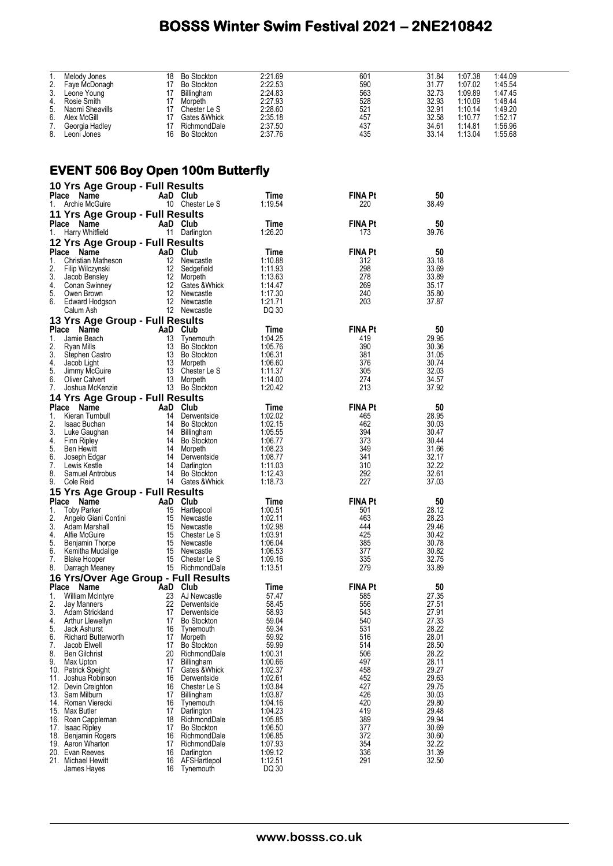| $\overline{1}$ . | Melody Jones                             | 18 | <b>Bo Stockton</b> | 2:21.69 | 601            | 31.84 | 1:07.38 | 1:44.09 |
|------------------|------------------------------------------|----|--------------------|---------|----------------|-------|---------|---------|
| 2.               | Faye McDonagh                            |    | 17 Bo Stockton     | 2:22.53 | 590            | 31.77 | 1:07.02 | 1:45.54 |
| 3.               | Leone Young                              |    | 17 Billingham      | 2:24.83 | 563            | 32.73 | 1:09.89 | 1:47.45 |
|                  |                                          |    |                    |         |                |       |         |         |
| 4.               | Rosie Smith                              |    | 17 Morpeth         | 2:27.93 | 528            | 32.93 | 1:10.09 | 1:48.44 |
| 5.               | Naomi Sheavills                          |    | 17 Chester Le S    | 2:28.60 | 521            | 32.91 | 1:10.14 | 1:49.20 |
| 6.               | Alex McGill                              |    | 17 Gates & Whick   | 2:35.18 | 457            | 32.58 | 1:10.77 | 1:52.17 |
| 7.               | Georgia Hadley                           |    | 17 RichmondDale    | 2:37.50 | 437            | 34.61 | 1:14.81 | 1:56.96 |
| 8.               | Leoni Jones                              |    | 16 Bo Stockton     | 2:37.76 | 435            | 33.14 | 1:13.04 | 1:55.68 |
|                  |                                          |    |                    |         |                |       |         |         |
|                  |                                          |    |                    |         |                |       |         |         |
|                  | <b>EVENT 506 Boy Open 100m Butterfly</b> |    |                    |         |                |       |         |         |
|                  |                                          |    |                    |         |                |       |         |         |
|                  | 10 Yrs Age Group - Full Results          |    |                    |         |                |       |         |         |
|                  | Place Name                               |    | AaD Club           | Time    | <b>FINA Pt</b> | 50    |         |         |
|                  | 1. Archie McGuire                        |    | 10 Chester Le S    | 1:19.54 | 220            | 38.49 |         |         |
|                  |                                          |    |                    |         |                |       |         |         |
|                  | 11 Yrs Age Group - Full Results          |    |                    |         |                |       |         |         |
|                  | Place Name                               |    | AaD Club           | Time    | <b>FINA Pt</b> | 50    |         |         |
|                  | 1. Harry Whitfield                       |    | 11 Darlington      | 1:26.20 | 173            | 39.76 |         |         |
|                  | 12 Yrs Age Group - Full Results          |    |                    |         |                |       |         |         |
|                  |                                          |    |                    |         |                |       |         |         |
|                  | Place Name                               |    | AaD Club           | Time    | <b>FINA Pt</b> | 50    |         |         |
| 1.               | Christian Matheson                       |    | 12 Newcastle       | 1:10.88 | 312            | 33.18 |         |         |
| 2.               | Filip Wilczynski                         |    | 12 Sedgefield      | 1:11.93 | 298            | 33.69 |         |         |
| 3.               | Jacob Bensley                            |    | 12 Morpeth         | 1:13.63 | 278            | 33.89 |         |         |
| 4.               | Conan Swinney                            |    | 12 Gates & Whick   | 1:14.47 | 269            | 35.17 |         |         |
| 5.               | Owen Brown                               |    | 12 Newcastle       | 1:17.30 | 240            | 35.80 |         |         |
| 6.               |                                          |    | 12 Newcastle       | 1:21.71 | 203            | 37.87 |         |         |
|                  | Edward Hodgson                           |    |                    |         |                |       |         |         |
|                  | Calum Ash                                |    | 12 Newcastle       | DQ 30   |                |       |         |         |
|                  | 13 Yrs Age Group - Full Results          |    |                    |         |                |       |         |         |
|                  | Place Name                               |    | AaD Club           | Time    | <b>FINA Pt</b> | 50    |         |         |
| 1.               | Jamie Beach                              |    | 13 Tynemouth       | 1:04.25 | 419            | 29.95 |         |         |
|                  |                                          |    |                    |         |                | 30.36 |         |         |
| 2.               | Ryan Mills                               |    | 13 Bo Stockton     | 1:05.76 | 390            |       |         |         |
| 3.               | Stephen Castro                           |    | 13 Bo Stockton     | 1:06.31 | 381            | 31.05 |         |         |
| 4.               | Jacob Light                              | 13 | Morpeth            | 1:06.60 | 376            | 30.74 |         |         |
| 5.               | Jimmy McGuire                            |    | 13 Chester Le S    | 1:11.37 | 305            | 32.03 |         |         |
| 6.               | Oliver Calvert                           |    | 13 Morpeth         | 1:14.00 | 274            | 34.57 |         |         |
| 7.               | Joshua McKenzie                          |    | 13 Bo Stockton     | 1:20.42 | 213            | 37.92 |         |         |
|                  | 14 Yrs Age Group - Full Results          |    |                    |         |                |       |         |         |
|                  | Place Name                               |    | AaD Club           | Time    | <b>FINA Pt</b> | 50    |         |         |
|                  |                                          |    |                    |         |                |       |         |         |
| 1.               | Kieran Turnbull                          |    | 14 Derwentside     | 1:02.02 | 465            | 28.95 |         |         |
| 2.               | Isaac Buchan                             |    | 14 Bo Stockton     | 1:02.15 | 462            | 30.03 |         |         |
| 3.               | Luke Gaughan                             |    | 14 Billingham      | 1:05.55 | 394            | 30.47 |         |         |
| 4.               | Finn Ripley                              |    | 14 Bo Stockton     | 1:06.77 | 373            | 30.44 |         |         |
| 5.               | <b>Ben Hewitt</b>                        |    | 14 Morpeth         | 1:08.23 | 349            | 31.66 |         |         |
| 6.               | Joseph Edgar                             | 14 | Derwentside        | 1:08.77 | 341            | 32.17 |         |         |
| 7.               | Lewis Kestle                             |    | 14 Darlington      | 1:11.03 | 310            | 32.22 |         |         |
| 8.               | Samuel Antrobus                          |    | 14 Bo Stockton     | 1:12.43 | 292            | 32.61 |         |         |
| 9.               | Cole Reid                                |    | 14 Gates & Whick   | 1:18.73 | 227            | 37.03 |         |         |
|                  |                                          |    |                    |         |                |       |         |         |
|                  | 15 Yrs Age Group - Full Results          |    |                    |         |                |       |         |         |
|                  | Place Name                               |    | AaD Club           | Time    | <b>FINA Pt</b> | 50    |         |         |
| 1.               | <b>Toby Parker</b>                       |    | 15 Hartlepool      | 1:00.51 | 501            | 28.12 |         |         |
| 2.               | Angelo Giani Contini                     |    | 15 Newcastle       | 1:02.11 | 463            | 28.23 |         |         |
| 3.               | Adam Marshall                            |    | 15 Newcastle       | 1:02.98 | 444            | 29.46 |         |         |
| 4.               | Alfie McGuire                            | 15 | Chester Le S       | 1:03.91 | 425            | 30.42 |         |         |
| 5.               | Benjamin Thorpe                          | 15 | Newcastle          | 1:06.04 | 385            | 30.78 |         |         |
| 6.               | Kemitha Mudalige                         | 15 | Newcastle          | 1:06.53 | 377            | 30.82 |         |         |
| 7.               | <b>Blake Hooper</b>                      | 15 | Chester Le S       | 1:09.16 | 335            | 32.75 |         |         |
| 8.               | Darragh Meaney                           |    | 15 RichmondDale    | 1:13.51 | 279            | 33.89 |         |         |
|                  | 16 Yrs/Over Age Group - Full Results     |    |                    |         |                |       |         |         |
|                  |                                          |    |                    |         | <b>FINA Pt</b> |       |         |         |
|                  | Place Name                               |    | AaD Club           | Time    |                | 50    |         |         |
| 1.               | <b>William McIntyre</b>                  | 23 | AJ Newcastle       | 57.47   | 585            | 27.35 |         |         |
| 2.               | Jay Manners                              | 22 | Derwentside        | 58.45   | 556            | 27.51 |         |         |
| 3.               | Adam Strickland                          | 17 | Derwentside        | 58.93   | 543            | 27.91 |         |         |
| 4.               | Arthur Llewellyn                         | 17 | <b>Bo Stockton</b> | 59.04   | 540            | 27.33 |         |         |
| 5.               | Jack Ashurst                             | 16 | Tynemouth          | 59.34   | 531            | 28.22 |         |         |
| 6.               | <b>Richard Butterworth</b>               | 17 | Morpeth            | 59.92   | 516            | 28.01 |         |         |
| 7.               | Jacob Elwell                             | 17 | <b>Bo Stockton</b> | 59.99   | 514            | 28.50 |         |         |
| 8.               | <b>Ben Gilchrist</b>                     | 20 | RichmondDale       | 1:00.31 | 506            | 28.22 |         |         |
| 9.               | Max Upton                                | 17 | Billingham         | 1:00.66 | 497            | 28.11 |         |         |
|                  | 10. Patrick Speight                      | 17 | Gates & Whick      | 1:02.37 | 458            | 29.27 |         |         |
|                  | Joshua Robinson                          | 16 |                    |         | 452            | 29.63 |         |         |
| 11.              |                                          |    | Derwentside        | 1:02.61 |                |       |         |         |
|                  | 12. Devin Creighton                      | 16 | Chester Le S       | 1:03.84 | 427            | 29.75 |         |         |
|                  | 13. Sam Milburn                          | 17 | Billingham         | 1:03.87 | 426            | 30.03 |         |         |
|                  | 14. Roman Vierecki                       | 16 | Tynemouth          | 1:04.16 | 420            | 29.80 |         |         |
|                  | 15. Max Butler                           | 17 | Darlington         | 1:04.23 | 419            | 29.48 |         |         |
|                  | 16. Roan Cappleman                       | 18 | RichmondDale       | 1:05.85 | 389            | 29.94 |         |         |
| 17.              | <b>Isaac Ripley</b>                      | 17 | <b>Bo Stockton</b> | 1:06.50 | 377            | 30.69 |         |         |
|                  | 18. Benjamin Rogers                      | 16 | RichmondDale       | 1:06.85 | 372            | 30.60 |         |         |
|                  | 19. Aaron Wharton                        | 17 | RichmondDale       | 1:07.93 | 354            | 32.22 |         |         |
|                  | 20. Evan Reeves                          | 16 | Darlington         | 1:09.12 | 336            | 31.39 |         |         |
|                  | 21. Michael Hewitt                       | 16 | AFSHartlepol       | 1:12.51 | 291            | 32.50 |         |         |
|                  | James Hayes                              | 16 | Tynemouth          | DQ 30   |                |       |         |         |
|                  |                                          |    |                    |         |                |       |         |         |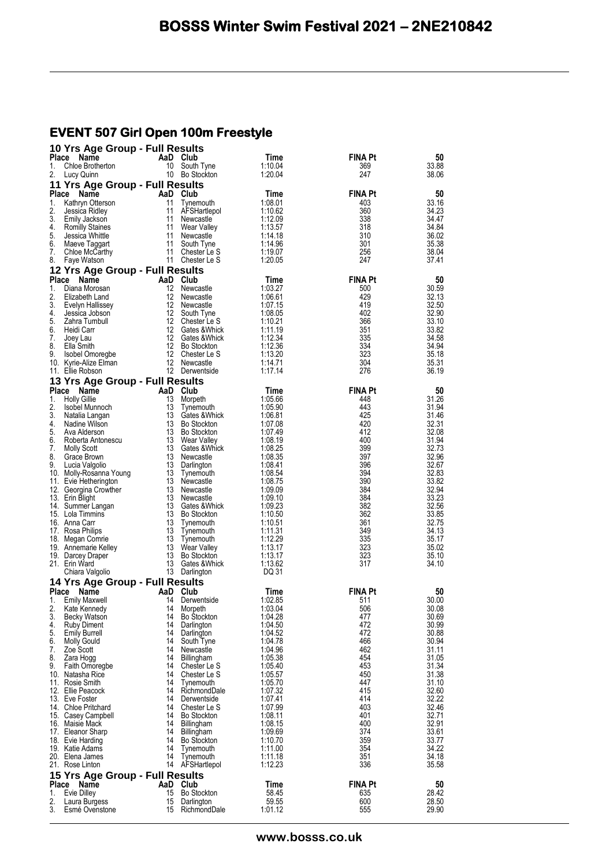## **EVENT 507 Girl Open 100m Freestyle**

|              | 10 Yrs Age Group - Full Results                |                   |                                      |                    |                       |                |
|--------------|------------------------------------------------|-------------------|--------------------------------------|--------------------|-----------------------|----------------|
| Place<br>1.  | Name<br>Chloe Brotherton                       | AaD Club<br>10    | South Tyne                           | Time<br>1:10.04    | <b>FINA Pt</b><br>369 | 50<br>33.88    |
| 2.           | Lucy Quinn                                     |                   | 10 Bo Stockton                       | 1:20.04            | 247                   | 38.06          |
|              | 11 Yrs Age Group - Full Results                |                   |                                      |                    |                       |                |
| Place<br>1.  | Name<br>Kathryn Otterson                       | AaD Club<br>11    | Tynemouth                            | Time<br>1:08.01    | <b>FINA Pt</b><br>403 | 50<br>33.16    |
| 2.           | Jessica Ridley                                 | 11                | AFSHartlepol                         | 1:10.62            | 360                   | 34.23          |
| 3.           | Emily Jackson                                  | 11                | Newcastle                            | 1:12.09            | 338                   | 34.47          |
| 4.<br>5.     | <b>Romilly Staines</b><br>Jessica Whittle      | 11<br>11          | Wear Valley<br>Newcastle             | 1:13.57<br>1:14.18 | 318<br>310            | 34.84<br>36.02 |
| 6.           | Maeve Taggart                                  | 11                | South Tyne                           | 1:14.96            | 301                   | 35.38          |
| 7.           | Chloe McCarthy                                 | 11                | Chester Le S                         | 1:19.07            | 256                   | 38.04          |
| 8.           | Faye Watson                                    |                   | 11 Chester Le S                      | 1:20.05            | 247                   | 37.41          |
| <b>Place</b> | 12 Yrs Age Group - Full Results<br>Name        | AaD Club          |                                      | Time               | <b>FINA Pt</b>        | 50             |
| 1.           | Diana Morosan                                  | 12                | Newcastle                            | 1:03.27            | 500                   | 30.59          |
| 2.           | Elizabeth Land                                 | 12                | Newcastle                            | 1:06.61            | 429                   | 32.13          |
| 3.<br>4.     | Evelyn Hallissey<br>Jessica Jobson             | 12<br>12          | Newcastle<br>South Tyne              | 1:07.15<br>1:08.05 | 419<br>402            | 32.50<br>32.90 |
| 5.           | Zahra Turnbull                                 | 12                | Chester Le S                         | 1:10.21            | 366                   | 33.10          |
| 6.           | Heidi Carr                                     | $12 \overline{ }$ | Gates & Whick                        | 1:11.19            | 351                   | 33.82          |
| 7.<br>8.     | Joey Lau<br>Ella Smith                         | 12<br>12          | Gates & Whick<br><b>Bo Stockton</b>  | 1:12.34<br>1:12.36 | 335<br>334            | 34.58<br>34.94 |
| 9.           | Isobel Omoregbe                                | 12                | Chester Le S                         | 1:13.20            | 323                   | 35.18          |
|              | 10. Kyrie-Alize Elman                          |                   | 12 Newcastle                         | 1:14.71            | 304                   | 35.31          |
|              | 11. Ellie Robson                               |                   | 12 Derwentside                       | 1:17.14            | 276                   | 36.19          |
| Place        | 13 Yrs Age Group - Full Results<br>Name        | AaD Club          |                                      | Time               | <b>FINA Pt</b>        | 50             |
| 1.           | <b>Holly Gillie</b>                            | 13                | Morpeth                              | 1:05.66            | 448                   | 31.26          |
| 2.           | Isobel Munnoch                                 | 13                | Tynemouth                            | 1:05.90            | 443                   | 31.94          |
| 3.<br>4.     | Natalia Langan<br>Nadine Wilson                | 13<br>13          | Gates & Whick<br><b>Bo Stockton</b>  | 1:06.81<br>1:07.08 | 425<br>420            | 31.46<br>32.31 |
| 5.           | Ava Alderson                                   | 13                | <b>Bo Stockton</b>                   | 1:07.49            | 412                   | 32.08          |
| 6.           | Roberta Antonescu                              | 13                | Wear Valley                          | 1:08.19            | 400                   | 31.94          |
| 7.<br>8.     | <b>Molly Scott</b><br>Grace Brown              | 13<br>13          | Gates & Whick<br>Newcastle           | 1:08.25<br>1:08.35 | 399<br>397            | 32.73<br>32.96 |
| 9.           | Lucia Valgolio                                 | 13                | Darlington                           | 1:08.41            | 396                   | 32.67          |
|              | 10. Molly-Rosanna Young                        | 13                | Tynemouth                            | 1:08.54            | 394                   | 32.83          |
|              | 11. Evie Hetherington<br>12. Georgina Crowther | 13                | 13 Newcastle<br>Newcastle            | 1:08.75<br>1:09.09 | 390<br>384            | 33.82<br>32.94 |
|              | 13. Erin Blight                                | 13                | Newcastle                            | 1:09.10            | 384                   | 33.23          |
|              | 14. Summer Langan                              | 13                | Gates & Whick                        | 1:09.23            | 382                   | 32.56          |
|              | 15. Lola Timmins<br>16. Anna Carr              | 13                | <b>Bo Stockton</b><br>13 Tynemouth   | 1:10.50<br>1:10.51 | 362<br>361            | 33.85<br>32.75 |
|              | 17. Rosa Philips                               | 13                | Tynemouth                            | 1:11.31            | 349                   | 34.13          |
|              | 18. Megan Comrie                               | 13                | Tynemouth                            | 1:12.29            | 335                   | 35.17          |
|              | 19. Annemarie Kelley<br>19. Darcey Draper      | 13                | 13 Wear Valley<br><b>Bo Stockton</b> | 1:13.17<br>1:13.17 | 323<br>323            | 35.02<br>35.10 |
|              | 21. Erin Ward                                  | 13                | Gates & Whick                        | 1:13.62            | 317                   | 34.10          |
|              | Chiara Valgolio                                | 13                | Darlington                           | DQ 31              |                       |                |
| Place        | 14 Yrs Age Group - Full Results<br>Name        | AaD               | Club                                 | Time               | <b>FINA Pt</b>        | 50             |
| 1.           | <b>Emily Maxwell</b>                           | 14                | Derwentside                          | 1:02.85            | 511                   | 30.00          |
| 2.           | Kate Kennedy                                   | 14                | Morpeth                              | 1:03.04            | 506                   | 30.08          |
| 3.<br>4.     | <b>Becky Watson</b><br><b>Ruby Diment</b>      | 14<br>14          | <b>Bo Stockton</b><br>Darlington     | 1:04.28<br>1:04.50 | 477<br>472            | 30.69<br>30.99 |
| 5.           | <b>Emily Burrell</b>                           | 14                | Darlington                           | 1:04.52            | 472                   | 30.88          |
| 6.           | <b>Molly Gould</b>                             | 14                | South Tyne                           | 1:04.78            | 466                   | 30.94          |
| 7.<br>8.     | Zoe Scott<br>Zara Hogg                         | 14<br>14          | Newcastle<br>Billingham              | 1:04.96<br>1:05.38 | 462<br>454            | 31.11<br>31.05 |
| 9.           | Faith Omoregbe                                 | 14                | Chester Le S                         | 1:05.40            | 453                   | 31.34          |
|              | 10. Natasha Rice                               | 14                | Chester Le S                         | 1:05.57            | 450                   | 31.38          |
|              | 11. Rosie Smith<br>12. Ellie Peacock           | 14<br>14          | Tynemouth<br>RichmondDale            | 1:05.70<br>1:07.32 | 447<br>415            | 31.10<br>32.60 |
|              | 13. Eve Foster                                 | 14                | Derwentside                          | 1:07.41            | 414                   | 32.22          |
|              | 14. Chloe Pritchard                            | 14                | Chester Le S                         | 1:07.99            | 403                   | 32.46          |
|              | 15. Casey Campbell<br>16. Maisie Mack          | 14<br>14          | <b>Bo Stockton</b><br>Billingham     | 1:08.11<br>1:08.15 | 401<br>400            | 32.71<br>32.91 |
|              | 17. Eleanor Sharp                              | 14                | Billingham                           | 1:09.69            | 374                   | 33.61          |
|              | 18. Evie Harding                               | 14                | <b>Bo Stockton</b>                   | 1:10.70            | 359                   | 33.77          |
|              | 19. Katie Adams<br>20. Elena James             | 14<br>14          | Tynemouth<br>Tynemouth               | 1:11.00<br>1:11.18 | 354<br>351            | 34.22<br>34.18 |
| 21.          | Rose Linton                                    |                   | 14 AFSHartlepol                      | 1:12.23            | 336                   | 35.58          |
|              | 15 Yrs Age Group - Full Results                |                   |                                      |                    |                       |                |
| 1.           | Place Name<br>Evie Dilley                      | AaD<br>15         | Club<br><b>Bo Stockton</b>           | Time<br>58.45      | <b>FINA Pt</b><br>635 | 50<br>28.42    |
| 2.           | Laura Burgess                                  | 15                | Darlington                           | 59.55              | 600                   | 28.50          |
| 3.           | Esmé Ovenstone                                 | 15                | RichmondDale                         | 1:01.12            | 555                   | 29.90          |